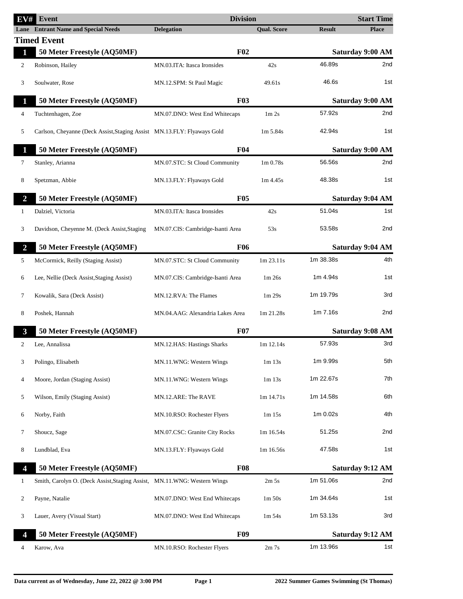| EV#            | Event                                                                    | <b>Division</b>                  |                                  |               | <b>Start Time</b>       |
|----------------|--------------------------------------------------------------------------|----------------------------------|----------------------------------|---------------|-------------------------|
|                | <b>Lane</b> Entrant Name and Special Needs                               | <b>Delegation</b>                | <b>Qual. Score</b>               | <b>Result</b> | <b>Place</b>            |
|                | <b>Timed Event</b>                                                       |                                  |                                  |               |                         |
| $\mathbf{1}$   | 50 Meter Freestyle (AQ50MF)                                              | F <sub>02</sub>                  |                                  |               | <b>Saturday 9:00 AM</b> |
| 2              | Robinson, Hailey                                                         | MN.03.ITA: Itasca Ironsides      | 42s                              | 46.89s        | 2nd                     |
| 3              | Soulwater, Rose                                                          | MN.12.SPM: St Paul Magic         | 49.61s                           | 46.6s         | 1st                     |
| $\mathbf{1}$   | 50 Meter Freestyle (AQ50MF)                                              | F03                              |                                  |               | Saturday 9:00 AM        |
| 4              | Tuchtenhagen, Zoe                                                        | MN.07.DNO: West End Whitecaps    | 1 <sub>m</sub> 2 <sub>s</sub>    | 57.92s        | 2nd                     |
| 5              | Carlson, Cheyanne (Deck Assist, Staging Assist MN.13.FLY: Flyaways Gold  |                                  | $1m\,5.84s$                      | 42.94s        | 1st                     |
| 1              | 50 Meter Freestyle (AQ50MF)                                              | F <sub>04</sub>                  |                                  |               | Saturday 9:00 AM        |
| 7              | Stanley, Arianna                                                         | MN.07.STC: St Cloud Community    | 1 <sub>m</sub> 0.78 <sub>s</sub> | 56.56s        | 2 <sub>nd</sub>         |
| 8              | Spetzman, Abbie                                                          | MN.13.FLY: Flyaways Gold         | $1m$ 4.45s                       | 48.38s        | 1st                     |
| $\overline{2}$ | 50 Meter Freestyle (AQ50MF)                                              | <b>F05</b>                       |                                  |               | <b>Saturday 9:04 AM</b> |
| $\mathbf{1}$   | Dalziel, Victoria                                                        | MN.03.ITA: Itasca Ironsides      | 42s                              | 51.04s        | 1st                     |
| 3              | Davidson, Cheyenne M. (Deck Assist, Staging                              | MN.07.CIS: Cambridge-Isanti Area | 53s                              | 53.58s        | 2nd                     |
| $\overline{2}$ | 50 Meter Freestyle (AQ50MF)                                              | <b>F06</b>                       |                                  |               | <b>Saturday 9:04 AM</b> |
| 5              | McCormick, Reilly (Staging Assist)                                       | MN.07.STC: St Cloud Community    | 1m 23.11s                        | 1m 38.38s     | 4th                     |
| 6              | Lee, Nellie (Deck Assist, Staging Assist)                                | MN.07.CIS: Cambridge-Isanti Area | 1m 26s                           | 1m 4.94s      | 1st                     |
| 7              | Kowalik, Sara (Deck Assist)                                              | MN.12.RVA: The Flames            | 1m 29s                           | 1m 19.79s     | 3rd                     |
| 8              | Poshek, Hannah                                                           | MN.04.AAG: Alexandria Lakes Area | 1m 21.28s                        | 1m 7.16s      | 2nd                     |
| 3              | 50 Meter Freestyle (AQ50MF)                                              | F07                              |                                  |               | <b>Saturday 9:08 AM</b> |
| 2              | Lee, Annalissa                                                           | MN.12.HAS: Hastings Sharks       | 1m 12.14s                        | 57.93s        | 3rd                     |
| 3              | Polingo, Elisabeth                                                       | MN.11.WNG: Western Wings         | $1m$ 13s                         | 1m 9.99s      | 5th                     |
| 4              | Moore, Jordan (Staging Assist)                                           | MN.11.WNG: Western Wings         | 1m 13s                           | 1m 22.67s     | 7th                     |
| 5              | Wilson, Emily (Staging Assist)                                           | MN.12.ARE: The RAVE              | 1m 14.71s                        | 1m 14.58s     | 6th                     |
| 6              | Norby, Faith                                                             | MN.10.RSO: Rochester Flyers      | 1m 15s                           | 1m 0.02s      | 4th                     |
| 7              | Shoucz, Sage                                                             | MN.07.CSC: Granite City Rocks    | 1m 16.54s                        | 51.25s        | 2nd                     |
| 8              | Lundblad, Eva                                                            | MN.13.FLY: Flyaways Gold         | 1m 16.56s                        | 47.58s        | 1st                     |
| 4              | 50 Meter Freestyle (AQ50MF)                                              | <b>F08</b>                       |                                  |               | Saturday 9:12 AM        |
| 1              | Smith, Carolyn O. (Deck Assist, Staging Assist, MN.11.WNG: Western Wings |                                  | 2m <sub>5s</sub>                 | 1m 51.06s     | 2nd                     |
| 2              | Payne, Natalie                                                           | MN.07.DNO: West End Whitecaps    | 1 <sub>m</sub> 50 <sub>s</sub>   | 1m 34.64s     | 1st                     |
| 3              | Lauer, Avery (Visual Start)                                              | MN.07.DNO: West End Whitecaps    | $1m\,54s$                        | 1m 53.13s     | 3rd                     |
| 4              | 50 Meter Freestyle (AQ50MF)                                              | <b>F09</b>                       |                                  |               | Saturday 9:12 AM        |
| 4              | Karow, Ava                                                               | MN.10.RSO: Rochester Flyers      | $2m$ 7s                          | 1m 13.96s     | 1st                     |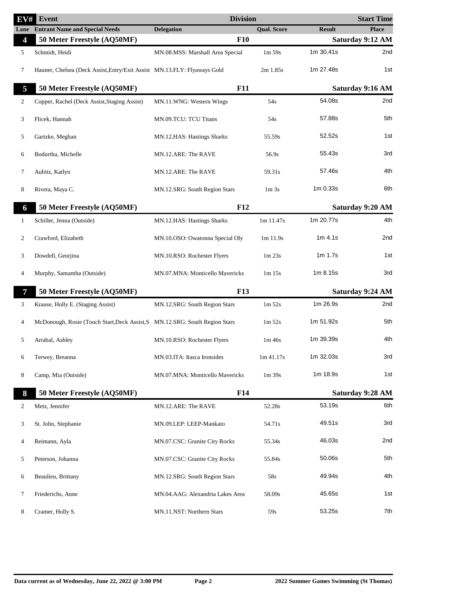| EV#          | Event                                                                       | <b>Division</b>                  |                    |                         | <b>Start Time</b> |
|--------------|-----------------------------------------------------------------------------|----------------------------------|--------------------|-------------------------|-------------------|
| Lane         | <b>Entrant Name and Special Needs</b>                                       | <b>Delegation</b>                | <b>Qual. Score</b> | <b>Result</b>           | <b>Place</b>      |
| 4            | 50 Meter Freestyle (AQ50MF)                                                 | F10                              |                    |                         | Saturday 9:12 AM  |
| 5            | Schmidt, Heidi                                                              | MN.08.MSS: Marshall Area Special | $1m\,59s$          | 1m 30.41s               | 2 <sub>nd</sub>   |
| 7            | Hauner, Chelsea (Deck Assist, Entry/Exit Assist MN.13.FLY: Flyaways Gold    |                                  | 2m 1.85s           | 1m 27.48s               | 1st               |
| 5            | 50 Meter Freestyle (AQ50MF)                                                 | <b>F11</b>                       |                    |                         | Saturday 9:16 AM  |
| 2            | Copper, Rachel (Deck Assist, Staging Assist)                                | MN.11.WNG: Western Wings         | 54s                | 54.08s                  | 2nd               |
| 3            | Flicek, Hannah                                                              | MN.09.TCU: TCU Titans            | 54s                | 57.88s                  | 5th               |
| 5            | Gartzke, Meghan                                                             | MN.12.HAS: Hastings Sharks       | 55.59s             | 52.52s                  | 1st               |
| 6            | Bodurtha, Michelle                                                          | MN.12.ARE: The RAVE              | 56.9s              | 55.43s                  | 3rd               |
| 7            | Aubitz, Katlyn                                                              | MN.12.ARE: The RAVE              | 59.31s             | 57.46s                  | 4th               |
| 8            | Rivera, Maya C.                                                             | MN.12.SRG: South Region Stars    | 1m <sub>3s</sub>   | 1m 0.33s                | 6th               |
| 6            | 50 Meter Freestyle (AQ50MF)                                                 | F12                              |                    |                         | Saturday 9:20 AM  |
| $\mathbf{1}$ | Schiller, Jenna (Outside)                                                   | MN.12.HAS: Hastings Sharks       | 1m 11.47s          | 1m 20.77s               | 4th               |
| 2            | Crawford, Elizabeth                                                         | MN.10.OSO: Owatonna Special Oly  | 1m 11.9s           | $1m$ 4.1s               | 2nd               |
| 3            | Dowdell, Georjina                                                           | MN.10.RSO: Rochester Flyers      | 1m23s              | 1m 1.7s                 | 1st               |
| 4            | Murphy, Samantha (Outside)                                                  | MN.07.MNA: Monticello Mavericks  | 1m 15s             | 1m 8.15s                | 3rd               |
| 7            | 50 Meter Freestyle (AQ50MF)                                                 | <b>F13</b>                       |                    | <b>Saturday 9:24 AM</b> |                   |
| 3            | Krause, Holly E. (Staging Assist)                                           | MN.12.SRG: South Region Stars    | 1m 52s             | 1m 26.9s                | 2nd               |
| 4            | McDonough, Rosie (Touch Start, Deck Assist, S MN.12.SRG: South Region Stars |                                  | 1m 52s             | 1m 51.92s               | 5th               |
| 5            | Arrabal, Ashley                                                             | MN.10.RSO: Rochester Flyers      | 1m 46s             | 1m 39.39s               | 4th               |
| 6            | Terwey, Breanna                                                             | MN.03.ITA: Itasca Ironsides      | 1m 41.17s          | 1m 32.03s               | 3rd               |
| 8            | Camp, Mia (Outside)                                                         | MN.07.MNA: Monticello Mavericks  | $1m$ 39s           | 1m 18.9s                | 1st               |
| 8            | 50 Meter Freestyle (AQ50MF)                                                 | F <sub>14</sub>                  |                    |                         | Saturday 9:28 AM  |
| 2            | Metz, Jennifer                                                              | MN.12.ARE: The RAVE              | 52.28s             | 53.19s                  | 6th               |
| 3            | St. John, Stephanie                                                         | MN.09.LEP: LEEP-Mankato          | 54.71s             | 49.51s                  | 3rd               |
| 4            | Reimann, Ayla                                                               | MN.07.CSC: Granite City Rocks    | 55.34s             | 46.03s                  | 2nd               |
| 5            | Peterson, Johanna                                                           | MN.07.CSC: Granite City Rocks    | 55.84s             | 50.06s                  | 5th               |
| 6            | Beaulieu, Brittany                                                          | MN.12.SRG: South Region Stars    | 58s                | 49.94s                  | 4th               |
| 7            | Friederichs, Anne                                                           | MN.04.AAG: Alexandria Lakes Area | 58.09s             | 45.65s                  | 1st               |
| 8            | Cramer, Holly S.                                                            | MN.11.NST: Northern Stars        | 59s                | 53.25s                  | 7th               |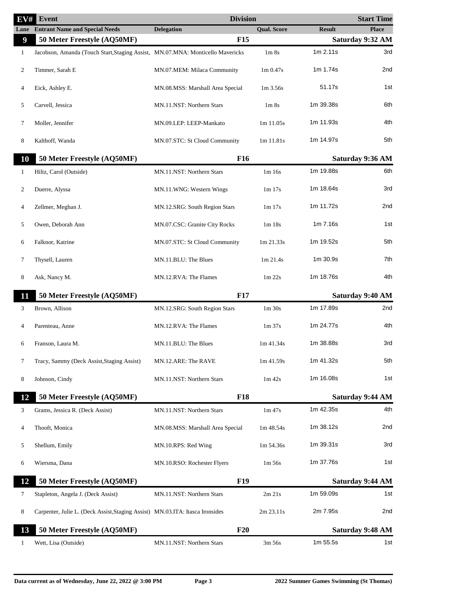| $\overline{\mathrm{EV}\#}$ | <b>Event</b>                                                                   | <b>Division</b>                  |                                  |               | <b>Start Time</b>       |
|----------------------------|--------------------------------------------------------------------------------|----------------------------------|----------------------------------|---------------|-------------------------|
|                            | <b>Lane</b> Entrant Name and Special Needs                                     | <b>Delegation</b>                | <b>Qual. Score</b>               | <b>Result</b> | <b>Place</b>            |
| 9                          | 50 Meter Freestyle (AQ50MF)                                                    | <b>F15</b>                       |                                  |               | Saturday 9:32 AM        |
| $\mathbf{1}$               | Jacobson, Amanda (Touch Start, Staging Assist, MN.07.MNA: Monticello Mavericks |                                  | 1 <sub>m</sub> 8 <sub>s</sub>    | 1m 2.11s      | 3rd                     |
| 2                          | Timmer, Sarah E                                                                | MN.07.MEM: Milaca Community      | 1 <sub>m</sub> 0.47 <sub>s</sub> | 1m 1.74s      | 2nd                     |
| 4                          | Eick, Ashley E.                                                                | MN.08.MSS: Marshall Area Special | 1m 3.56s                         | 51.17s        | 1st                     |
| 5                          | Carvell, Jessica                                                               | MN.11.NST: Northern Stars        | 1 <sub>m</sub> 8 <sub>s</sub>    | 1m 39.38s     | 6th                     |
| 7                          | Moller, Jennifer                                                               | MN.09.LEP: LEEP-Mankato          | 1m 11.05s                        | 1m 11.93s     | 4th                     |
| 8                          | Kalthoff, Wanda                                                                | MN.07.STC: St Cloud Community    | 1m 11.81s                        | 1m 14.97s     | 5th                     |
| 10                         | 50 Meter Freestyle (AQ50MF)                                                    | <b>F16</b>                       |                                  |               | Saturday 9:36 AM        |
| $\mathbf{1}$               | Hiltz, Carol (Outside)                                                         | MN.11.NST: Northern Stars        | 1m16s                            | 1m 19.88s     | 6th                     |
| 2                          | Duerre, Alyssa                                                                 | MN.11.WNG: Western Wings         | 1m 17s                           | 1m 18.64s     | 3rd                     |
| 4                          | Zellmer, Meghan J.                                                             | MN.12.SRG: South Region Stars    | 1m 17s                           | 1m 11.72s     | 2nd                     |
| 5                          | Owen, Deborah Ann                                                              | MN.07.CSC: Granite City Rocks    | 1m18s                            | 1m 7.16s      | 1st                     |
| 6                          | Falknor, Katrine                                                               | MN.07.STC: St Cloud Community    | 1m 21.33s                        | 1m 19.52s     | 5th                     |
| 7                          | Thysell, Lauren                                                                | MN.11.BLU: The Blues             | 1m 21.4s                         | 1m 30.9s      | 7th                     |
| 8                          | Ask, Nancy M.                                                                  | MN.12.RVA: The Flames            | 1m 22s                           | 1m 18.76s     | 4th                     |
| 11                         | 50 Meter Freestyle (AQ50MF)                                                    | <b>F17</b>                       |                                  |               | <b>Saturday 9:40 AM</b> |
| 3                          | Brown, Allison                                                                 | MN.12.SRG: South Region Stars    | $1m$ 30s                         | 1m 17.89s     | 2nd                     |
| 4                          | Parenteau, Anne                                                                | MN.12.RVA: The Flames            | 1m37s                            | 1m 24.77s     | 4th                     |
| 6                          | Franson, Laura M.                                                              | MN.11.BLU: The Blues             | 1m41.34s                         | 1m 38.88s     | 3rd                     |
| 7                          | Tracy, Sammy (Deck Assist, Staging Assist)                                     | MN.12.ARE: The RAVE              | 1m 41.59s                        | 1m 41.32s     | 5th                     |
| 8                          | Johnson, Cindy                                                                 | MN.11.NST: Northern Stars        | $1m$ 42s                         | 1m 16.08s     | 1st                     |
| 12                         | 50 Meter Freestyle (AQ50MF)                                                    | <b>F18</b>                       |                                  |               | <b>Saturday 9:44 AM</b> |
| 3                          | Grams, Jessica R. (Deck Assist)                                                | MN.11.NST: Northern Stars        | $1m$ 47s                         | 1m 42.35s     | 4th                     |
| 4                          | Thooft, Monica                                                                 | MN.08.MSS: Marshall Area Special | 1m 48.54s                        | 1m 38.12s     | 2nd                     |
| 5                          | Shellum, Emily                                                                 | MN.10.RPS: Red Wing              | 1m 54.36s                        | 1m 39.31s     | 3rd                     |
| 6                          | Wiersma, Dana                                                                  | MN.10.RSO: Rochester Flyers      | $1m\,56s$                        | 1m 37.76s     | 1st                     |
| 12                         | 50 Meter Freestyle (AQ50MF)                                                    | <b>F19</b>                       |                                  |               | Saturday 9:44 AM        |
| 7                          | Stapleton, Angela J. (Deck Assist)                                             | MN.11.NST: Northern Stars        | $2m$ $21s$                       | 1m 59.09s     | 1st                     |
| 8                          | Carpenter, Julie L. (Deck Assist, Staging Assist) MN.03.ITA: Itasca Ironsides  |                                  | 2m 23.11s                        | 2m 7.95s      | 2nd                     |
| 13                         | 50 Meter Freestyle (AQ50MF)                                                    | F20                              |                                  |               | Saturday 9:48 AM        |
| 1                          | Wett, Lisa (Outside)                                                           | MN.11.NST: Northern Stars        | 3m 56s                           | 1m 55.5s      | 1st                     |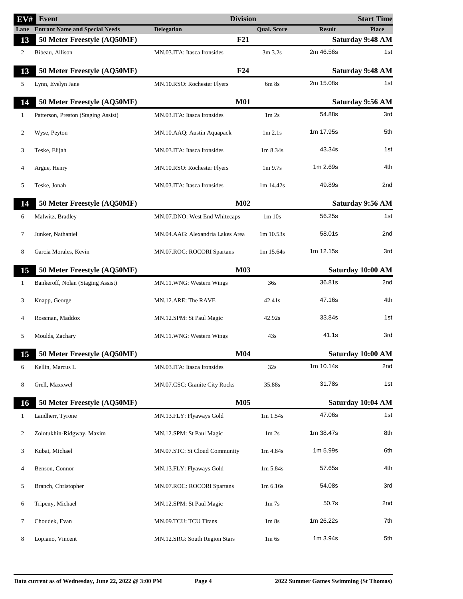| EV#          | Event                                 | <b>Division</b>                  |                               |               | <b>Start Time</b>       |
|--------------|---------------------------------------|----------------------------------|-------------------------------|---------------|-------------------------|
| Lane         | <b>Entrant Name and Special Needs</b> | <b>Delegation</b>                | <b>Qual. Score</b>            | <b>Result</b> | <b>Place</b>            |
| 13           | 50 Meter Freestyle (AQ50MF)           | F21                              |                               |               | Saturday 9:48 AM        |
| 2            | Bibeau, Allison                       | MN.03.ITA: Itasca Ironsides      | $3m$ 3.2s                     | 2m 46.56s     | 1st                     |
| 13           | 50 Meter Freestyle (AQ50MF)           | F24                              |                               |               | <b>Saturday 9:48 AM</b> |
| 5            | Lynn, Evelyn Jane                     | MN.10.RSO: Rochester Flyers      | $6m$ $8s$                     | 2m 15.08s     | 1st                     |
| 14           | 50 Meter Freestyle (AQ50MF)           | <b>M01</b>                       |                               |               | Saturday 9:56 AM        |
| 1            | Patterson, Preston (Staging Assist)   | MN.03.ITA: Itasca Ironsides      | 1m 2s                         | 54.88s        | 3rd                     |
| 2            | Wyse, Peyton                          | MN.10.AAQ: Austin Aquapack       | $1m$ 2.1s                     | 1m 17.95s     | 5th                     |
| 3            | Teske, Elijah                         | MN.03.ITA: Itasca Ironsides      | 1m 8.34s                      | 43.34s        | 1st                     |
| 4            | Argue, Henry                          | MN.10.RSO: Rochester Flyers      | $1m$ 9.7s                     | 1m 2.69s      | 4th                     |
| 5            | Teske, Jonah                          | MN.03.ITA: Itasca Ironsides      | $1m$ 14.42s                   | 49.89s        | 2nd                     |
| 14           | 50 Meter Freestyle (AQ50MF)           | M <sub>02</sub>                  |                               |               | Saturday 9:56 AM        |
| 6            | Malwitz, Bradley                      | MN.07.DNO: West End Whitecaps    | 1m 10s                        | 56.25s        | 1st                     |
| 7            | Junker, Nathaniel                     | MN.04.AAG: Alexandria Lakes Area | 1m 10.53s                     | 58.01s        | 2nd                     |
| 8            | Garcia Morales, Kevin                 | MN.07.ROC: ROCORI Spartans       | 1m 15.64s                     | 1m 12.15s     | 3rd                     |
| 15           | 50 Meter Freestyle (AQ50MF)           | <b>M03</b>                       |                               |               | Saturday 10:00 AM       |
| 1            | Bankeroff, Nolan (Staging Assist)     | MN.11.WNG: Western Wings         | 36s                           | 36.81s        | 2nd                     |
| 3            | Knapp, George                         | MN.12.ARE: The RAVE              | 42.41s                        | 47.16s        | 4th                     |
| 4            | Rossman, Maddox                       | MN.12.SPM: St Paul Magic         | 42.92s                        | 33.84s        | 1st                     |
| 5            | Moulds, Zachary                       | MN.11.WNG: Western Wings         | 43s                           | 41.1s         | 3rd                     |
|              | 15 50 Meter Freestyle (AQ50MF)        | <b>M04</b>                       |                               |               | Saturday 10:00 AM       |
| 6            | Kellin, Marcus L                      | MN.03.ITA: Itasca Ironsides      | 32s                           | 1m 10.14s     | 2nd                     |
| 8            | Grell, Maxxwel                        | MN.07.CSC: Granite City Rocks    | 35.88s                        | 31.78s        | 1st                     |
| 16           | 50 Meter Freestyle (AQ50MF)           | M05                              |                               |               | Saturday 10:04 AM       |
| $\mathbf{1}$ | Landherr, Tyrone                      | MN.13.FLY: Flyaways Gold         | 1m 1.54s                      | 47.06s        | 1st                     |
| 2            | Zolotukhin-Ridgway, Maxim             | MN.12.SPM: St Paul Magic         | 1m 2s                         | 1m 38.47s     | 8th                     |
| 3            | Kubat, Michael                        | MN.07.STC: St Cloud Community    | 1m 4.84s                      | 1m 5.99s      | 6th                     |
| 4            | Benson, Connor                        | MN.13.FLY: Flyaways Gold         | 1m 5.84s                      | 57.65s        | 4th                     |
| 5            | Branch, Christopher                   | MN.07.ROC: ROCORI Spartans       | 1m 6.16s                      | 54.08s        | 3rd                     |
| 6            | Tripeny, Michael                      | MN.12.SPM: St Paul Magic         | 1 <sub>m</sub> 7 <sub>s</sub> | 50.7s         | 2nd                     |
| 7            | Choudek, Evan                         | MN.09.TCU: TCU Titans            | 1 <sub>m</sub> 8 <sub>s</sub> | 1m 26.22s     | 7th                     |
| 8            | Lopiano, Vincent                      | MN.12.SRG: South Region Stars    | $1m$ 6s                       | 1m 3.94s      | 5th                     |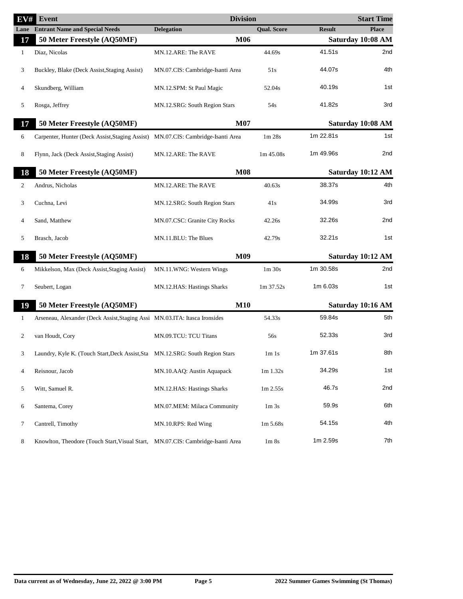| EV#          | <b>Event</b>                                                                     | <b>Division</b>                  |                    |               | <b>Start Time</b> |
|--------------|----------------------------------------------------------------------------------|----------------------------------|--------------------|---------------|-------------------|
| Lane         | <b>Entrant Name and Special Needs</b>                                            | <b>Delegation</b>                | <b>Qual. Score</b> | <b>Result</b> | <b>Place</b>      |
| 17           | 50 Meter Freestyle (AQ50MF)                                                      | M06                              |                    |               | Saturday 10:08 AM |
| $\mathbf{1}$ | Diaz, Nicolas                                                                    | MN.12.ARE: The RAVE              | 44.69s             | 41.51s        | 2nd               |
| 3            | Buckley, Blake (Deck Assist, Staging Assist)                                     | MN.07.CIS: Cambridge-Isanti Area | 51s                | 44.07s        | 4th               |
| 4            | Skundberg, William                                                               | MN.12.SPM: St Paul Magic         | 52.04s             | 40.19s        | 1st               |
| 5            | Rosga, Jeffrey                                                                   | MN.12.SRG: South Region Stars    | 54s                | 41.82s        | 3rd               |
| 17           | 50 Meter Freestyle (AQ50MF)                                                      | <b>M07</b>                       |                    |               | Saturday 10:08 AM |
| 6            | Carpenter, Hunter (Deck Assist, Staging Assist) MN.07.CIS: Cambridge-Isanti Area |                                  | 1m 28s             | 1m 22.81s     | 1st               |
| 8            | Flynn, Jack (Deck Assist, Staging Assist)                                        | MN.12.ARE: The RAVE              | $1m\,45.08s$       | 1m 49.96s     | 2nd               |
| 18           | 50 Meter Freestyle (AQ50MF)                                                      | <b>M08</b>                       |                    |               | Saturday 10:12 AM |
| 2            | Andrus, Nicholas                                                                 | MN.12.ARE: The RAVE              | 40.63s             | 38.37s        | 4th               |
| 3            | Cuchna, Levi                                                                     | MN.12.SRG: South Region Stars    | 41s                | 34.99s        | 3rd               |
| 4            | Sand, Matthew                                                                    | MN.07.CSC: Granite City Rocks    | 42.26s             | 32.26s        | 2nd               |
| 5            | Brasch, Jacob                                                                    | MN.11.BLU: The Blues             | 42.79s             | 32.21s        | 1st               |
| 18           | 50 Meter Freestyle (AQ50MF)                                                      | M09                              |                    |               | Saturday 10:12 AM |
| 6            | Mikkelson, Max (Deck Assist, Staging Assist)                                     | MN.11.WNG: Western Wings         | $1m$ 30s           | 1m 30.58s     | 2nd               |
| 7            | Seubert, Logan                                                                   | MN.12.HAS: Hastings Sharks       | 1m 37.52s          | $1m$ 6.03s    | 1st               |
| 19           | 50 Meter Freestyle (AQ50MF)                                                      | <b>M10</b>                       |                    |               | Saturday 10:16 AM |
| 1            | Arseneau, Alexander (Deck Assist, Staging Assi MN.03.ITA: Itasca Ironsides       |                                  | 54.33s             | 59.84s        | 5th               |
| 2            | van Houdt, Cory                                                                  | MN.09.TCU: TCU Titans            | 56s                | 52.33s        | 3rd               |
|              | Laundry, Kyle K. (Touch Start, Deck Assist, Sta MN.12.SRG: South Region Stars    |                                  | 1m1s               | 1m 37.61s     | 8th               |
| 4            | Reisnour, Jacob                                                                  | MN.10.AAQ: Austin Aquapack       | $1m$ 1.32s         | 34.29s        | 1st               |
| 5            | Witt, Samuel R.                                                                  | MN.12.HAS: Hastings Sharks       | 1m 2.55s           | 46.7s         | 2nd               |
| 6            | Santema, Corey                                                                   | MN.07.MEM: Milaca Community      | 1m <sub>3s</sub>   | 59.9s         | 6th               |
| 7            | Cantrell, Timothy                                                                | MN.10.RPS: Red Wing              | $1m\,5.68s$        | 54.15s        | 4th               |
| 8            | Knowlton, Theodore (Touch Start, Visual Start, MN.07.CIS: Cambridge-Isanti Area  |                                  | 1m8s               | 1m 2.59s      | 7th               |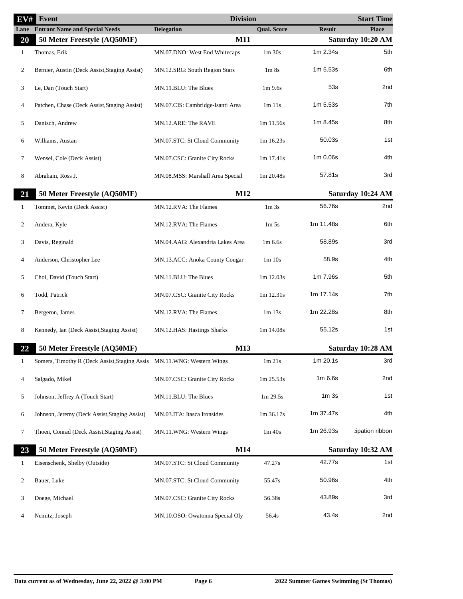| EV#          | Event                                                                  | <b>Division</b>                  |                               |                  | <b>Start Time</b> |
|--------------|------------------------------------------------------------------------|----------------------------------|-------------------------------|------------------|-------------------|
|              | <b>Lane</b> Entrant Name and Special Needs                             | <b>Delegation</b>                | <b>Qual. Score</b>            | <b>Result</b>    | <b>Place</b>      |
| 20           | 50 Meter Freestyle (AQ50MF)                                            | <b>M11</b>                       |                               |                  | Saturday 10:20 AM |
| $\mathbf{1}$ | Thomas, Erik                                                           | MN.07.DNO: West End Whitecaps    | $1m$ 30s                      | 1m 2.34s         | 5th               |
| 2            | Bernier, Austin (Deck Assist, Staging Assist)                          | MN.12.SRG: South Region Stars    | 1 <sub>m</sub> 8 <sub>s</sub> | 1m 5.53s         | 6th               |
| 3            | Le, Dan (Touch Start)                                                  | MN.11.BLU: The Blues             | $1m$ 9.6s                     | 53s              | 2nd               |
| 4            | Patchen, Chase (Deck Assist, Staging Assist)                           | MN.07.CIS: Cambridge-Isanti Area | 1m 11s                        | 1m 5.53s         | 7th               |
| 5            | Danisch, Andrew                                                        | MN.12.ARE: The RAVE              | 1m 11.56s                     | 1m 8.45s         | 8th               |
| 6            | Williams, Austan                                                       | MN.07.STC: St Cloud Community    | 1m 16.23s                     | 50.03s           | 1st               |
| 7            | Wensel, Cole (Deck Assist)                                             | MN.07.CSC: Granite City Rocks    | 1m 17.41s                     | 1m 0.06s         | 4th               |
| 8            | Abraham, Ross J.                                                       | MN.08.MSS: Marshall Area Special | 1m 20.48s                     | 57.81s           | 3rd               |
| 21           | 50 Meter Freestyle (AQ50MF)                                            | M12                              |                               |                  | Saturday 10:24 AM |
| $\mathbf{1}$ | Tommet, Kevin (Deck Assist)                                            | MN.12.RVA: The Flames            | 1 <sub>m</sub> 3 <sub>s</sub> | 56.76s           | 2nd               |
| 2            | Andera, Kyle                                                           | MN.12.RVA: The Flames            | 1 <sub>m</sub> 5 <sub>s</sub> | 1m 11.48s        | 6th               |
| 3            | Davis, Reginald                                                        | MN.04.AAG: Alexandria Lakes Area | $1m\,6.6s$                    | 58.89s           | 3rd               |
| 4            | Anderson, Christopher Lee                                              | MN.13.ACC: Anoka County Cougar   | 1m 10s                        | 58.9s            | 4th               |
| 5            | Choi, David (Touch Start)                                              | MN.11.BLU: The Blues             | $1m$ 12.03s                   | 1m 7.96s         | 5th               |
| 6            | Todd, Patrick                                                          | MN.07.CSC: Granite City Rocks    | $1m$ 12.31s                   | 1m 17.14s        | 7th               |
| 7            | Bergeron, James                                                        | MN.12.RVA: The Flames            | $1m$ 13s                      | 1m 22.28s        | 8th               |
| 8            | Kennedy, Ian (Deck Assist, Staging Assist)                             | MN.12.HAS: Hastings Sharks       | $1m$ 14.08s                   | 55.12s           | 1st               |
| 22           | 50 Meter Freestyle (AQ50MF)                                            | M13                              |                               |                  | Saturday 10:28 AM |
| $\mathbf{1}$ | Somers, Timothy R (Deck Assist, Staging Assis MN.11.WNG: Western Wings |                                  | $1m$ 21s                      | 1m 20.1s         | 3rd               |
| 4            | Salgado, Mikel                                                         | MN.07.CSC: Granite City Rocks    | 1m 25.53s                     | $1m$ 6.6s        | 2nd               |
| 5            | Johnson, Jeffrey A (Touch Start)                                       | MN.11.BLU: The Blues             | 1m 29.5s                      | 1m <sub>3s</sub> | 1st               |
| 6            | Johnson, Jeremy (Deck Assist, Staging Assist)                          | MN.03.ITA: Itasca Ironsides      | 1m 36.17s                     | 1m 37.47s        | 4th               |
| 7            | Thoen, Conrad (Deck Assist, Staging Assist)                            | MN.11.WNG: Western Wings         | $1m$ 40s                      | 1m 26.93s        | cipation ribbon   |
| 23           | 50 Meter Freestyle (AQ50MF)                                            | M14                              |                               |                  | Saturday 10:32 AM |
| 1            | Eisenschenk, Shelby (Outside)                                          | MN.07.STC: St Cloud Community    | 47.27s                        | 42.77s           | 1st               |
| 2            | Bauer, Luke                                                            | MN.07.STC: St Cloud Community    | 55.47s                        | 50.96s           | 4th               |
| 3            | Doege, Michael                                                         | MN.07.CSC: Granite City Rocks    | 56.38s                        | 43.89s           | 3rd               |
| 4            | Nemitz, Joseph                                                         | MN.10.OSO: Owatonna Special Oly  | 56.4s                         | 43.4s            | 2nd               |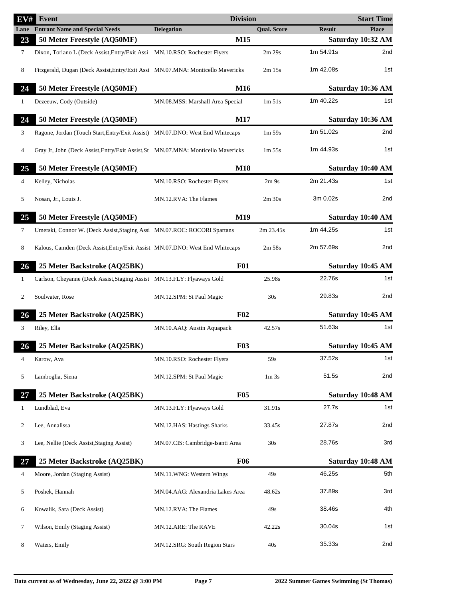| EV#  | <b>Event</b>                                                                      | <b>Division</b>                  |                               |               | <b>Start Time</b> |
|------|-----------------------------------------------------------------------------------|----------------------------------|-------------------------------|---------------|-------------------|
| Lane | <b>Entrant Name and Special Needs</b>                                             | <b>Delegation</b>                | <b>Qual. Score</b>            | <b>Result</b> | <b>Place</b>      |
| 23   | 50 Meter Freestyle (AQ50MF)                                                       | M15                              |                               |               | Saturday 10:32 AM |
| 7    | Dixon, Toriano L (Deck Assist, Entry/Exit Assi MN.10.RSO: Rochester Flyers        |                                  | 2m 29s                        | 1m 54.91s     | 2nd               |
| 8    | Fitzgerald, Dugan (Deck Assist, Entry/Exit Assi MN.07.MNA: Monticello Mavericks   |                                  | $2m$ 15s                      | 1m 42.08s     | 1st               |
| 24   | 50 Meter Freestyle (AQ50MF)                                                       | M16                              |                               |               | Saturday 10:36 AM |
| 1    | Dezeeuw, Cody (Outside)                                                           | MN.08.MSS: Marshall Area Special | 1m 51s                        | 1m 40.22s     | 1st               |
| 24   | 50 Meter Freestyle (AQ50MF)                                                       | <b>M17</b>                       |                               |               | Saturday 10:36 AM |
| 3    | Ragone, Jordan (Touch Start, Entry/Exit Assist) MN.07.DNO: West End Whitecaps     |                                  | 1m 59s                        | 1m 51.02s     | 2nd               |
| 4    | Gray Jr, John (Deck Assist, Entry/Exit Assist, St MN.07.MNA: Monticello Mavericks |                                  | $1m\,55s$                     | 1m 44.93s     | 1st               |
| 25   | 50 Meter Freestyle (AQ50MF)                                                       | <b>M18</b>                       |                               |               | Saturday 10:40 AM |
| 4    | Kelley, Nicholas                                                                  | MN.10.RSO: Rochester Flyers      | 2m <sub>9s</sub>              | 2m 21.43s     | 1st               |
| 5    | Nosan, Jr., Louis J.                                                              | MN.12.RVA: The Flames            | $2m$ 30s                      | 3m 0.02s      | 2nd               |
| 25   | 50 Meter Freestyle (AQ50MF)                                                       | M19                              |                               |               | Saturday 10:40 AM |
| 7    | Umerski, Connor W. (Deck Assist, Staging Assi MN.07.ROC: ROCORI Spartans          |                                  | 2m 23.45s                     | 1m 44.25s     | 1st               |
| 8    | Kalous, Camden (Deck Assist, Entry/Exit Assist MN.07.DNO: West End Whitecaps      |                                  | 2m 58s                        | 2m 57.69s     | 2nd               |
| 26   | 25 Meter Backstroke (AQ25BK)                                                      | <b>F01</b>                       |                               |               | Saturday 10:45 AM |
| 1    | Carlson, Cheyanne (Deck Assist, Staging Assist MN.13.FLY: Flyaways Gold           |                                  | 25.98s                        | 22.76s        | 1st               |
| 2    | Soulwater, Rose                                                                   | MN.12.SPM: St Paul Magic         | 30s                           | 29.83s        | 2nd               |
| 26   | 25 Meter Backstroke (AQ25BK)                                                      | F02                              |                               |               | Saturday 10:45 AM |
| 3    | Riley, Ella                                                                       | MN.10.AAQ: Austin Aquapack       | 42.57s                        | 51.63s        | 1st               |
| 26   | 25 Meter Backstroke (AQ25BK)                                                      | <b>F03</b>                       |                               |               | Saturday 10:45 AM |
| 4    | Karow, Ava                                                                        | MN.10.RSO: Rochester Flyers      | 59s                           | 37.52s        | 1st               |
| 5    | Lamboglia, Siena                                                                  | MN.12.SPM: St Paul Magic         | 1 <sub>m</sub> 3 <sub>s</sub> | 51.5s         | 2nd               |
| 27   | 25 Meter Backstroke (AQ25BK)                                                      | <b>F05</b>                       |                               |               | Saturday 10:48 AM |
| 1    | Lundblad, Eva                                                                     | MN.13.FLY: Flyaways Gold         | 31.91s                        | 27.7s         | 1st               |
| 2    | Lee, Annalissa                                                                    | MN.12.HAS: Hastings Sharks       | 33.45s                        | 27.87s        | 2nd               |
|      |                                                                                   |                                  |                               |               |                   |
| 3    | Lee, Nellie (Deck Assist, Staging Assist)                                         | MN.07.CIS: Cambridge-Isanti Area | 30s                           | 28.76s        | 3rd               |
| 27   | 25 Meter Backstroke (AQ25BK)                                                      | <b>F06</b>                       |                               |               | Saturday 10:48 AM |
| 4    | Moore, Jordan (Staging Assist)                                                    | MN.11.WNG: Western Wings         | 49s                           | 46.25s        | 5th               |
| 5    | Poshek, Hannah                                                                    | MN.04.AAG: Alexandria Lakes Area | 48.62s                        | 37.89s        | 3rd               |
| 6    | Kowalik, Sara (Deck Assist)                                                       | MN.12.RVA: The Flames            | 49s                           | 38.46s        | 4th               |
| 7    | Wilson, Emily (Staging Assist)                                                    | MN.12.ARE: The RAVE              | 42.22s                        | 30.04s        | 1st               |
| 8    | Waters, Emily                                                                     | MN.12.SRG: South Region Stars    | 40s                           | 35.33s        | 2nd               |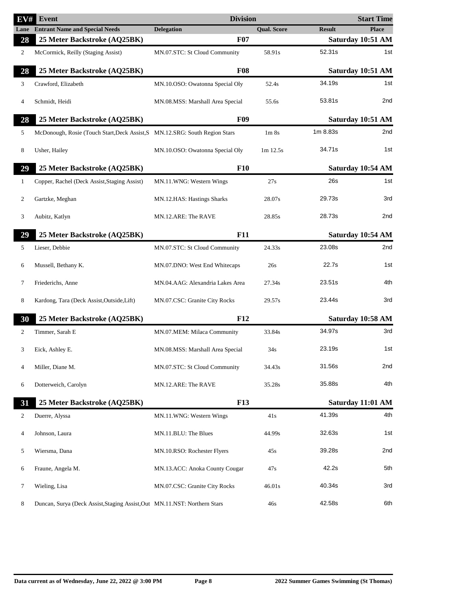| EV# | Event                                                                       | <b>Division</b>                  |                               |               | <b>Start Time</b> |
|-----|-----------------------------------------------------------------------------|----------------------------------|-------------------------------|---------------|-------------------|
|     | <b>Lane</b> Entrant Name and Special Needs                                  | <b>Delegation</b>                | <b>Qual. Score</b>            | <b>Result</b> | <b>Place</b>      |
| 28  | 25 Meter Backstroke (AQ25BK)                                                | <b>F07</b>                       |                               |               | Saturday 10:51 AM |
| 2   | McCormick, Reilly (Staging Assist)                                          | MN.07.STC: St Cloud Community    | 58.91s                        | 52.31s        | 1st               |
| 28  | 25 Meter Backstroke (AQ25BK)                                                | <b>F08</b>                       |                               |               | Saturday 10:51 AM |
| 3   | Crawford, Elizabeth                                                         | MN.10.OSO: Owatonna Special Oly  | 52.4s                         | 34.19s        | 1st               |
| 4   | Schmidt, Heidi                                                              | MN.08.MSS: Marshall Area Special | 55.6s                         | 53.81s        | 2nd               |
| 28  | 25 Meter Backstroke (AQ25BK)                                                | <b>F09</b>                       |                               |               | Saturday 10:51 AM |
| 5   | McDonough, Rosie (Touch Start, Deck Assist, S MN.12.SRG: South Region Stars |                                  | 1 <sub>m</sub> 8 <sub>s</sub> | 1m 8.83s      | 2nd               |
| 8   | Usher, Hailey                                                               | MN.10.OSO: Owatonna Special Oly  | $1m$ 12.5s                    | 34.71s        | 1st               |
| 29  | 25 Meter Backstroke (AQ25BK)                                                | F10                              |                               |               | Saturday 10:54 AM |
| 1   | Copper, Rachel (Deck Assist, Staging Assist)                                | MN.11.WNG: Western Wings         | 27s                           | 26s           | 1st               |
| 2   | Gartzke, Meghan                                                             | MN.12.HAS: Hastings Sharks       | 28.07s                        | 29.73s        | 3rd               |
| 3   | Aubitz, Katlyn                                                              | MN.12.ARE: The RAVE              | 28.85s                        | 28.73s        | 2nd               |
| 29  | 25 Meter Backstroke (AQ25BK)                                                | F11                              |                               |               | Saturday 10:54 AM |
| 5   | Lieser, Debbie                                                              | MN.07.STC: St Cloud Community    | 24.33s                        | 23.08s        | 2nd               |
| 6   | Mussell, Bethany K.                                                         | MN.07.DNO: West End Whitecaps    | 26s                           | 22.7s         | 1st               |
| 7   | Friederichs, Anne                                                           | MN.04.AAG: Alexandria Lakes Area | 27.34s                        | 23.51s        | 4th               |
| 8   | Kardong, Tara (Deck Assist, Outside, Lift)                                  | MN.07.CSC: Granite City Rocks    | 29.57s                        | 23.44s        | 3rd               |
| 30  | 25 Meter Backstroke (AQ25BK)                                                | <b>F12</b>                       |                               |               | Saturday 10:58 AM |
| 2   | Timmer, Sarah E                                                             | MN.07.MEM: Milaca Community      | 33.84s                        | 34.97s        | 3rd               |
| 3   | Eick, Ashley E.                                                             | MN.08.MSS: Marshall Area Special | 34s                           | 23.19s        | 1st               |
| 4   | Miller, Diane M.                                                            | MN.07.STC: St Cloud Community    | 34.43s                        | 31.56s        | 2nd               |
| 6   | Dotterweich, Carolyn                                                        | MN.12.ARE: The RAVE              | 35.28s                        | 35.88s        | 4th               |
| 31  | 25 Meter Backstroke (AQ25BK)                                                | <b>F13</b>                       |                               |               | Saturday 11:01 AM |
| 2   | Duerre, Alyssa                                                              | MN.11.WNG: Western Wings         | 41s                           | 41.39s        | 4th               |
| 4   | Johnson, Laura                                                              | MN.11.BLU: The Blues             | 44.99s                        | 32.63s        | 1st               |
| 5   | Wiersma, Dana                                                               | MN.10.RSO: Rochester Flyers      | 45s                           | 39.28s        | 2nd               |
| 6   | Fraune, Angela M.                                                           | MN.13.ACC: Anoka County Cougar   | 47s                           | 42.2s         | 5th               |
| 7   | Wieling, Lisa                                                               | MN.07.CSC: Granite City Rocks    | 46.01s                        | 40.34s        | 3rd               |
| 8   | Duncan, Surya (Deck Assist, Staging Assist, Out MN.11.NST: Northern Stars   |                                  | 46s                           | 42.58s        | 6th               |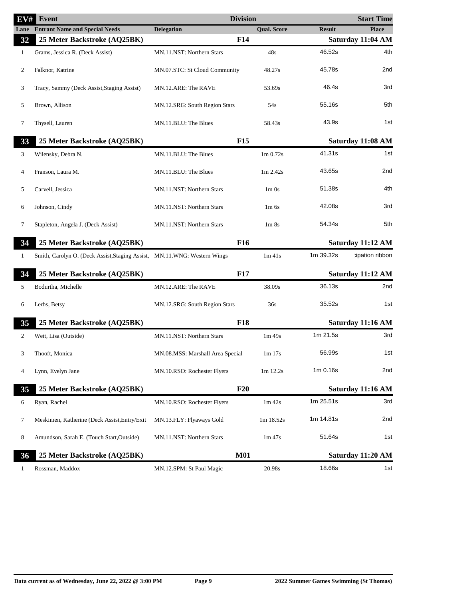| EV#  | Event                                                                    | <b>Division</b>                  |                                  |               | <b>Start Time</b> |
|------|--------------------------------------------------------------------------|----------------------------------|----------------------------------|---------------|-------------------|
| Lane | <b>Entrant Name and Special Needs</b>                                    | <b>Delegation</b>                | <b>Qual. Score</b>               | <b>Result</b> | <b>Place</b>      |
| 32   | 25 Meter Backstroke (AQ25BK)                                             | <b>F14</b>                       |                                  |               | Saturday 11:04 AM |
| 1    | Grams, Jessica R. (Deck Assist)                                          | MN.11.NST: Northern Stars        | 48s                              | 46.52s        | 4th               |
| 2    | Falknor, Katrine                                                         | MN.07.STC: St Cloud Community    | 48.27s                           | 45.78s        | 2nd               |
| 3    | Tracy, Sammy (Deck Assist, Staging Assist)                               | MN.12.ARE: The RAVE              | 53.69s                           | 46.4s         | 3rd               |
| 5    | Brown, Allison                                                           | MN.12.SRG: South Region Stars    | 54s                              | 55.16s        | 5th               |
| 7    | Thysell, Lauren                                                          | MN.11.BLU: The Blues             | 58.43s                           | 43.9s         | 1st               |
| 33   | 25 Meter Backstroke (AQ25BK)                                             | <b>F15</b>                       |                                  |               | Saturday 11:08 AM |
| 3    | Wilensky, Debra N.                                                       | MN.11.BLU: The Blues             | 1 <sub>m</sub> 0.72 <sub>s</sub> | 41.31s        | 1st               |
| 4    | Franson, Laura M.                                                        | MN.11.BLU: The Blues             | $1m$ 2.42s                       | 43.65s        | 2nd               |
| 5    | Carvell, Jessica                                                         | MN.11.NST: Northern Stars        | $1m$ 0s                          | 51.38s        | 4th               |
| 6    | Johnson, Cindy                                                           | MN.11.NST: Northern Stars        | $1m$ 6s                          | 42.08s        | 3rd               |
| 7    | Stapleton, Angela J. (Deck Assist)                                       | MN.11.NST: Northern Stars        | 1 <sub>m</sub> 8 <sub>s</sub>    | 54.34s        | 5th               |
| 34   | 25 Meter Backstroke (AQ25BK)                                             | F <sub>16</sub>                  |                                  |               | Saturday 11:12 AM |
| 1    | Smith, Carolyn O. (Deck Assist, Staging Assist, MN.11.WNG: Western Wings |                                  | $1m$ 41s                         | 1m 39.32s     | tipation ribbon:  |
| 34   | 25 Meter Backstroke (AQ25BK)                                             | <b>F17</b>                       |                                  |               | Saturday 11:12 AM |
| 5    | Bodurtha, Michelle                                                       | MN.12.ARE: The RAVE              | 38.09s                           | 36.13s        | 2nd               |
| 6    | Lerbs, Betsy                                                             | MN.12.SRG: South Region Stars    | 36s                              | 35.52s        | 1st               |
| 35   | 25 Meter Backstroke (AQ25BK)                                             | <b>F18</b>                       |                                  |               | Saturday 11:16 AM |
| 2    | Wett, Lisa (Outside)                                                     | MN.11.NST: Northern Stars        | 1m 49s                           | 1m 21.5s      | 3rd               |
|      | Thooft, Monica                                                           | MN.08.MSS: Marshall Area Special | 1m 17s                           | 56.99s        | 1st               |
| 4    | Lynn, Evelyn Jane                                                        | MN.10.RSO: Rochester Flyers      | 1m 12.2s                         | 1m 0.16s      | 2nd               |
| 35   | 25 Meter Backstroke (AQ25BK)                                             | F20                              |                                  |               | Saturday 11:16 AM |
| 6    | Ryan, Rachel                                                             | MN.10.RSO: Rochester Flyers      | $1m$ 42s                         | 1m 25.51s     | 3rd               |
| 7    | Meskimen, Katherine (Deck Assist, Entry/Exit                             | MN.13.FLY: Flyaways Gold         | 1m 18.52s                        | 1m 14.81s     | 2nd               |
| 8    | Amundson, Sarah E. (Touch Start, Outside)                                | MN.11.NST: Northern Stars        | $1m\,47s$                        | 51.64s        | 1st               |
| 36   | 25 Meter Backstroke (AQ25BK)                                             | <b>M01</b>                       |                                  |               | Saturday 11:20 AM |
| 1    | Rossman, Maddox                                                          | MN.12.SPM: St Paul Magic         | 20.98s                           | 18.66s        | 1st               |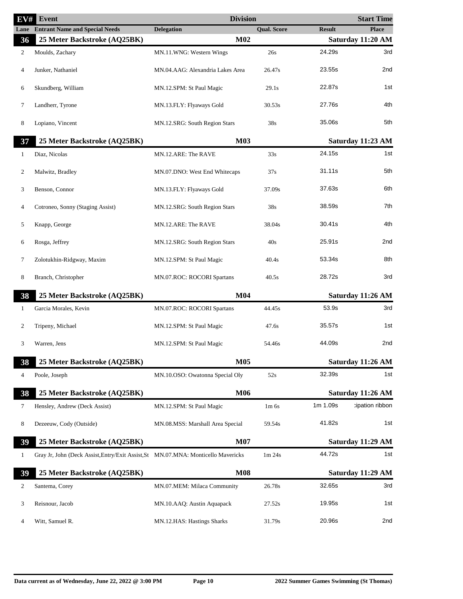| EV#          | <b>Event</b>                                                                      | <b>Division</b>                  |                    |               | <b>Start Time</b> |
|--------------|-----------------------------------------------------------------------------------|----------------------------------|--------------------|---------------|-------------------|
|              | <b>Lane</b> Entrant Name and Special Needs                                        | <b>Delegation</b>                | <b>Qual. Score</b> | <b>Result</b> | <b>Place</b>      |
| 36           | 25 Meter Backstroke (AQ25BK)                                                      | M02                              |                    |               | Saturday 11:20 AM |
| 2            | Moulds, Zachary                                                                   | MN.11.WNG: Western Wings         | 26s                | 24.29s        | 3rd               |
| 4            | Junker, Nathaniel                                                                 | MN.04.AAG: Alexandria Lakes Area | 26.47s             | 23.55s        | 2nd               |
| 6            | Skundberg, William                                                                | MN.12.SPM: St Paul Magic         | 29.1s              | 22.87s        | 1st               |
| 7            | Landherr, Tyrone                                                                  | MN.13.FLY: Flyaways Gold         | 30.53s             | 27.76s        | 4th               |
| 8            | Lopiano, Vincent                                                                  | MN.12.SRG: South Region Stars    | 38s                | 35.06s        | 5th               |
| 37           | 25 Meter Backstroke (AQ25BK)                                                      | <b>M03</b>                       |                    |               | Saturday 11:23 AM |
| 1            | Diaz, Nicolas                                                                     | MN.12.ARE: The RAVE              | 33s                | 24.15s        | 1st               |
| 2            | Malwitz, Bradley                                                                  | MN.07.DNO: West End Whitecaps    | 37s                | 31.11s        | 5th               |
| 3            | Benson, Connor                                                                    | MN.13.FLY: Flyaways Gold         | 37.09s             | 37.63s        | 6th               |
| 4            | Cotroneo, Sonny (Staging Assist)                                                  | MN.12.SRG: South Region Stars    | 38s                | 38.59s        | 7th               |
| 5            | Knapp, George                                                                     | MN.12.ARE: The RAVE              | 38.04s             | 30.41s        | 4th               |
| 6            | Rosga, Jeffrey                                                                    | MN.12.SRG: South Region Stars    | 40s                | 25.91s        | 2nd               |
| 7            | Zolotukhin-Ridgway, Maxim                                                         | MN.12.SPM: St Paul Magic         | 40.4s              | 53.34s        | 8th               |
| 8            | Branch, Christopher                                                               | MN.07.ROC: ROCORI Spartans       | 40.5s              | 28.72s        | 3rd               |
| 38           | 25 Meter Backstroke (AQ25BK)                                                      | M <sub>04</sub>                  |                    |               | Saturday 11:26 AM |
| $\mathbf{1}$ | Garcia Morales, Kevin                                                             | MN.07.ROC: ROCORI Spartans       | 44.45s             | 53.9s         | 3rd               |
| 2            | Tripeny, Michael                                                                  | MN.12.SPM: St Paul Magic         | 47.6s              | 35.57s        | 1st               |
| 3            | Warren, Jens                                                                      | MN.12.SPM: St Paul Magic         | 54.46s             | 44.09s        | 2nd               |
| 38           | 25 Meter Backstroke (AQ25BK)                                                      | <b>M05</b>                       |                    |               | Saturday 11:26 AM |
| 4            | Poole, Joseph                                                                     | MN.10.OSO: Owatonna Special Oly  | 52s                | 32.39s        | 1st               |
| 38           | 25 Meter Backstroke (AQ25BK)                                                      | M06                              |                    |               | Saturday 11:26 AM |
| 7            | Hensley, Andrew (Deck Assist)                                                     | MN.12.SPM: St Paul Magic         | $1m$ 6s            | 1m 1.09s      | cipation ribbon   |
| 8            | Dezeeuw, Cody (Outside)                                                           | MN.08.MSS: Marshall Area Special | 59.54s             | 41.82s        | 1st               |
| 39           | 25 Meter Backstroke (AQ25BK)                                                      | <b>M07</b>                       |                    |               | Saturday 11:29 AM |
| $\mathbf{1}$ | Gray Jr, John (Deck Assist, Entry/Exit Assist, St MN.07.MNA: Monticello Mavericks |                                  | 1m 24s             | 44.72s        | 1st               |
| 39           | 25 Meter Backstroke (AQ25BK)                                                      | <b>M08</b>                       |                    |               | Saturday 11:29 AM |
| 2            | Santema, Corey                                                                    | MN.07.MEM: Milaca Community      | 26.78s             | 32.65s        | 3rd               |
| 3            | Reisnour, Jacob                                                                   | MN.10.AAQ: Austin Aquapack       | 27.52s             | 19.95s        | 1st               |
| 4            | Witt, Samuel R.                                                                   | MN.12.HAS: Hastings Sharks       | 31.79s             | 20.96s        | 2nd               |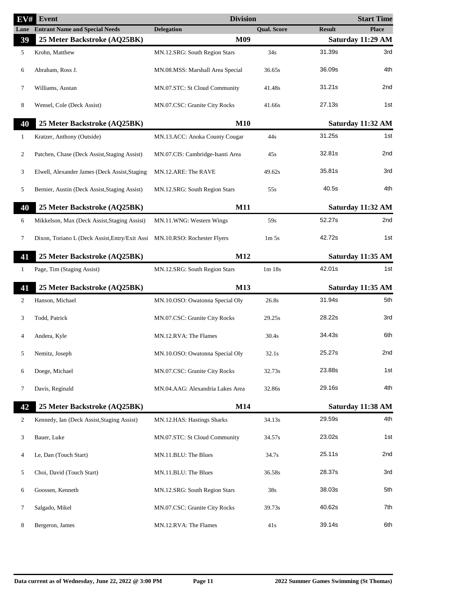| EV#          | Event                                          | <b>Division</b>                  |                               |               | <b>Start Time</b> |
|--------------|------------------------------------------------|----------------------------------|-------------------------------|---------------|-------------------|
| Lane         | <b>Entrant Name and Special Needs</b>          | <b>Delegation</b>                | <b>Qual. Score</b>            | <b>Result</b> | <b>Place</b>      |
| 39           | 25 Meter Backstroke (AQ25BK)                   | M09                              |                               |               | Saturday 11:29 AM |
| 5            | Krohn, Matthew                                 | MN.12.SRG: South Region Stars    | 34s                           | 31.39s        | 3rd               |
| 6            | Abraham, Ross J.                               | MN.08.MSS: Marshall Area Special | 36.65s                        | 36.09s        | 4th               |
| 7            | Williams, Austan                               | MN.07.STC: St Cloud Community    | 41.48s                        | 31.21s        | 2nd               |
| 8            | Wensel, Cole (Deck Assist)                     | MN.07.CSC: Granite City Rocks    | 41.66s                        | 27.13s        | 1st               |
| 40           | 25 Meter Backstroke (AQ25BK)                   | M10                              |                               |               | Saturday 11:32 AM |
| 1            | Kratzer, Anthony (Outside)                     | MN.13.ACC: Anoka County Cougar   | 44s                           | 31.25s        | 1st               |
| 2            | Patchen, Chase (Deck Assist, Staging Assist)   | MN.07.CIS: Cambridge-Isanti Area | 45s                           | 32.81s        | 2nd               |
| 3            | Elwell, Alexander James (Deck Assist, Staging  | MN.12.ARE: The RAVE              | 49.62s                        | 35.81s        | 3rd               |
| 5            | Bernier, Austin (Deck Assist, Staging Assist)  | MN.12.SRG: South Region Stars    | 55s                           | 40.5s         | 4th               |
| 40           | 25 Meter Backstroke (AQ25BK)                   | <b>M11</b>                       |                               |               | Saturday 11:32 AM |
| 6            | Mikkelson, Max (Deck Assist, Staging Assist)   | MN.11.WNG: Western Wings         | 59s                           | 52.27s        | 2nd               |
| 7            | Dixon, Toriano L (Deck Assist, Entry/Exit Assi | MN.10.RSO: Rochester Flyers      | 1 <sub>m</sub> 5 <sub>s</sub> | 42.72s        | 1st               |
| 41           | 25 Meter Backstroke (AQ25BK)                   | M12                              |                               |               | Saturday 11:35 AM |
| $\mathbf{1}$ | Page, Tim (Staging Assist)                     | MN.12.SRG: South Region Stars    | 1m18s                         | 42.01s        | 1st               |
| 41           | 25 Meter Backstroke (AQ25BK)                   | M13                              |                               |               | Saturday 11:35 AM |
| 2            | Hanson, Michael                                | MN.10.OSO: Owatonna Special Oly  | 26.8s                         | 31.94s        | 5th               |
| 3            | Todd, Patrick                                  | MN.07.CSC: Granite City Rocks    | 29.25s                        | 28.22s        | 3rd               |
| 4            | Andera, Kyle                                   | MN.12.RVA: The Flames            | 30.4s                         | 34.43s        | 6th               |
|              | Nemitz, Joseph                                 | MN.10.OSO: Owatonna Special Oly  | 32.1s                         | 25.27s        | 2nd               |
| 6            | Doege, Michael                                 | MN.07.CSC: Granite City Rocks    | 32.73s                        | 23.88s        | 1st               |
| 7            | Davis, Reginald                                | MN.04.AAG: Alexandria Lakes Area | 32.86s                        | 29.16s        | 4th               |
| 42           | 25 Meter Backstroke (AQ25BK)                   | M14                              |                               |               | Saturday 11:38 AM |
| 2            | Kennedy, Ian (Deck Assist, Staging Assist)     | MN.12.HAS: Hastings Sharks       | 34.13s                        | 29.59s        | 4th               |
| 3            | Bauer, Luke                                    | MN.07.STC: St Cloud Community    | 34.57s                        | 23.02s        | 1st               |
| 4            | Le, Dan (Touch Start)                          | MN.11.BLU: The Blues             | 34.7s                         | 25.11s        | 2nd               |
| 5            | Choi, David (Touch Start)                      | MN.11.BLU: The Blues             | 36.58s                        | 28.37s        | 3rd               |
| 6            | Goossen, Kenneth                               | MN.12.SRG: South Region Stars    | 38s                           | 38.03s        | 5th               |
| 7            | Salgado, Mikel                                 | MN.07.CSC: Granite City Rocks    | 39.73s                        | 40.62s        | 7th               |
| 8            | Bergeron, James                                | MN.12.RVA: The Flames            | 41s                           | 39.14s        | 6th               |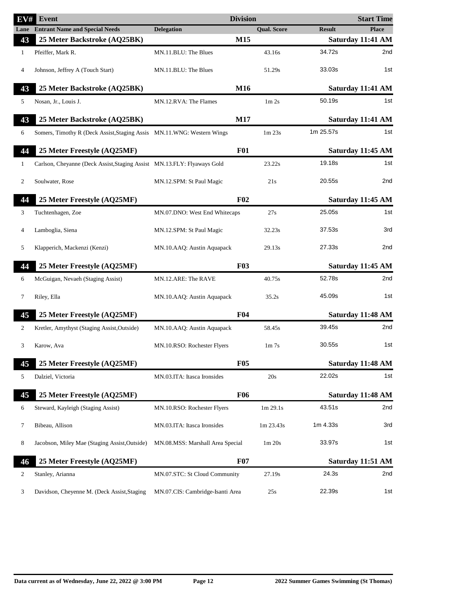| EV#          | <b>Event</b>                                                            | <b>Division</b>                  |                                |               | <b>Start Time</b> |
|--------------|-------------------------------------------------------------------------|----------------------------------|--------------------------------|---------------|-------------------|
|              | <b>Lane</b> Entrant Name and Special Needs                              | <b>Delegation</b>                | <b>Qual. Score</b>             | <b>Result</b> | <b>Place</b>      |
| 43           | 25 Meter Backstroke (AQ25BK)                                            | M15                              |                                |               | Saturday 11:41 AM |
| $\mathbf{1}$ | Pfeiffer, Mark R.                                                       | MN.11.BLU: The Blues             | 43.16s                         | 34.72s        | 2nd               |
| 4            | Johnson, Jeffrey A (Touch Start)                                        | MN.11.BLU: The Blues             | 51.29s                         | 33.03s        | 1st               |
| 43           | 25 Meter Backstroke (AQ25BK)                                            | M16                              |                                |               | Saturday 11:41 AM |
| 5            | Nosan, Jr., Louis J.                                                    | MN.12.RVA: The Flames            | 1 <sub>m</sub> 2 <sub>s</sub>  | 50.19s        | 1st               |
| 43           | 25 Meter Backstroke (AQ25BK)                                            | M17                              |                                |               | Saturday 11:41 AM |
| 6            | Somers, Timothy R (Deck Assist, Staging Assis MN.11.WNG: Western Wings  |                                  | 1m 23s                         | 1m 25.57s     | 1st               |
| 44           | 25 Meter Freestyle (AQ25MF)                                             | <b>F01</b>                       |                                |               | Saturday 11:45 AM |
| 1            | Carlson, Cheyanne (Deck Assist, Staging Assist MN.13.FLY: Flyaways Gold |                                  | 23.22s                         | 19.18s        | 1st               |
| 2            | Soulwater, Rose                                                         | MN.12.SPM: St Paul Magic         | 21s                            | 20.55s        | 2nd               |
| 44           | 25 Meter Freestyle (AQ25MF)                                             | F <sub>02</sub>                  |                                |               | Saturday 11:45 AM |
| 3            | Tuchtenhagen, Zoe                                                       | MN.07.DNO: West End Whitecaps    | 27s                            | 25.05s        | 1st               |
| 4            | Lamboglia, Siena                                                        | MN.12.SPM: St Paul Magic         | 32.23s                         | 37.53s        | 3rd               |
| 5            | Klapperich, Mackenzi (Kenzi)                                            | MN.10.AAQ: Austin Aquapack       | 29.13s                         | 27.33s        | 2nd               |
| 44           | 25 Meter Freestyle (AQ25MF)                                             | F03                              |                                |               | Saturday 11:45 AM |
| 6            | McGuigan, Nevaeh (Staging Assist)                                       | MN.12.ARE: The RAVE              | 40.75s                         | 52.78s        | 2nd               |
|              |                                                                         |                                  |                                |               |                   |
| 7            | Riley, Ella                                                             | MN.10.AAQ: Austin Aquapack       | 35.2s                          | 45.09s        | 1st               |
| 45           | 25 Meter Freestyle (AQ25MF)                                             | F <sub>04</sub>                  |                                |               | Saturday 11:48 AM |
| 2            | Kretler, Amythyst (Staging Assist, Outside)                             | MN.10.AAQ: Austin Aquapack       | 58.45s                         | 39.45s        | 2nd               |
| 3            | Karow, Ava                                                              | MN.10.RSO: Rochester Flyers      | 1 <sub>m</sub> 7 <sub>s</sub>  | 30.55s        | 1st               |
| 45           | 25 Meter Freestyle (AQ25MF)                                             | <b>F05</b>                       |                                |               | Saturday 11:48 AM |
| 5            | Dalziel, Victoria                                                       | MN.03.ITA: Itasca Ironsides      | 20s                            | 22.02s        | 1st               |
| 45           | 25 Meter Freestyle (AQ25MF)                                             | <b>F06</b>                       |                                |               | Saturday 11:48 AM |
| 6            | Steward, Kayleigh (Staging Assist)                                      | MN.10.RSO: Rochester Flyers      | 1m 29.1s                       | 43.51s        | 2nd               |
| 7            | Bibeau, Allison                                                         | MN.03.ITA: Itasca Ironsides      | 1m 23.43s                      | 1m 4.33s      | 3rd               |
| 8            | Jacobson, Miley Mae (Staging Assist, Outside)                           | MN.08.MSS: Marshall Area Special | 1 <sub>m</sub> 20 <sub>s</sub> | 33.97s        | 1st               |
| 46           | 25 Meter Freestyle (AQ25MF)                                             | <b>F07</b>                       |                                |               | Saturday 11:51 AM |
| 2            | Stanley, Arianna                                                        | MN.07.STC: St Cloud Community    | 27.19s                         | 24.3s         | 2nd               |
| 3            | Davidson, Cheyenne M. (Deck Assist, Staging                             | MN.07.CIS: Cambridge-Isanti Area | 25s                            | 22.39s        | 1st               |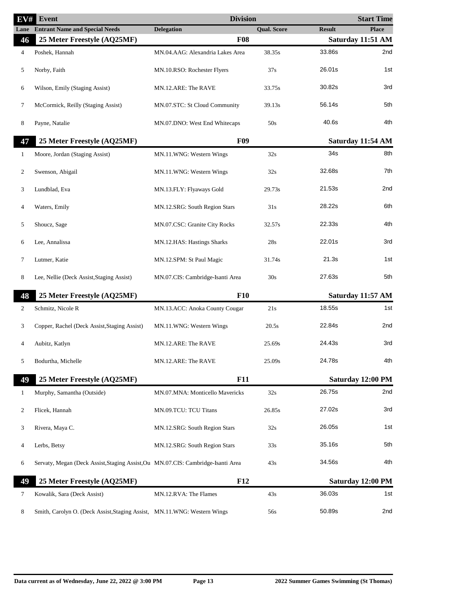| $\overline{{\bf E}{\bf V}}$ # | <b>Event</b>                                                                     | <b>Division</b>                  |                    |               | <b>Start Time</b> |
|-------------------------------|----------------------------------------------------------------------------------|----------------------------------|--------------------|---------------|-------------------|
|                               | <b>Lane</b> Entrant Name and Special Needs                                       | <b>Delegation</b>                | <b>Qual. Score</b> | <b>Result</b> | <b>Place</b>      |
| 46                            | 25 Meter Freestyle (AQ25MF)                                                      | <b>F08</b>                       |                    |               | Saturday 11:51 AM |
| 4                             | Poshek, Hannah                                                                   | MN.04.AAG: Alexandria Lakes Area | 38.35s             | 33.86s        | 2nd               |
| 5                             | Norby, Faith                                                                     | MN.10.RSO: Rochester Flyers      | 37s                | 26.01s        | 1st               |
| 6                             | Wilson, Emily (Staging Assist)                                                   | MN.12.ARE: The RAVE              | 33.75s             | 30.82s        | 3rd               |
| 7                             | McCormick, Reilly (Staging Assist)                                               | MN.07.STC: St Cloud Community    | 39.13s             | 56.14s        | 5th               |
| 8                             | Payne, Natalie                                                                   | MN.07.DNO: West End Whitecaps    | 50s                | 40.6s         | 4th               |
| 47                            | 25 Meter Freestyle (AQ25MF)                                                      | <b>F09</b>                       |                    |               | Saturday 11:54 AM |
| 1                             | Moore, Jordan (Staging Assist)                                                   | MN.11.WNG: Western Wings         | 32s                | 34s           | 8th               |
| 2                             | Swenson, Abigail                                                                 | MN.11.WNG: Western Wings         | 32s                | 32.68s        | 7th               |
| 3                             | Lundblad, Eva                                                                    | MN.13.FLY: Flyaways Gold         | 29.73s             | 21.53s        | 2nd               |
| $\overline{4}$                | Waters, Emily                                                                    | MN.12.SRG: South Region Stars    | 31s                | 28.22s        | 6th               |
| 5                             | Shoucz, Sage                                                                     | MN.07.CSC: Granite City Rocks    | 32.57s             | 22.33s        | 4th               |
| 6                             | Lee, Annalissa                                                                   | MN.12.HAS: Hastings Sharks       | 28s                | 22.01s        | 3rd               |
| 7                             | Lutmer, Katie                                                                    | MN.12.SPM: St Paul Magic         | 31.74s             | 21.3s         | 1st               |
| 8                             | Lee, Nellie (Deck Assist, Staging Assist)                                        | MN.07.CIS: Cambridge-Isanti Area | 30s                | 27.63s        | 5th               |
| 48                            | 25 Meter Freestyle (AQ25MF)                                                      | <b>F10</b>                       |                    |               | Saturday 11:57 AM |
| 2                             | Schmitz, Nicole R                                                                | MN.13.ACC: Anoka County Cougar   | 21s                | 18.55s        | 1st               |
| 3                             | Copper, Rachel (Deck Assist, Staging Assist)                                     | MN.11.WNG: Western Wings         | 20.5s              | 22.84s        | 2nd               |
| 4                             | Aubitz, Katlyn                                                                   | MN.12.ARE: The RAVE              | 25.69s             | 24.43s        | 3rd               |
| 5                             | Bodurtha, Michelle                                                               | MN.12.ARE: The RAVE              | 25.09s             | 24.78s        | 4th               |
| 49                            | 25 Meter Freestyle (AQ25MF)                                                      | <b>F11</b>                       |                    |               | Saturday 12:00 PM |
| $\mathbf{1}$                  | Murphy, Samantha (Outside)                                                       | MN.07.MNA: Monticello Mavericks  | 32s                | 26.75s        | 2nd               |
| 2                             | Flicek, Hannah                                                                   | MN.09.TCU: TCU Titans            | 26.85s             | 27.02s        | 3rd               |
| 3                             | Rivera, Maya C.                                                                  | MN.12.SRG: South Region Stars    | 32s                | 26.05s        | 1st               |
| 4                             | Lerbs, Betsy                                                                     | MN.12.SRG: South Region Stars    | 33s                | 35.16s        | 5th               |
| 6                             | Servaty, Megan (Deck Assist, Staging Assist, Ou MN.07.CIS: Cambridge-Isanti Area |                                  | 43s                | 34.56s        | 4th               |
| 49                            | 25 Meter Freestyle (AQ25MF)                                                      | F12                              |                    |               | Saturday 12:00 PM |
| 7                             | Kowalik, Sara (Deck Assist)                                                      | MN.12.RVA: The Flames            | 43s                | 36.03s        | 1st               |
| 8                             | Smith, Carolyn O. (Deck Assist, Staging Assist, MN.11.WNG: Western Wings         |                                  | 56s                | 50.89s        | 2nd               |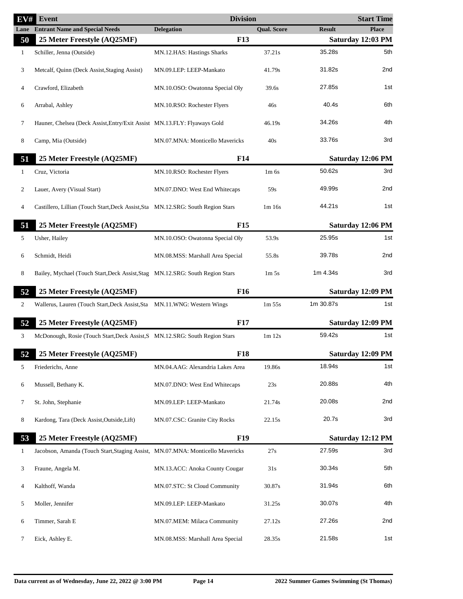| EV#          | Event                                                                            | <b>Division</b>                  |                               |               | <b>Start Time</b> |
|--------------|----------------------------------------------------------------------------------|----------------------------------|-------------------------------|---------------|-------------------|
|              | <b>Lane</b> Entrant Name and Special Needs                                       | <b>Delegation</b>                | <b>Qual. Score</b>            | <b>Result</b> | <b>Place</b>      |
| 50           | 25 Meter Freestyle (AQ25MF)                                                      | <b>F13</b>                       |                               |               | Saturday 12:03 PM |
| $\mathbf{1}$ | Schiller, Jenna (Outside)                                                        | MN.12.HAS: Hastings Sharks       | 37.21s                        | 35.28s        | 5th               |
| 3            | Metcalf, Quinn (Deck Assist, Staging Assist)                                     | MN.09.LEP: LEEP-Mankato          | 41.79s                        | 31.82s        | 2nd               |
| 4            | Crawford, Elizabeth                                                              | MN.10.OSO: Owatonna Special Oly  | 39.6s                         | 27.85s        | 1st               |
| 6            | Arrabal, Ashley                                                                  | MN.10.RSO: Rochester Flyers      | 46s                           | 40.4s         | 6th               |
| 7            | Hauner, Chelsea (Deck Assist, Entry/Exit Assist MN.13.FLY: Flyaways Gold         |                                  | 46.19s                        | 34.26s        | 4th               |
| 8            | Camp, Mia (Outside)                                                              | MN.07.MNA: Monticello Mavericks  | 40s                           | 33.76s        | 3rd               |
| 51           | 25 Meter Freestyle (AQ25MF)                                                      | F14                              |                               |               | Saturday 12:06 PM |
| 1            | Cruz, Victoria                                                                   | MN.10.RSO: Rochester Flyers      | $1m$ 6s                       | 50.62s        | 3rd               |
| 2            | Lauer, Avery (Visual Start)                                                      | MN.07.DNO: West End Whitecaps    | 59s                           | 49.99s        | 2nd               |
| 4            | Castillero, Lillian (Touch Start, Deck Assist, Sta MN.12.SRG: South Region Stars |                                  | 1m 16s                        | 44.21s        | 1st               |
| 51           | 25 Meter Freestyle (AQ25MF)                                                      | F <sub>15</sub>                  |                               |               | Saturday 12:06 PM |
| 5            | Usher, Hailey                                                                    | MN.10.OSO: Owatonna Special Oly  | 53.9s                         | 25.95s        | 1st               |
| 6            | Schmidt, Heidi                                                                   | MN.08.MSS: Marshall Area Special | 55.8s                         | 39.78s        | 2nd               |
| 8            | Bailey, Mychael (Touch Start, Deck Assist, Stag MN.12.SRG: South Region Stars    |                                  | 1 <sub>m</sub> 5 <sub>s</sub> | 1m 4.34s      | 3rd               |
| 52           | 25 Meter Freestyle (AQ25MF)                                                      | F <sub>16</sub>                  |                               |               | Saturday 12:09 PM |
| 2            | Wallerus, Lauren (Touch Start, Deck Assist, Sta MN.11.WNG: Western Wings         |                                  | 1m 55s                        | 1m 30.87s     | 1st               |
| 52           | 25 Meter Freestyle (AQ25MF)                                                      | <b>F17</b>                       |                               |               | Saturday 12:09 PM |
| 3            | McDonough, Rosie (Touch Start, Deck Assist, S MN.12.SRG: South Region Stars      |                                  | $1m$ 12s                      | 59.42s        | 1st               |
| 54           | 52 25 Meter Freestyle (AQ25MF)                                                   | <b>F18</b>                       |                               |               | Saturday 12:09 PM |
| 5            | Friederichs, Anne                                                                | MN.04.AAG: Alexandria Lakes Area | 19.86s                        | 18.94s        | 1st               |
| 6            | Mussell, Bethany K.                                                              | MN.07.DNO: West End Whitecaps    | 23s                           | 20.88s        | 4th               |
| 7            | St. John, Stephanie                                                              | MN.09.LEP: LEEP-Mankato          | 21.74s                        | 20.08s        | 2nd               |
| 8            | Kardong, Tara (Deck Assist, Outside, Lift)                                       | MN.07.CSC: Granite City Rocks    | 22.15s                        | 20.7s         | 3rd               |
| 53           | 25 Meter Freestyle (AQ25MF)                                                      | <b>F19</b>                       |                               |               | Saturday 12:12 PM |
| 1            | Jacobson, Amanda (Touch Start, Staging Assist, MN.07.MNA: Monticello Mavericks   |                                  | 27s                           | 27.59s        | 3rd               |
| 3            | Fraune, Angela M.                                                                | MN.13.ACC: Anoka County Cougar   | 31s                           | 30.34s        | 5th               |
| 4            | Kalthoff, Wanda                                                                  | MN.07.STC: St Cloud Community    | 30.87s                        | 31.94s        | 6th               |
| 5            | Moller, Jennifer                                                                 | MN.09.LEP: LEEP-Mankato          | 31.25s                        | 30.07s        | 4th               |
| 6            | Timmer, Sarah E                                                                  | MN.07.MEM: Milaca Community      | 27.12s                        | 27.26s        | 2nd               |
| 7            | Eick, Ashley E.                                                                  | MN.08.MSS: Marshall Area Special | 28.35s                        | 21.58s        | 1st               |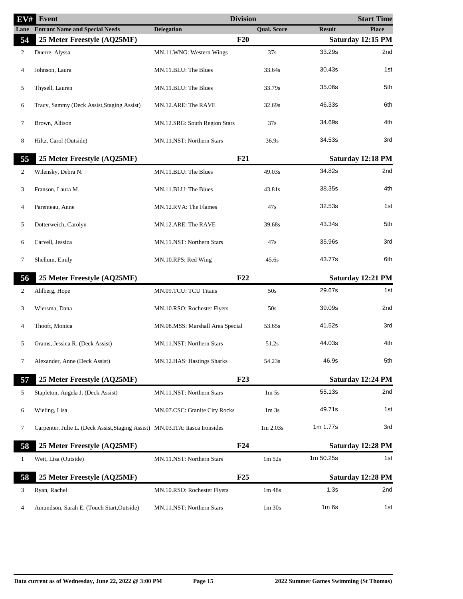| EV#            | <b>Event</b>                                                                  | <b>Division</b>                  |                                |               | <b>Start Time</b> |
|----------------|-------------------------------------------------------------------------------|----------------------------------|--------------------------------|---------------|-------------------|
| Lane           | <b>Entrant Name and Special Needs</b>                                         | <b>Delegation</b>                | <b>Qual. Score</b>             | <b>Result</b> | <b>Place</b>      |
| 54             | 25 Meter Freestyle (AQ25MF)                                                   | F20                              |                                |               | Saturday 12:15 PM |
| 2              | Duerre, Alyssa                                                                | MN.11.WNG: Western Wings         | 37s                            | 33.29s        | 2nd               |
| 4              | Johnson, Laura                                                                | MN.11.BLU: The Blues             | 33.64s                         | 30.43s        | 1st               |
| 5              | Thysell, Lauren                                                               | MN.11.BLU: The Blues             | 33.79s                         | 35.06s        | 5th               |
| 6              | Tracy, Sammy (Deck Assist, Staging Assist)                                    | MN.12.ARE: The RAVE              | 32.69s                         | 46.33s        | 6th               |
| 7              | Brown, Allison                                                                | MN.12.SRG: South Region Stars    | 37s                            | 34.69s        | 4th               |
| 8              | Hiltz, Carol (Outside)                                                        | MN.11.NST: Northern Stars        | 36.9s                          | 34.53s        | 3rd               |
| 55             | 25 Meter Freestyle (AQ25MF)                                                   | F21                              |                                |               | Saturday 12:18 PM |
| $\overline{2}$ | Wilensky, Debra N.                                                            | MN.11.BLU: The Blues             | 49.03s                         | 34.82s        | 2nd               |
| 3              | Franson, Laura M.                                                             | MN.11.BLU: The Blues             | 43.81s                         | 38.35s        | 4th               |
| 4              | Parenteau, Anne                                                               | MN.12.RVA: The Flames            | 47s                            | 32.53s        | 1st               |
| 5              | Dotterweich, Carolyn                                                          | MN.12.ARE: The RAVE              | 39.68s                         | 43.34s        | 5th               |
| 6              | Carvell, Jessica                                                              | MN.11.NST: Northern Stars        | 47s                            | 35.96s        | 3rd               |
| 7              | Shellum, Emily                                                                | MN.10.RPS: Red Wing              | 45.6s                          | 43.77s        | 6th               |
| 56             | 25 Meter Freestyle (AQ25MF)                                                   | F22                              |                                |               | Saturday 12:21 PM |
| 2              | Ahlberg, Hope                                                                 | MN.09.TCU: TCU Titans            | 50s                            | 29.67s        | 1st               |
| 3              | Wiersma, Dana                                                                 | MN.10.RSO: Rochester Flyers      | 50s                            | 39.09s        | 2nd               |
| 4              | Thooft, Monica                                                                | MN.08.MSS: Marshall Area Special | 53.65s                         | 41.52s        | 3rd               |
| 5              | Grams, Jessica R. (Deck Assist)                                               | MN.11.NST: Northern Stars        | 51.2s                          | 44.03s        | 4th               |
| 7              | Alexander, Anne (Deck Assist)                                                 | MN.12.HAS: Hastings Sharks       | 54.23s                         | 46.9s         | 5th               |
| 57             | 25 Meter Freestyle (AQ25MF)                                                   | F23                              |                                |               | Saturday 12:24 PM |
| 5              | Stapleton, Angela J. (Deck Assist)                                            | MN.11.NST: Northern Stars        | 1 <sub>m</sub> 5 <sub>s</sub>  | 55.13s        | 2nd               |
| 6              | Wieling, Lisa                                                                 | MN.07.CSC: Granite City Rocks    | 1 <sub>m</sub> 3 <sub>s</sub>  | 49.71s        | 1st               |
| 7              | Carpenter, Julie L. (Deck Assist, Staging Assist) MN.03.ITA: Itasca Ironsides |                                  | 1m 2.03s                       | 1m 1.77s      | 3rd               |
| 58             | 25 Meter Freestyle (AQ25MF)                                                   | F24                              |                                |               | Saturday 12:28 PM |
| 1              | Wett, Lisa (Outside)                                                          | MN.11.NST: Northern Stars        | 1 <sub>m</sub> 52 <sub>s</sub> | 1m 50.25s     | 1st               |
| 58             | 25 Meter Freestyle (AQ25MF)                                                   | F25                              |                                |               | Saturday 12:28 PM |
| 3              | Ryan, Rachel                                                                  | MN.10.RSO: Rochester Flyers      | 1m 48s                         | 1.3s          | 2nd               |
| 4              | Amundson, Sarah E. (Touch Start, Outside)                                     | MN.11.NST: Northern Stars        | 1 <sub>m</sub> 30 <sub>s</sub> | $1m$ 6s       | 1st               |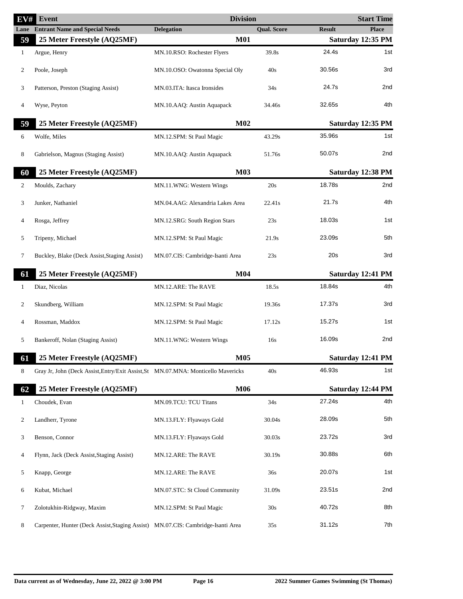| EV#          | Event                                                                             | <b>Division</b>                  |                    |               | <b>Start Time</b> |
|--------------|-----------------------------------------------------------------------------------|----------------------------------|--------------------|---------------|-------------------|
| Lane         | <b>Entrant Name and Special Needs</b>                                             | <b>Delegation</b>                | <b>Qual. Score</b> | <b>Result</b> | <b>Place</b>      |
| 59           | 25 Meter Freestyle (AQ25MF)                                                       | <b>M01</b>                       |                    |               | Saturday 12:35 PM |
| $\mathbf{1}$ | Argue, Henry                                                                      | MN.10.RSO: Rochester Flyers      | 39.8s              | 24.4s         | 1st               |
| 2            | Poole, Joseph                                                                     | MN.10.OSO: Owatonna Special Oly  | 40s                | 30.56s        | 3rd               |
| 3            | Patterson, Preston (Staging Assist)                                               | MN.03.ITA: Itasca Ironsides      | 34s                | 24.7s         | 2nd               |
| 4            | Wyse, Peyton                                                                      | MN.10.AAQ: Austin Aquapack       | 34.46s             | 32.65s        | 4th               |
| 59           | 25 Meter Freestyle (AQ25MF)                                                       | M <sub>02</sub>                  |                    |               | Saturday 12:35 PM |
| 6            | Wolfe, Miles                                                                      | MN.12.SPM: St Paul Magic         | 43.29s             | 35.96s        | 1st               |
| 8            | Gabrielson, Magnus (Staging Assist)                                               | MN.10.AAQ: Austin Aquapack       | 51.76s             | 50.07s        | 2nd               |
| 60           | 25 Meter Freestyle (AQ25MF)                                                       | <b>M03</b>                       |                    |               | Saturday 12:38 PM |
| 2            | Moulds, Zachary                                                                   | MN.11.WNG: Western Wings         | 20s                | 18.78s        | 2nd               |
| 3            | Junker, Nathaniel                                                                 | MN.04.AAG: Alexandria Lakes Area | 22.41s             | 21.7s         | 4th               |
| 4            | Rosga, Jeffrey                                                                    | MN.12.SRG: South Region Stars    | 23s                | 18.03s        | 1st               |
| 5            | Tripeny, Michael                                                                  | MN.12.SPM: St Paul Magic         | 21.9s              | 23.09s        | 5th               |
| 7            | Buckley, Blake (Deck Assist, Staging Assist)                                      | MN.07.CIS: Cambridge-Isanti Area | 23s                | 20s           | 3rd               |
| 61           | 25 Meter Freestyle (AQ25MF)                                                       | M <sub>04</sub>                  |                    |               | Saturday 12:41 PM |
| $\mathbf{1}$ | Diaz, Nicolas                                                                     | MN.12.ARE: The RAVE              | 18.5s              | 18.84s        | 4th               |
| 2            | Skundberg, William                                                                | MN.12.SPM: St Paul Magic         | 19.36s             | 17.37s        | 3rd               |
| 4            | Rossman, Maddox                                                                   | MN.12.SPM: St Paul Magic         | 17.12s             | 15.27s        | 1st               |
| 5            | Bankeroff, Nolan (Staging Assist)                                                 | MN.11.WNG: Western Wings         | 16s                | 16.09s        | 2nd               |
| 61           | 25 Meter Freestyle (AQ25MF)                                                       | <b>M05</b>                       |                    |               | Saturday 12:41 PM |
| 8            | Gray Jr, John (Deck Assist, Entry/Exit Assist, St MN.07.MNA: Monticello Mavericks |                                  | 40s                | 46.93s        | 1st               |
| 62           | 25 Meter Freestyle (AQ25MF)                                                       | <b>M06</b>                       |                    |               | Saturday 12:44 PM |
| $\mathbf{1}$ | Choudek, Evan                                                                     | MN.09.TCU: TCU Titans            | 34s                | 27.24s        | 4th               |
| 2            | Landherr, Tyrone                                                                  | MN.13.FLY: Flyaways Gold         | 30.04s             | 28.09s        | 5th               |
| 3            | Benson, Connor                                                                    | MN.13.FLY: Flyaways Gold         | 30.03s             | 23.72s        | 3rd               |
| 4            | Flynn, Jack (Deck Assist, Staging Assist)                                         | MN.12.ARE: The RAVE              | 30.19s             | 30.88s        | 6th               |
| 5            | Knapp, George                                                                     | MN.12.ARE: The RAVE              | 36s                | 20.07s        | 1st               |
| 6            | Kubat, Michael                                                                    | MN.07.STC: St Cloud Community    | 31.09s             | 23.51s        | 2nd               |
| 7            | Zolotukhin-Ridgway, Maxim                                                         | MN.12.SPM: St Paul Magic         | 30s                | 40.72s        | 8th               |
| 8            | Carpenter, Hunter (Deck Assist, Staging Assist) MN.07.CIS: Cambridge-Isanti Area  |                                  | 35s                | 31.12s        | 7th               |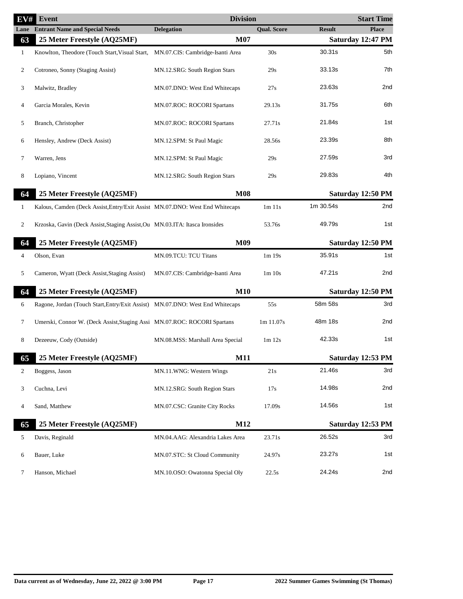| EV#            | Event                                                                         | <b>Division</b>                  |                                |               | <b>Start Time</b> |
|----------------|-------------------------------------------------------------------------------|----------------------------------|--------------------------------|---------------|-------------------|
| Lane           | <b>Entrant Name and Special Needs</b>                                         | <b>Delegation</b>                | Qual. Score                    | <b>Result</b> | <b>Place</b>      |
| 63             | 25 Meter Freestyle (AQ25MF)                                                   | <b>M07</b>                       |                                |               | Saturday 12:47 PM |
| $\mathbf{1}$   | Knowlton, Theodore (Touch Start, Visual Start,                                | MN.07.CIS: Cambridge-Isanti Area | 30s                            | 30.31s        | 5th               |
| 2              | Cotroneo, Sonny (Staging Assist)                                              | MN.12.SRG: South Region Stars    | 29s                            | 33.13s        | 7th               |
| 3              | Malwitz, Bradley                                                              | MN.07.DNO: West End Whitecaps    | 27s                            | 23.63s        | 2nd               |
| 4              | Garcia Morales, Kevin                                                         | MN.07.ROC: ROCORI Spartans       | 29.13s                         | 31.75s        | 6th               |
| 5              | Branch, Christopher                                                           | MN.07.ROC: ROCORI Spartans       | 27.71s                         | 21.84s        | 1st               |
| 6              | Hensley, Andrew (Deck Assist)                                                 | MN.12.SPM: St Paul Magic         | 28.56s                         | 23.39s        | 8th               |
| 7              | Warren, Jens                                                                  | MN.12.SPM: St Paul Magic         | 29s                            | 27.59s        | 3rd               |
| 8              | Lopiano, Vincent                                                              | MN.12.SRG: South Region Stars    | 29s                            | 29.83s        | 4th               |
| 64             | 25 Meter Freestyle (AQ25MF)                                                   | <b>M08</b>                       |                                |               | Saturday 12:50 PM |
| $\mathbf{1}$   | Kalous, Camden (Deck Assist, Entry/Exit Assist MN.07.DNO: West End Whitecaps  |                                  | 1m 11s                         | 1m 30.54s     | 2nd               |
| $\overline{c}$ | Krzoska, Gavin (Deck Assist, Staging Assist, Ou MN.03.ITA: Itasca Ironsides   |                                  | 53.76s                         | 49.79s        | 1st               |
| 64             | 25 Meter Freestyle (AQ25MF)                                                   | M09                              |                                |               | Saturday 12:50 PM |
| 4              | Olson, Evan                                                                   | MN.09.TCU: TCU Titans            | 1m 19s                         | 35.91s        | 1st               |
| 5              | Cameron, Wyatt (Deck Assist, Staging Assist)                                  | MN.07.CIS: Cambridge-Isanti Area | 1m 10s                         | 47.21s        | 2nd               |
| 64             | 25 Meter Freestyle (AQ25MF)                                                   | <b>M10</b>                       |                                |               | Saturday 12:50 PM |
| 6              | Ragone, Jordan (Touch Start, Entry/Exit Assist) MN.07.DNO: West End Whitecaps |                                  | 55s                            | 58m 58s       | 3rd               |
| 7              | Umerski, Connor W. (Deck Assist, Staging Assi MN.07.ROC: ROCORI Spartans      |                                  | 1m 11.07s                      | 48m 18s       | 2nd               |
| 8              | Dezeeuw, Cody (Outside)                                                       | MN.08.MSS: Marshall Area Special | 1 <sub>m</sub> 12 <sub>s</sub> | 42.33s        | 1st               |
| 65             | 25 Meter Freestyle (AQ25MF)                                                   | M11                              |                                |               | Saturday 12:53 PM |
| 2              | Boggess, Jason                                                                | MN.11.WNG: Western Wings         | 21s                            | 21.46s        | 3rd               |
| 3              | Cuchna, Levi                                                                  | MN.12.SRG: South Region Stars    | 17s                            | 14.98s        | 2nd               |
| 4              | Sand, Matthew                                                                 | MN.07.CSC: Granite City Rocks    | 17.09s                         | 14.56s        | 1st               |
| 65             | 25 Meter Freestyle (AQ25MF)                                                   | M12                              |                                |               | Saturday 12:53 PM |
| 5              | Davis, Reginald                                                               | MN.04.AAG: Alexandria Lakes Area | 23.71s                         | 26.52s        | 3rd               |
| 6              | Bauer, Luke                                                                   | MN.07.STC: St Cloud Community    | 24.97s                         | 23.27s        | 1st               |
| 7              | Hanson, Michael                                                               | MN.10.OSO: Owatonna Special Oly  | 22.5s                          | 24.24s        | 2nd               |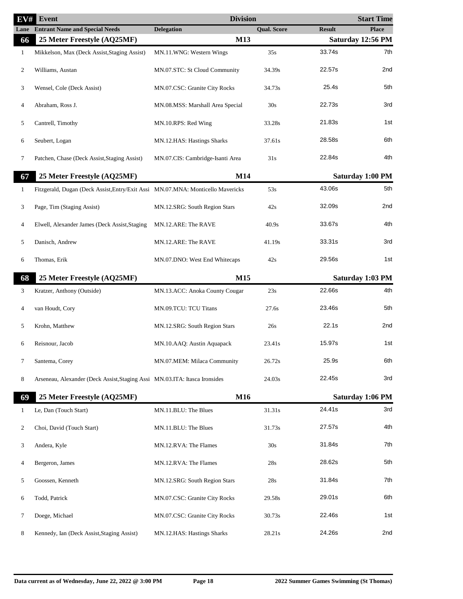| EV#          | <b>Event</b>                                                                    | <b>Division</b>                  |                    |               | <b>Start Time</b> |
|--------------|---------------------------------------------------------------------------------|----------------------------------|--------------------|---------------|-------------------|
| Lane         | <b>Entrant Name and Special Needs</b>                                           | <b>Delegation</b>                | <b>Qual. Score</b> | <b>Result</b> | <b>Place</b>      |
| 66           | 25 Meter Freestyle (AQ25MF)                                                     | M13                              |                    |               | Saturday 12:56 PM |
| $\mathbf{1}$ | Mikkelson, Max (Deck Assist, Staging Assist)                                    | MN.11.WNG: Western Wings         | 35s                | 33.74s        | 7th               |
| 2            | Williams, Austan                                                                | MN.07.STC: St Cloud Community    | 34.39s             | 22.57s        | 2nd               |
| 3            | Wensel, Cole (Deck Assist)                                                      | MN.07.CSC: Granite City Rocks    | 34.73s             | 25.4s         | 5th               |
| 4            | Abraham, Ross J.                                                                | MN.08.MSS: Marshall Area Special | 30s                | 22.73s        | 3rd               |
| 5            | Cantrell, Timothy                                                               | MN.10.RPS: Red Wing              | 33.28s             | 21.83s        | 1st               |
| 6            | Seubert, Logan                                                                  | MN.12.HAS: Hastings Sharks       | 37.61s             | 28.58s        | 6th               |
| 7            | Patchen, Chase (Deck Assist, Staging Assist)                                    | MN.07.CIS: Cambridge-Isanti Area | 31s                | 22.84s        | 4th               |
| 67           | 25 Meter Freestyle (AQ25MF)                                                     | M14                              |                    |               | Saturday 1:00 PM  |
| $\mathbf{1}$ | Fitzgerald, Dugan (Deck Assist, Entry/Exit Assi MN.07.MNA: Monticello Mavericks |                                  | 53s                | 43.06s        | 5th               |
| 3            | Page, Tim (Staging Assist)                                                      | MN.12.SRG: South Region Stars    | 42s                | 32.09s        | 2nd               |
| 4            | Elwell, Alexander James (Deck Assist, Staging                                   | MN.12.ARE: The RAVE              | 40.9s              | 33.67s        | 4th               |
| 5            | Danisch, Andrew                                                                 | MN.12.ARE: The RAVE              | 41.19s             | 33.31s        | 3rd               |
| 6            | Thomas, Erik                                                                    | MN.07.DNO: West End Whitecaps    | 42s                | 29.56s        | 1st               |
| 68           | 25 Meter Freestyle (AQ25MF)                                                     | M15                              |                    |               | Saturday 1:03 PM  |
| 3            | Kratzer, Anthony (Outside)                                                      | MN.13.ACC: Anoka County Cougar   | 23s                | 22.66s        | 4th               |
| 4            | van Houdt, Cory                                                                 | MN.09.TCU: TCU Titans            | 27.6s              | 23.46s        | 5th               |
| 5            | Krohn, Matthew                                                                  | MN.12.SRG: South Region Stars    | 26s                | 22.1s         | 2nd               |
| 6            | Reisnour, Jacob                                                                 | MN.10.AAQ: Austin Aquapack       | 23.41s             | 15.97s        | 1st               |
| 7            | Santema, Corey                                                                  | MN.07.MEM: Milaca Community      | 26.72s             | 25.9s         | 6th               |
| 8            | Arseneau, Alexander (Deck Assist, Staging Assi MN.03.ITA: Itasca Ironsides      |                                  | 24.03s             | 22.45s        | 3rd               |
| 69           | 25 Meter Freestyle (AQ25MF)                                                     | M16                              |                    |               | Saturday 1:06 PM  |
| $\mathbf{1}$ | Le, Dan (Touch Start)                                                           | MN.11.BLU: The Blues             | 31.31s             | 24.41s        | 3rd               |
| 2            | Choi, David (Touch Start)                                                       | MN.11.BLU: The Blues             | 31.73s             | 27.57s        | 4th               |
| 3            | Andera, Kyle                                                                    | MN.12.RVA: The Flames            | 30s                | 31.84s        | 7th               |
| 4            | Bergeron, James                                                                 | MN.12.RVA: The Flames            | 28s                | 28.62s        | 5th               |
| 5            | Goossen, Kenneth                                                                | MN.12.SRG: South Region Stars    | 28s                | 31.84s        | 7th               |
| 6            | Todd, Patrick                                                                   | MN.07.CSC: Granite City Rocks    | 29.58s             | 29.01s        | 6th               |
| 7            | Doege, Michael                                                                  | MN.07.CSC: Granite City Rocks    | 30.73s             | 22.46s        | 1st               |
| 8            | Kennedy, Ian (Deck Assist, Staging Assist)                                      | MN.12.HAS: Hastings Sharks       | 28.21s             | 24.26s        | 2nd               |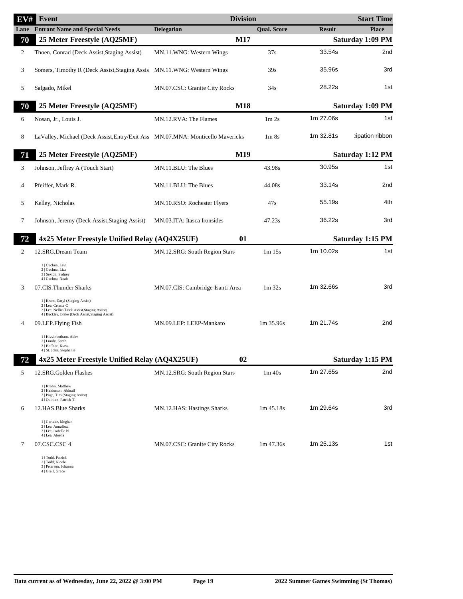| ${\rm\bf E}{\rm\bf V}{\rm \#}$ | <b>Event</b>                                                                                                                                                | <b>Division</b>                  |                                |               | <b>Start Time</b> |
|--------------------------------|-------------------------------------------------------------------------------------------------------------------------------------------------------------|----------------------------------|--------------------------------|---------------|-------------------|
| Lane                           | <b>Entrant Name and Special Needs</b>                                                                                                                       | <b>Delegation</b>                | <b>Qual. Score</b>             | <b>Result</b> | <b>Place</b>      |
| 70                             | 25 Meter Freestyle (AQ25MF)                                                                                                                                 | M17                              |                                |               | Saturday 1:09 PM  |
| 2                              | Thoen, Conrad (Deck Assist, Staging Assist)                                                                                                                 | MN.11.WNG: Western Wings         | 37s                            | 33.54s        | 2nd               |
| 3                              | Somers, Timothy R (Deck Assist, Staging Assis MN.11.WNG: Western Wings                                                                                      |                                  | 39s                            | 35.96s        | 3rd               |
| 5                              | Salgado, Mikel                                                                                                                                              | MN.07.CSC: Granite City Rocks    | 34s                            | 28.22s        | 1st               |
| 70                             | 25 Meter Freestyle (AQ25MF)                                                                                                                                 | <b>M18</b>                       |                                |               | Saturday 1:09 PM  |
| 6                              | Nosan, Jr., Louis J.                                                                                                                                        | MN.12.RVA: The Flames            | 1 <sub>m</sub> 2 <sub>s</sub>  | 1m 27.06s     | 1st               |
| 8                              | LaValley, Michael (Deck Assist, Entry/Exit Ass MN.07.MNA: Monticello Mavericks                                                                              |                                  | 1 <sub>m</sub> 8 <sub>s</sub>  | 1m 32.81s     | tipation ribbon:  |
| 71                             | 25 Meter Freestyle (AQ25MF)                                                                                                                                 | M19                              |                                |               | Saturday 1:12 PM  |
| 3                              | Johnson, Jeffrey A (Touch Start)                                                                                                                            | MN.11.BLU: The Blues             | 43.98s                         | 30.95s        | 1st               |
| 4                              | Pfeiffer, Mark R.                                                                                                                                           | MN.11.BLU: The Blues             | 44.08s                         | 33.14s        | 2nd               |
| 5                              | Kelley, Nicholas                                                                                                                                            | MN.10.RSO: Rochester Flyers      | 47s                            | 55.19s        | 4th               |
| 7                              | Johnson, Jeremy (Deck Assist, Staging Assist)                                                                                                               | MN.03.ITA: Itasca Ironsides      | 47.23s                         | 36.22s        | 3rd               |
| 72                             | 4x25 Meter Freestyle Unified Relay (AQ4X25UF)                                                                                                               | 01                               |                                |               | Saturday 1:15 PM  |
| 2                              | 12.SRG.Dream Team                                                                                                                                           | MN.12.SRG: South Region Stars    | 1 <sub>m</sub> 15 <sub>s</sub> | 1m 10.02s     | 1st               |
|                                | 1   Cuchna, Levi<br>2   Cuchna, Liza<br>3   Sexton, Sydney<br>4   Cuchna, Noah                                                                              |                                  |                                |               |                   |
| 3                              | 07.CIS.Thunder Sharks                                                                                                                                       | MN.07.CIS: Cambridge-Isanti Area | 1 <sub>m</sub> 32 <sub>s</sub> | 1m 32.66s     | 3rd               |
|                                | 1   Kram, Daryl (Staging Assist)<br>2   Lee, Celeste C<br>3   Lee, Nellie (Deck Assist, Staging Assist)<br>4   Buckley, Blake (Deck Assist, Staging Assist) |                                  |                                |               |                   |
| 4                              | 09.LEP.Flying Fish                                                                                                                                          | MN.09.LEP: LEEP-Mankato          | 1m 35.96s                      | 1m 21.74s     | 2nd               |
|                                | 1   Higginbotham, Abby<br>2   Lundy, Sarah<br>3   Hoffner, Kiaya<br>4   St. John, Stephanie                                                                 |                                  |                                |               |                   |
| 72                             | 4x25 Meter Freestyle Unified Relay (AQ4X25UF)                                                                                                               | 02                               |                                |               | Saturday 1:15 PM  |
| 5                              | 12.SRG.Golden Flashes                                                                                                                                       | MN.12.SRG: South Region Stars    | 1 <sub>m</sub> 40 <sub>s</sub> | 1m 27.65s     | 2nd               |
|                                | 1   Krohn, Matthew<br>2   Haldorson, Abigail<br>3   Page, Tim (Staging Assist)<br>4   Quinlan, Patrick T.                                                   |                                  |                                |               |                   |
| 6                              | 12.HAS.Blue Sharks                                                                                                                                          | MN.12.HAS: Hastings Sharks       | 1m 45.18s                      | 1m 29.64s     | 3rd               |
|                                | 1   Gartzke, Meghan<br>2   Lee, Annalissa<br>3   Lee, Isabelle N<br>4   Lee, Aleena                                                                         |                                  |                                |               |                   |
| 7                              | 07.CSC.CSC 4                                                                                                                                                | MN.07.CSC: Granite City Rocks    | 1m 47.36s                      | 1m 25.13s     | 1st               |
|                                | 1   Todd, Patrick                                                                                                                                           |                                  |                                |               |                   |

- 1 | Todd, Patrick 2 | Todd, Nicole 3 | Peterson, Johanna 4 | Grell, Grace
-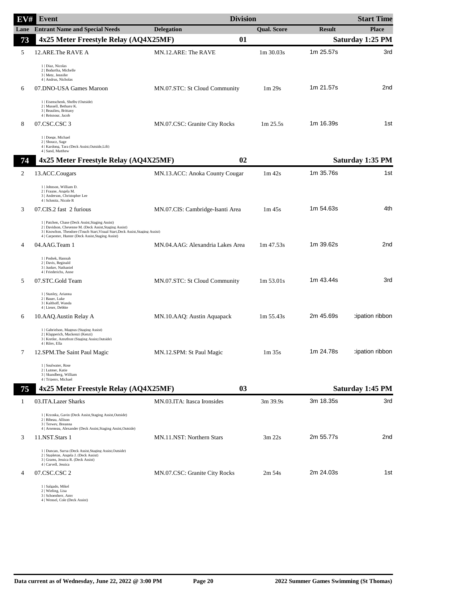| EV#            | Event                                                                                                                                                                                                                                                 | <b>Division</b>                  |                                |               | <b>Start Time</b> |
|----------------|-------------------------------------------------------------------------------------------------------------------------------------------------------------------------------------------------------------------------------------------------------|----------------------------------|--------------------------------|---------------|-------------------|
| Lane           | <b>Entrant Name and Special Needs</b>                                                                                                                                                                                                                 | <b>Delegation</b>                | <b>Qual. Score</b>             | <b>Result</b> | <b>Place</b>      |
| 73             | 4x25 Meter Freestyle Relay (AQ4X25MF)                                                                                                                                                                                                                 | 01                               |                                |               | Saturday 1:25 PM  |
| 5              | 12.ARE.The RAVE A                                                                                                                                                                                                                                     | MN.12.ARE: The RAVE              | 1m 30.03s                      | 1m 25.57s     | 3rd               |
|                | 1   Diaz, Nicolas<br>2   Bodurtha, Michelle<br>3   Metz, Jennifer<br>4   Andrus, Nicholas                                                                                                                                                             |                                  |                                |               |                   |
| 6              | 07.DNO-USA Games Maroon                                                                                                                                                                                                                               | MN.07.STC: St Cloud Community    | 1 <sub>m</sub> 29 <sub>s</sub> | 1m 21.57s     | 2nd               |
|                | 1   Eisenschenk, Shelby (Outside)<br>2   Mussell, Bethany K.<br>3   Beaulieu, Brittany<br>4   Reisnour, Jacob                                                                                                                                         |                                  |                                |               |                   |
| 8              | 07.CSC.CSC 3                                                                                                                                                                                                                                          | MN.07.CSC: Granite City Rocks    | 1m 25.5s                       | 1m 16.39s     | 1st               |
|                | 1   Doege, Michael<br>2   Shoucz, Sage<br>4   Kardong, Tara (Deck Assist, Outside, Lift)<br>4   Sand, Matthew                                                                                                                                         |                                  |                                |               |                   |
| 74             | 4x25 Meter Freestyle Relay (AQ4X25MF)                                                                                                                                                                                                                 | 02                               |                                |               | Saturday 1:35 PM  |
| $\overline{c}$ | 13.ACC.Cougars                                                                                                                                                                                                                                        | MN.13.ACC: Anoka County Cougar   | $1m$ 42s                       | 1m 35.76s     | 1st               |
|                | 1   Johnson, William D.<br>2   Fraune, Angela M.<br>3   Anderson, Christopher Lee<br>4   Schmitz, Nicole R                                                                                                                                            |                                  |                                |               |                   |
| 3              | 07.CIS.2 fast 2 furious                                                                                                                                                                                                                               | MN.07.CIS: Cambridge-Isanti Area | $1m$ 45s                       | 1m 54.63s     | 4th               |
|                | 1   Patchen, Chase (Deck Assist, Staging Assist)<br>2   Davidson, Chevenne M. (Deck Assist, Staging Assist)<br>3   Knowlton, Theodore (Touch Start, Visual Start, Deck Assist, Staging Assist)<br>4   Carpenter, Hunter (Deck Assist, Staging Assist) |                                  |                                |               |                   |
| 4              | 04.AAG.Team 1                                                                                                                                                                                                                                         | MN.04.AAG: Alexandria Lakes Area | $1m\,47.53s$                   | 1m 39.62s     | 2nd               |
|                | 1   Poshek, Hannah<br>2   Davis, Reginald<br>3   Junker, Nathaniel<br>4   Friederichs, Anne                                                                                                                                                           |                                  |                                |               |                   |
| 5              | 07.STC.Gold Team                                                                                                                                                                                                                                      | MN.07.STC: St Cloud Community    | 1m 53.01s                      | 1m 43.44s     | 3rd               |
|                | 1   Stanley, Arianna<br>2   Bauer, Luke<br>3   Kalthoff, Wanda<br>4   Lieser, Debbie                                                                                                                                                                  |                                  |                                |               |                   |
| 6              | 10.AAQ.Austin Relay A                                                                                                                                                                                                                                 | MN.10.AAQ: Austin Aquapack       | $1m\,55.43s$                   | 2m 45.69s     | tipation ribbon:  |
|                | 1   Gabrielson, Magnus (Staging Assist)<br>2   Klapperich, Mackenzi (Kenzi)<br>3   Kretler, Amythyst (Staging Assist, Outside)<br>4   Riley, Ella                                                                                                     |                                  |                                |               |                   |
| 7              | 12.SPM.The Saint Paul Magic                                                                                                                                                                                                                           | MN.12.SPM: St Paul Magic         | 1m 35s                         | 1m 24.78s     | tipation ribbon:  |
|                | 1   Soulwater, Rose<br>2   Lutmer, Katie<br>3   Skundberg, William<br>4   Tripeny, Michael                                                                                                                                                            |                                  |                                |               |                   |
| 75             | 4x25 Meter Freestyle Relay (AQ4X25MF)                                                                                                                                                                                                                 | 03                               |                                |               | Saturday 1:45 PM  |
| 1              | 03.ITA.Lazer Sharks                                                                                                                                                                                                                                   | MN.03.ITA: Itasca Ironsides      | 3m 39.9s                       | 3m 18.35s     | 3rd               |
|                | 1   Krzoska, Gavin (Deck Assist, Staging Assist, Outside)<br>2   Bibeau, Allison<br>3   Terwey, Breanna<br>4   Arseneau, Alexander (Deck Assist, Staging Assist, Outside)                                                                             |                                  |                                |               |                   |
| 3              | 11.NST.Stars 1                                                                                                                                                                                                                                        | MN.11.NST: Northern Stars        | $3m$ 22s                       | 2m 55.77s     | 2nd               |
|                | 1   Duncan, Surva (Deck Assist, Staging Assist, Outside)<br>2   Stapleton, Angela J. (Deck Assist)<br>3   Grams, Jessica R. (Deck Assist)<br>4   Carvell, Jessica                                                                                     |                                  |                                |               |                   |
| 4              | 07.CSC.CSC 2                                                                                                                                                                                                                                          | MN.07.CSC: Granite City Rocks    | $2m\,54s$                      | 2m 24.03s     | 1st               |
|                | 1   Salgado, Mikel<br>2   Wieling, Lisa<br>3   Schoenherr, Amy                                                                                                                                                                                        |                                  |                                |               |                   |

3 | Schoenherr, Amy 4 | Wensel, Cole (Deck Assist)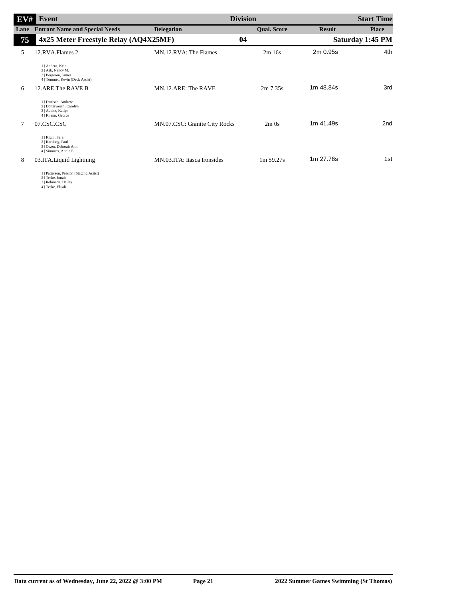| EV#  | Event                                                                                           |                               | <b>Division</b>    |               | <b>Start Time</b> |
|------|-------------------------------------------------------------------------------------------------|-------------------------------|--------------------|---------------|-------------------|
| Lane | <b>Entrant Name and Special Needs</b>                                                           | <b>Delegation</b>             | <b>Qual. Score</b> | <b>Result</b> | <b>Place</b>      |
| 75   | 4x25 Meter Freestyle Relay (AQ4X25MF)                                                           |                               | 04                 |               | Saturday 1:45 PM  |
| 5    | 12.RVA.Flames 2                                                                                 | MN.12.RVA: The Flames         | 2m16s              | 2m 0.95s      | 4th               |
|      | 1   Andera, Kyle<br>2   Ask, Nancy M.<br>3   Bergeron, James<br>4   Tommet, Kevin (Deck Assist) |                               |                    |               |                   |
| 6    | 12.ARE.The RAVE B                                                                               | MN.12.ARE: The RAVE           | $2m\,7.35s$        | 1m 48.84s     | 3rd               |
|      | 1   Danisch, Andrew<br>2   Dotterweich, Carolyn<br>3   Aubitz, Katlyn<br>4   Knapp, George      |                               |                    |               |                   |
| 7    | 07.CSC.CSC                                                                                      | MN.07.CSC: Granite City Rocks | $2m$ Os            | 1m 41.49s     | 2 <sub>nd</sub>   |
|      | 1   Kigin, Sara<br>2   Kardong, Paul<br>3   Owen, Deborah Ann<br>4   Simones, Annie E           |                               |                    |               |                   |
| 8    | 03.ITA.Liquid Lightning                                                                         | MN.03.ITA: Itasca Ironsides   | 1m 59.27s          | 1m 27.76s     | 1st               |
|      | 1   Patterson, Preston (Staging Assist)                                                         |                               |                    |               |                   |

1 | Patterson, Preston (Staging Assist) 2 | Teske, Jonah 3 | Robinson, Hailey 4 | Teske, Elijah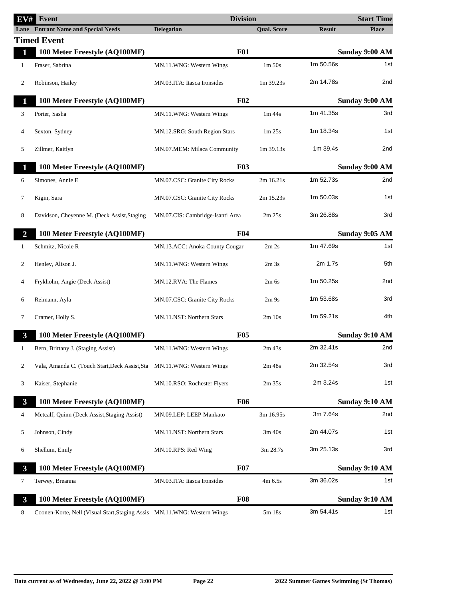| EV#                     | <b>Event</b>                                                             | <b>Division</b>                  |                    |               | <b>Start Time</b> |
|-------------------------|--------------------------------------------------------------------------|----------------------------------|--------------------|---------------|-------------------|
|                         | <b>Lane</b> Entrant Name and Special Needs                               | <b>Delegation</b>                | <b>Oual. Score</b> | <b>Result</b> | <b>Place</b>      |
|                         | <b>Timed Event</b>                                                       |                                  |                    |               |                   |
| $\mathbf{1}$            | 100 Meter Freestyle (AQ100MF)                                            | <b>F01</b>                       |                    |               | Sunday 9:00 AM    |
| 1                       | Fraser, Sabrina                                                          | MN.11.WNG: Western Wings         | 1m 50s             | 1m 50.56s     | 1st               |
| 2                       | Robinson, Hailey                                                         | MN.03.ITA: Itasca Ironsides      | 1m 39.23s          | 2m 14.78s     | 2nd               |
| $\mathbf{1}$            | 100 Meter Freestyle (AQ100MF)                                            | $F_{02}$                         |                    |               | Sunday 9:00 AM    |
| 3                       | Porter, Sasha                                                            | MN.11.WNG: Western Wings         | $1m$ 44s           | 1m 41.35s     | 3rd               |
| $\overline{4}$          | Sexton, Sydney                                                           | MN.12.SRG: South Region Stars    | 1m 25s             | 1m 18.34s     | 1st               |
| 5                       | Zillmer, Kaitlyn                                                         | MN.07.MEM: Milaca Community      | 1m 39.13s          | 1m 39.4s      | 2nd               |
| 1                       | 100 Meter Freestyle (AQ100MF)                                            | F03                              |                    |               | Sunday 9:00 AM    |
| 6                       | Simones, Annie E                                                         | MN.07.CSC: Granite City Rocks    | 2m 16.21s          | 1m 52.73s     | 2nd               |
| 7                       | Kigin, Sara                                                              | MN.07.CSC: Granite City Rocks    | 2m 15.23s          | 1m 50.03s     | 1st               |
| 8                       | Davidson, Cheyenne M. (Deck Assist, Staging                              | MN.07.CIS: Cambridge-Isanti Area | 2m 25s             | 3m 26.88s     | 3rd               |
| $\overline{2}$          | 100 Meter Freestyle (AQ100MF)                                            | F <sub>04</sub>                  |                    |               | Sunday 9:05 AM    |
| 1                       | Schmitz, Nicole R                                                        | MN.13.ACC: Anoka County Cougar   | 2m 2s              | 1m 47.69s     | 1st               |
| 2                       | Henley, Alison J.                                                        | MN.11.WNG: Western Wings         | 2m <sub>3s</sub>   | 2m 1.7s       | 5th               |
| $\overline{4}$          | Frykholm, Angie (Deck Assist)                                            | MN.12.RVA: The Flames            | $2m$ 6s            | 1m 50.25s     | 2nd               |
| 6                       | Reimann, Ayla                                                            | MN.07.CSC: Granite City Rocks    | 2m9s               | 1m 53.68s     | 3rd               |
| 7                       | Cramer, Holly S.                                                         | MN.11.NST: Northern Stars        | $2m$ 10s           | 1m 59.21s     | 4th               |
| $\mathbf{3}$            | 100 Meter Freestyle (AQ100MF)                                            | F05                              |                    |               | Sunday 9:10 AM    |
| $\mathbf{1}$            | Bern, Brittany J. (Staging Assist)                                       | MN.11.WNG: Western Wings         | $2m$ 43s           | 2m 32.41s     | 2nd               |
| 2                       | Vala, Amanda C. (Touch Start, Deck Assist, Sta MN.11. WNG: Western Wings |                                  | 2m <sub>48s</sub>  | 2m 32.54s     | 3rd               |
| 3                       | Kaiser, Stephanie                                                        | MN.10.RSO: Rochester Flyers      | $2m$ 35s           | 2m 3.24s      | 1st               |
| $\mathbf{3}$            | 100 Meter Freestyle (AQ100MF)                                            | <b>F06</b>                       |                    |               | Sunday 9:10 AM    |
| 4                       | Metcalf, Quinn (Deck Assist, Staging Assist)                             | MN.09.LEP: LEEP-Mankato          | 3m 16.95s          | 3m 7.64s      | 2nd               |
| 5                       | Johnson, Cindy                                                           | MN.11.NST: Northern Stars        | 3m 40s             | 2m 44.07s     | 1st               |
| 6                       | Shellum, Emily                                                           | MN.10.RPS: Red Wing              | 3m 28.7s           | 3m 25.13s     | 3rd               |
| $\mathbf{3}$            | 100 Meter Freestyle (AQ100MF)                                            | <b>F07</b>                       |                    |               | Sunday 9:10 AM    |
| 7                       | Terwey, Breanna                                                          | MN.03.ITA: Itasca Ironsides      | 4m 6.5s            | 3m 36.02s     | 1st               |
| $\overline{\mathbf{3}}$ | 100 Meter Freestyle (AQ100MF)                                            | <b>F08</b>                       |                    |               | Sunday 9:10 AM    |
| 8                       | Coonen-Korte, Nell (Visual Start, Staging Assis MN.11.WNG: Western Wings |                                  | 5m 18s             | 3m 54.41s     | 1st               |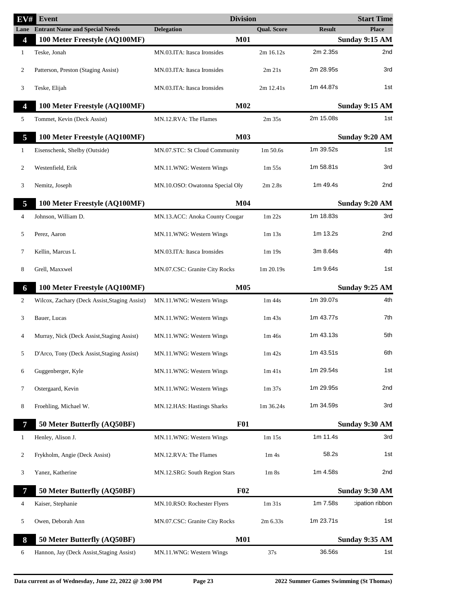| EV#            | Event                                         | <b>Division</b>                 |                                |               | <b>Start Time</b>     |
|----------------|-----------------------------------------------|---------------------------------|--------------------------------|---------------|-----------------------|
|                | <b>Lane</b> Entrant Name and Special Needs    | <b>Delegation</b>               | <b>Qual. Score</b>             | <b>Result</b> | <b>Place</b>          |
| 4              | 100 Meter Freestyle (AQ100MF)                 | <b>M01</b>                      |                                |               | <b>Sunday 9:15 AM</b> |
| 1              | Teske, Jonah                                  | MN.03.ITA: Itasca Ironsides     | 2m 16.12s                      | 2m 2.35s      | 2nd                   |
| 2              | Patterson, Preston (Staging Assist)           | MN.03.ITA: Itasca Ironsides     | 2m 21s                         | 2m 28.95s     | 3rd                   |
| 3              | Teske, Elijah                                 | MN.03.ITA: Itasca Ironsides     | 2m 12.41s                      | 1m 44.87s     | 1st                   |
| 4              | 100 Meter Freestyle (AQ100MF)                 | M <sub>02</sub>                 |                                |               | Sunday 9:15 AM        |
| 5              | Tommet, Kevin (Deck Assist)                   | MN.12.RVA: The Flames           | $2m$ 35s                       | 2m 15.08s     | 1st                   |
| 5              | 100 Meter Freestyle (AQ100MF)                 | <b>M03</b>                      |                                |               | Sunday 9:20 AM        |
| 1              | Eisenschenk, Shelby (Outside)                 | MN.07.STC: St Cloud Community   | 1m 50.6s                       | 1m 39.52s     | 1st                   |
| 2              | Westenfield, Erik                             | MN.11.WNG: Western Wings        | $1m\,55s$                      | 1m 58.81s     | 3rd                   |
| 3              | Nemitz, Joseph                                | MN.10.OSO: Owatonna Special Oly | $2m$ $2.8s$                    | 1m 49.4s      | 2nd                   |
| 5              | 100 Meter Freestyle (AQ100MF)                 | M <sub>04</sub>                 |                                |               | Sunday 9:20 AM        |
| 4              | Johnson, William D.                           | MN.13.ACC: Anoka County Cougar  | $1m$ 22s                       | 1m 18.83s     | 3rd                   |
| 5              | Perez, Aaron                                  | MN.11.WNG: Western Wings        | $1m$ 13s                       | 1m 13.2s      | 2nd                   |
| 7              | Kellin, Marcus L                              | MN.03.ITA: Itasca Ironsides     | 1m 19s                         | 3m 8.64s      | 4th                   |
| 8              | Grell, Maxxwel                                | MN.07.CSC: Granite City Rocks   | 1m 20.19s                      | 1m 9.64s      | 1st                   |
| 6              | 100 Meter Freestyle (AQ100MF)                 | M05                             |                                |               | Sunday 9:25 AM        |
| 2              | Wilcox, Zachary (Deck Assist, Staging Assist) | MN.11.WNG: Western Wings        | $1m$ 44s                       | 1m 39.07s     | 4th                   |
| 3              | Bauer, Lucas                                  | MN.11.WNG: Western Wings        | $1m$ 43s                       | 1m 43.77s     | 7th                   |
| 4              | Murray, Nick (Deck Assist, Staging Assist)    | MN.11.WNG: Western Wings        | $1m$ 46s                       | 1m 43.13s     | 5th                   |
|                | D'Arco, Tony (Deck Assist, Staging Assist)    | MN.11.WNG: Western Wings        | $1m$ 42s                       | 1m 43.51s     | 6th                   |
| 6              | Guggenberger, Kyle                            | MN.11.WNG: Western Wings        | $1m$ 41s                       | 1m 29.54s     | 1st                   |
| 7              | Ostergaard, Kevin                             | MN.11.WNG: Western Wings        | 1 <sub>m</sub> 37 <sub>s</sub> | 1m 29.95s     | 2nd                   |
| 8              | Froehling, Michael W.                         | MN.12.HAS: Hastings Sharks      | 1m 36.24s                      | 1m 34.59s     | 3rd                   |
| $\overline{7}$ | 50 Meter Butterfly (AQ50BF)                   | <b>F01</b>                      |                                |               | Sunday 9:30 AM        |
| 1              | Henley, Alison J.                             | MN.11.WNG: Western Wings        | 1m 15s                         | 1m 11.4s      | 3rd                   |
| 2              | Frykholm, Angie (Deck Assist)                 | MN.12.RVA: The Flames           | 1m <sub>4s</sub>               | 58.2s         | 1st                   |
| 3              | Yanez, Katherine                              | MN.12.SRG: South Region Stars   | 1 <sub>m</sub> 8 <sub>s</sub>  | 1m 4.58s      | 2nd                   |
| 7              | 50 Meter Butterfly (AQ50BF)                   | F02                             |                                |               | Sunday 9:30 AM        |
| 4              | Kaiser, Stephanie                             | MN.10.RSO: Rochester Flyers     | 1m31s                          | 1m 7.58s      | :ipation ribbon       |
| 5              | Owen, Deborah Ann                             | MN.07.CSC: Granite City Rocks   | $2m\,6.33s$                    | 1m 23.71s     | 1st                   |
| 8              | 50 Meter Butterfly (AQ50BF)                   | <b>M01</b>                      |                                |               | Sunday 9:35 AM        |
| 6              | Hannon, Jay (Deck Assist, Staging Assist)     | MN.11.WNG: Western Wings        | 37s                            | 36.56s        | 1st                   |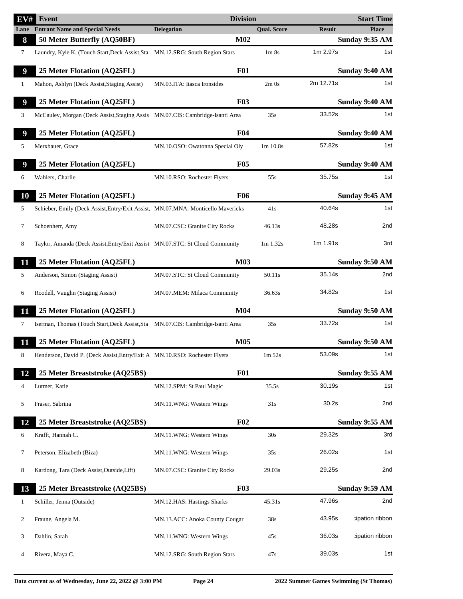| $\overline{{\rm EV}}$ # | Event                                                                            | <b>Division</b>                 |                               |               | <b>Start Time</b> |
|-------------------------|----------------------------------------------------------------------------------|---------------------------------|-------------------------------|---------------|-------------------|
| Lane                    | <b>Entrant Name and Special Needs</b>                                            | <b>Delegation</b>               | <b>Qual. Score</b>            | <b>Result</b> | <b>Place</b>      |
| 8                       | 50 Meter Butterfly (AQ50BF)                                                      | M <sub>02</sub>                 |                               |               | Sunday 9:35 AM    |
| 7                       | Laundry, Kyle K. (Touch Start, Deck Assist, Sta MN.12.SRG: South Region Stars    |                                 | 1 <sub>m</sub> 8 <sub>s</sub> | 1m 2.97s      | 1st               |
| $\boldsymbol{9}$        | 25 Meter Flotation (AQ25FL)                                                      | <b>F01</b>                      |                               |               | Sunday 9:40 AM    |
| $\mathbf{1}$            | Mahon, Ashlyn (Deck Assist, Staging Assist)                                      | MN.03.ITA: Itasca Ironsides     | 2m0s                          | 2m 12.71s     | 1st               |
| $\boldsymbol{9}$        | 25 Meter Flotation (AQ25FL)                                                      | F03                             |                               |               | Sunday 9:40 AM    |
| 3                       | McCauley, Morgan (Deck Assist, Staging Assis MN.07.CIS: Cambridge-Isanti Area    |                                 | 35s                           | 33.52s        | 1st               |
| 9                       | 25 Meter Flotation (AQ25FL)                                                      | F <sub>04</sub>                 |                               |               | Sunday 9:40 AM    |
| 5                       | Merxbauer, Grace                                                                 | MN.10.OSO: Owatonna Special Oly | 1m 10.8s                      | 57.82s        | 1st               |
| 9                       | 25 Meter Flotation (AQ25FL)                                                      | <b>F05</b>                      |                               |               | Sunday 9:40 AM    |
| 6                       | Wahlers, Charlie                                                                 | MN.10.RSO: Rochester Flyers     | 55s                           | 35.75s        | 1st               |
| 10                      | 25 Meter Flotation (AQ25FL)                                                      | <b>F06</b>                      |                               |               | Sunday 9:45 AM    |
| 5                       | Schieber, Emily (Deck Assist, Entry/Exit Assist, MN.07.MNA: Monticello Mavericks |                                 | 41s                           | 40.64s        | 1st               |
| 7                       | Schoenherr, Amy                                                                  | MN.07.CSC: Granite City Rocks   | 46.13s                        | 48.28s        | 2nd               |
| 8                       | Taylor, Amanda (Deck Assist, Entry/Exit Assist MN.07.STC: St Cloud Community     |                                 | $1m$ 1.32s                    | 1m 1.91s      | 3rd               |
| 11                      | 25 Meter Flotation (AQ25FL)                                                      | <b>M03</b>                      |                               |               | Sunday 9:50 AM    |
| 5                       | Anderson, Simon (Staging Assist)                                                 | MN.07.STC: St Cloud Community   | 50.11s                        | 35.14s        | 2nd               |
| 6                       | Roodell, Vaughn (Staging Assist)                                                 | MN.07.MEM: Milaca Community     | 36.63s                        | 34.82s        | 1st               |
| 11                      | 25 Meter Flotation (AQ25FL)                                                      | M <sub>04</sub>                 |                               |               | Sunday 9:50 AM    |
| 7                       | Iserman, Thomas (Touch Start, Deck Assist, Sta MN.07.CIS: Cambridge-Isanti Area  |                                 | 35s                           | 33.72s        | 1st               |
| 11                      | 25 Meter Flotation (AQ25FL)                                                      | <b>M05</b>                      |                               |               | Sunday 9:50 AM    |
| 8                       | Henderson, David P. (Deck Assist, Entry/Exit A MN.10.RSO: Rochester Flyers       |                                 | 1m 52s                        | 53.09s        | 1st               |
| 12                      | 25 Meter Breaststroke (AQ25BS)                                                   | <b>F01</b>                      |                               |               | Sunday 9:55 AM    |
| 4                       | Lutmer, Katie                                                                    | MN.12.SPM: St Paul Magic        | 35.5s                         | 30.19s        | 1st               |
| 5                       | Fraser, Sabrina                                                                  | MN.11.WNG: Western Wings        | 31s                           | 30.2s         | 2nd               |
| 12                      | 25 Meter Breaststroke (AQ25BS)                                                   | F02                             |                               |               | Sunday 9:55 AM    |
| 6                       | Krafft, Hannah C.                                                                | MN.11.WNG: Western Wings        | 30s                           | 29.32s        | 3rd               |
| 7                       | Peterson, Elizabeth (Biza)                                                       | MN.11.WNG: Western Wings        | 35s                           | 26.02s        | 1st               |
| 8                       | Kardong, Tara (Deck Assist, Outside, Lift)                                       | MN.07.CSC: Granite City Rocks   | 29.03s                        | 29.25s        | 2nd               |
|                         |                                                                                  |                                 |                               |               |                   |
| 13                      | 25 Meter Breaststroke (AQ25BS)                                                   | <b>F03</b>                      |                               |               | Sunday 9:59 AM    |
| $\mathbf{1}$            | Schiller, Jenna (Outside)                                                        | MN.12.HAS: Hastings Sharks      | 45.31s                        | 47.96s        | 2nd               |
| 2                       | Fraune, Angela M.                                                                | MN.13.ACC: Anoka County Cougar  | 38s                           | 43.95s        | cipation ribbon   |
| 3                       | Dahlin, Sarah                                                                    | MN.11.WNG: Western Wings        | 45s                           | 36.03s        | :ipation ribbon   |
| 4                       | Rivera, Maya C.                                                                  | MN.12.SRG: South Region Stars   | 47s                           | 39.03s        | 1st               |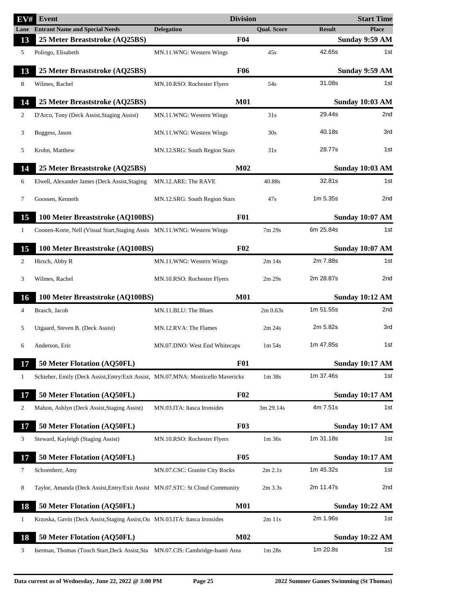| EV#          | Event                                                                            | <b>Division</b>               |                                |               | <b>Start Time</b>      |
|--------------|----------------------------------------------------------------------------------|-------------------------------|--------------------------------|---------------|------------------------|
| Lane         | <b>Entrant Name and Special Needs</b>                                            | <b>Delegation</b>             | <b>Qual. Score</b>             | <b>Result</b> | <b>Place</b>           |
| 13           | 25 Meter Breaststroke (AQ25BS)                                                   | F04                           |                                |               | <b>Sunday 9:59 AM</b>  |
| 5            | Polingo, Elisabeth                                                               | MN.11.WNG: Western Wings      | 45s                            | 42.65s        | 1st                    |
| 13           | 25 Meter Breaststroke (AQ25BS)                                                   | <b>F06</b>                    |                                |               | Sunday 9:59 AM         |
| 8            | Wilmes, Rachel                                                                   | MN.10.RSO: Rochester Flyers   | 54s                            | 31.08s        | 1st                    |
| 14           | 25 Meter Breaststroke (AQ25BS)                                                   | <b>M01</b>                    |                                |               | <b>Sunday 10:03 AM</b> |
| 2            | D'Arco, Tony (Deck Assist, Staging Assist)                                       | MN.11.WNG: Western Wings      | 31s                            | 29.44s        | 2nd                    |
| 3            | Boggess, Jason                                                                   | MN.11.WNG: Western Wings      | 30s                            | 40.18s        | 3rd                    |
| 5            | Krohn, Matthew                                                                   | MN.12.SRG: South Region Stars | 31s                            | 28.77s        | 1st                    |
| 14           | 25 Meter Breaststroke (AQ25BS)                                                   | <b>M02</b>                    |                                |               | <b>Sunday 10:03 AM</b> |
| 6            | Elwell, Alexander James (Deck Assist, Staging                                    | MN.12.ARE: The RAVE           | 40.88s                         | 32.81s        | 1st                    |
| 7            | Goossen, Kenneth                                                                 | MN.12.SRG: South Region Stars | 47s                            | 1m 5.35s      | 2nd                    |
| 15           | 100 Meter Breaststroke (AQ100BS)                                                 | <b>F01</b>                    |                                |               | <b>Sunday 10:07 AM</b> |
| $\mathbf{1}$ | Coonen-Korte, Nell (Visual Start, Staging Assis MN.11.WNG: Western Wings         |                               | 7m 29s                         | 6m 25.84s     | 1st                    |
| 15           | 100 Meter Breaststroke (AQ100BS)                                                 | F02                           |                                |               | <b>Sunday 10:07 AM</b> |
| 2            | Hirsch, Abby R                                                                   | MN.11.WNG: Western Wings      | $2m$ 14s                       | 2m 7.88s      | 1st                    |
| 3            | Wilmes, Rachel                                                                   | MN.10.RSO: Rochester Flyers   | 2m 29s                         | 2m 28.87s     | 2nd                    |
| 16           | 100 Meter Breaststroke (AQ100BS)                                                 | <b>M01</b>                    |                                |               | <b>Sunday 10:12 AM</b> |
| 4            | Brasch, Jacob                                                                    | MN.11.BLU: The Blues          | $2m\,0.63s$                    | 1m 51.55s     | 2nd                    |
| 5            | Utgaard, Steven B. (Deck Assist)                                                 | MN.12.RVA: The Flames         | 2m 24s                         | 2m 5.82s      | 3rd                    |
| 6            | Anderson, Eric                                                                   | MN.07.DNO: West End Whitecaps | $1m\,54s$                      | 1m 47.85s     | 1st                    |
| 17           | 50 Meter Flotation (AQ50FL)                                                      | <b>F01</b>                    |                                |               | <b>Sunday 10:17 AM</b> |
| 1            | Schieber, Emily (Deck Assist, Entry/Exit Assist, MN.07.MNA: Monticello Mavericks |                               | 1 <sub>m</sub> 38 <sub>s</sub> | 1m 37.46s     | 1st                    |
| 17           | 50 Meter Flotation (AQ50FL)                                                      | F02                           |                                |               | <b>Sunday 10:17 AM</b> |
| 2            | Mahon, Ashlyn (Deck Assist, Staging Assist)                                      | MN.03.ITA: Itasca Ironsides   | 3m 29.14s                      | 4m 7.51s      | 1st                    |
| 17           | 50 Meter Flotation (AQ50FL)                                                      | <b>F03</b>                    |                                |               | <b>Sunday 10:17 AM</b> |
| 3            | Steward, Kayleigh (Staging Assist)                                               | MN.10.RSO: Rochester Flyers   | $1m$ 36s                       | 1m 31.18s     | 1st                    |
| 17           | 50 Meter Flotation (AQ50FL)                                                      | <b>F05</b>                    |                                |               | <b>Sunday 10:17 AM</b> |
| 7            | Schoenherr, Amy                                                                  | MN.07.CSC: Granite City Rocks | 2m 2.1s                        | 1m 45.32s     | 1st                    |
| 8            | Taylor, Amanda (Deck Assist, Entry/Exit Assist MN.07.STC: St Cloud Community     |                               | $2m$ 3.3s                      | 2m 11.47s     | 2nd                    |
| 18           | 50 Meter Flotation (AQ50FL)                                                      | <b>M01</b>                    |                                |               | <b>Sunday 10:22 AM</b> |
| 1            | Krzoska, Gavin (Deck Assist, Staging Assist, Ou MN.03.ITA: Itasca Ironsides      |                               | $2m$ 11s                       | 2m 1.96s      | 1st                    |
| 18           | 50 Meter Flotation (AQ50FL)                                                      | M <sub>02</sub>               |                                |               | <b>Sunday 10:22 AM</b> |
| 3            | Iserman, Thomas (Touch Start, Deck Assist, Sta MN.07.CIS: Cambridge-Isanti Area  |                               | 1 <sub>m</sub> 28 <sub>s</sub> | 1m 20.8s      | 1st                    |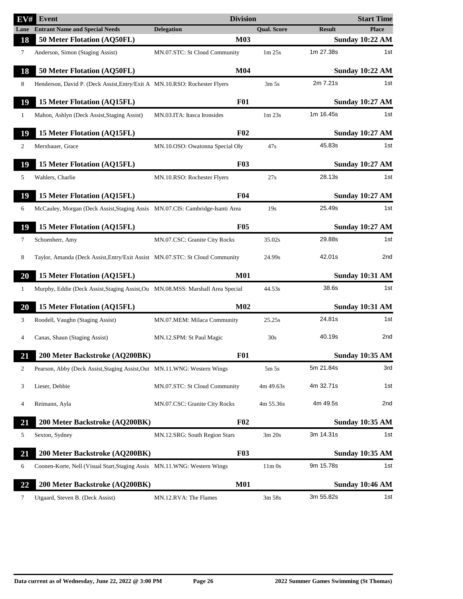| EV#          | <b>Event</b>                                                                    | <b>Division</b>                 |                    |               | <b>Start Time</b>      |
|--------------|---------------------------------------------------------------------------------|---------------------------------|--------------------|---------------|------------------------|
|              | <b>Lane</b> Entrant Name and Special Needs                                      | <b>Delegation</b>               | <b>Qual. Score</b> | <b>Result</b> | <b>Place</b>           |
| 18           | 50 Meter Flotation (AQ50FL)                                                     | <b>M03</b>                      |                    |               | <b>Sunday 10:22 AM</b> |
| $\tau$       | Anderson, Simon (Staging Assist)                                                | MN.07.STC: St Cloud Community   | 1m 25s             | 1m 27.38s     | 1st                    |
| 18           | 50 Meter Flotation (AQ50FL)                                                     | M <sub>04</sub>                 |                    |               | <b>Sunday 10:22 AM</b> |
| 8            | Henderson, David P. (Deck Assist, Entry/Exit A MN.10.RSO: Rochester Flyers      |                                 | 3m <sub>5s</sub>   | 2m 7.21s      | 1st                    |
| 19           | 15 Meter Flotation (AQ15FL)                                                     | <b>F01</b>                      |                    |               | <b>Sunday 10:27 AM</b> |
| $\mathbf{1}$ | Mahon, Ashlyn (Deck Assist, Staging Assist)                                     | MN.03.ITA: Itasca Ironsides     | 1m 23s             | 1m 16.45s     | 1st                    |
| 19           | 15 Meter Flotation (AQ15FL)                                                     | F <sub>02</sub>                 |                    |               | <b>Sunday 10:27 AM</b> |
| 2            | Merxbauer, Grace                                                                | MN.10.OSO: Owatonna Special Oly | 47s                | 45.83s        | 1st                    |
| 19           | 15 Meter Flotation (AQ15FL)                                                     | <b>F03</b>                      |                    |               | <b>Sunday 10:27 AM</b> |
| 5            | Wahlers, Charlie                                                                | MN.10.RSO: Rochester Flyers     | 27s                | 28.13s        | 1st                    |
| 19           | 15 Meter Flotation (AQ15FL)                                                     | <b>F04</b>                      |                    |               | <b>Sunday 10:27 AM</b> |
| 6            | McCauley, Morgan (Deck Assist, Staging Assis MN.07.CIS: Cambridge-Isanti Area   |                                 | 19s                | 25.49s        | 1st                    |
| 19           | 15 Meter Flotation (AQ15FL)                                                     | <b>F05</b>                      |                    |               | <b>Sunday 10:27 AM</b> |
| 7            | Schoenherr, Amy                                                                 | MN.07.CSC: Granite City Rocks   | 35.02s             | 29.88s        | 1st                    |
| 8            | Taylor, Amanda (Deck Assist, Entry/Exit Assist MN.07.STC: St Cloud Community    |                                 | 24.99s             | 42.01s        | 2nd                    |
| 20           | 15 Meter Flotation (AQ15FL)                                                     | <b>M01</b>                      |                    |               | <b>Sunday 10:31 AM</b> |
| 1            | Murphy, Eddie (Deck Assist, Staging Assist, Ou MN.08.MSS: Marshall Area Special |                                 | 44.53s             | 38.6s         | 1st                    |
| 20           | 15 Meter Flotation (AQ15FL)                                                     | M <sub>02</sub>                 |                    |               | Sunday 10:31 AM        |
| 3            | Roodell, Vaughn (Staging Assist)                                                | MN.07.MEM: Milaca Community     | 25.25s             | 24.81s        | 1st                    |
| 4            | Canas, Shaun (Staging Assist)                                                   | MN.12.SPM: St Paul Magic        | 30s                | 40.19s        | 2nd                    |
| <u>21</u>    | 200 Meter Backstroke (AQ200BK)                                                  | <b>F01</b>                      |                    |               | <b>Sunday 10:35 AM</b> |
| 2            | Pearson, Abby (Deck Assist, Staging Assist, Out MN.11. WNG: Western Wings       |                                 | 5m 5s              | 5m 21.84s     | 3rd                    |
| 3            | Lieser, Debbie                                                                  | MN.07.STC: St Cloud Community   | 4m 49.63s          | 4m 32.71s     | 1st                    |
| 4            | Reimann, Ayla                                                                   | MN.07.CSC: Granite City Rocks   | 4m 55.36s          | 4m 49.5s      | 2nd                    |
| 21           | 200 Meter Backstroke (AQ200BK)                                                  | F <sub>02</sub>                 |                    |               | <b>Sunday 10:35 AM</b> |
| 5            | Sexton, Sydney                                                                  | MN.12.SRG: South Region Stars   | 3m 20s             | 3m 14.31s     | 1st                    |
|              |                                                                                 |                                 |                    |               |                        |
| 21           | 200 Meter Backstroke (AQ200BK)                                                  | <b>F03</b>                      |                    |               | <b>Sunday 10:35 AM</b> |
| 6            | Coonen-Korte, Nell (Visual Start, Staging Assis MN.11.WNG: Western Wings        |                                 | $11m$ Os           | 9m 15.78s     | 1st                    |
| 22           | 200 Meter Backstroke (AQ200BK)                                                  | <b>M01</b>                      |                    |               | <b>Sunday 10:46 AM</b> |
| 7            | Utgaard, Steven B. (Deck Assist)                                                | MN.12.RVA: The Flames           | 3m 58s             | 3m 55.82s     | 1st                    |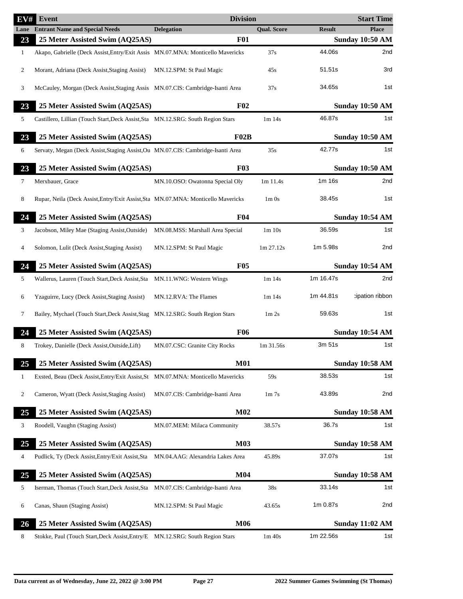| EV#  | Event                                                                             | <b>Division</b>                  |                               |               | <b>Start Time</b>      |
|------|-----------------------------------------------------------------------------------|----------------------------------|-------------------------------|---------------|------------------------|
| Lane | <b>Entrant Name and Special Needs</b>                                             | <b>Delegation</b>                | <b>Qual. Score</b>            | <b>Result</b> | <b>Place</b>           |
| 23   | 25 Meter Assisted Swim (AQ25AS)                                                   | <b>F01</b>                       |                               |               | <b>Sunday 10:50 AM</b> |
| 1    | Akapo, Gabrielle (Deck Assist, Entry/Exit Assis MN.07.MNA: Monticello Mavericks   |                                  | 37s                           | 44.06s        | 2nd                    |
| 2    | Morant, Adriana (Deck Assist, Staging Assist)                                     | MN.12.SPM: St Paul Magic         | 45s                           | 51.51s        | 3rd                    |
| 3    | McCauley, Morgan (Deck Assist, Staging Assis MN.07.CIS: Cambridge-Isanti Area     |                                  | 37s                           | 34.65s        | 1st                    |
| 23   | 25 Meter Assisted Swim (AQ25AS)                                                   | F <sub>02</sub>                  |                               |               | <b>Sunday 10:50 AM</b> |
| 5    | Castillero, Lillian (Touch Start, Deck Assist, Sta MN.12.SRG: South Region Stars  |                                  | $1m$ 14s                      | 46.87s        | 1st                    |
| 23   | 25 Meter Assisted Swim (AQ25AS)                                                   | F02B                             |                               |               | <b>Sunday 10:50 AM</b> |
| 6    | Servaty, Megan (Deck Assist, Staging Assist, Ou MN.07.CIS: Cambridge-Isanti Area  |                                  | 35s                           | 42.77s        | 1st                    |
| 23   | 25 Meter Assisted Swim (AQ25AS)                                                   | <b>F03</b>                       |                               |               | <b>Sunday 10:50 AM</b> |
| 7    | Merxbauer, Grace                                                                  | MN.10.OSO: Owatonna Special Oly  | 1m 11.4s                      | 1m 16s        | 2nd                    |
| 8    | Rupar, Neila (Deck Assist, Entry/Exit Assist, Sta MN.07.MNA: Monticello Mavericks |                                  | $1m$ 0s                       | 38.45s        | 1st                    |
| 24   | 25 Meter Assisted Swim (AQ25AS)                                                   | F <sub>04</sub>                  |                               |               | <b>Sunday 10:54 AM</b> |
| 3    | Jacobson, Miley Mae (Staging Assist, Outside)                                     | MN.08.MSS: Marshall Area Special | 1m 10s                        | 36.59s        | 1st                    |
| 4    | Solomon, Lulit (Deck Assist, Staging Assist)                                      | MN.12.SPM: St Paul Magic         | 1m 27.12s                     | 1m 5.98s      | 2nd                    |
|      |                                                                                   |                                  |                               |               |                        |
| 24   | 25 Meter Assisted Swim (AQ25AS)                                                   | <b>F05</b>                       |                               |               | <b>Sunday 10:54 AM</b> |
| 5    | Wallerus, Lauren (Touch Start, Deck Assist, Sta                                   | MN.11.WNG: Western Wings         | 1m14s                         | 1m 16.47s     | 2nd                    |
| 6    | Yzaguirre, Lucy (Deck Assist, Staging Assist)                                     | MN.12.RVA: The Flames            | $1m$ 14s                      | 1m 44.81s     | tipation ribbon:       |
| 7    | Bailey, Mychael (Touch Start, Deck Assist, Stag MN.12.SRG: South Region Stars     |                                  | 1 <sub>m</sub> 2 <sub>s</sub> | 59.63s        | 1st                    |
| 24   | 25 Meter Assisted Swim (AQ25AS)                                                   | <b>F06</b>                       |                               |               | <b>Sunday 10:54 AM</b> |
| 8    | Trokey, Danielle (Deck Assist, Outside, Lift)                                     | MN.07.CSC: Granite City Rocks    | 1m 31.56s                     | 3m 51s        | 1st                    |
| 25   | 25 Meter Assisted Swim (AQ25AS)                                                   | <b>M01</b>                       |                               |               | <b>Sunday 10:58 AM</b> |
| 1    | Exsted, Beau (Deck Assist, Entry/Exit Assist, St MN.07.MNA: Monticello Mavericks  |                                  | 59s                           | 38.53s        | 1st                    |
| 2    | Cameron, Wyatt (Deck Assist, Staging Assist)                                      | MN.07.CIS: Cambridge-Isanti Area | 1 <sub>m</sub> 7 <sub>s</sub> | 43.89s        | 2nd                    |
| 25   | 25 Meter Assisted Swim (AQ25AS)                                                   | M02                              |                               |               | <b>Sunday 10:58 AM</b> |
| 3    | Roodell, Vaughn (Staging Assist)                                                  | MN.07.MEM: Milaca Community      | 38.57s                        | 36.7s         | 1st                    |
| 25   | 25 Meter Assisted Swim (AQ25AS)                                                   | <b>M03</b>                       |                               |               | <b>Sunday 10:58 AM</b> |
| 4    | Pudlick, Ty (Deck Assist, Entry/Exit Assist, Sta MN.04.AAG: Alexandria Lakes Area |                                  | 45.89s                        | 37.07s        | 1st                    |
| 25   | 25 Meter Assisted Swim (AQ25AS)                                                   | <b>M04</b>                       |                               |               | <b>Sunday 10:58 AM</b> |
| 5    | Iserman, Thomas (Touch Start, Deck Assist, Sta MN.07.CIS: Cambridge-Isanti Area   |                                  | 38s                           | 33.14s        | 1st                    |
| 6    | Canas, Shaun (Staging Assist)                                                     | MN.12.SPM: St Paul Magic         | 43.65s                        | 1m 0.87s      | 2nd                    |
| 26   | 25 Meter Assisted Swim (AQ25AS)                                                   | <b>M06</b>                       |                               |               | <b>Sunday 11:02 AM</b> |
| 8    | Stokke, Paul (Touch Start, Deck Assist, Entry/E MN.12.SRG: South Region Stars     |                                  | $1m$ 40s                      | 1m 22.56s     | 1st                    |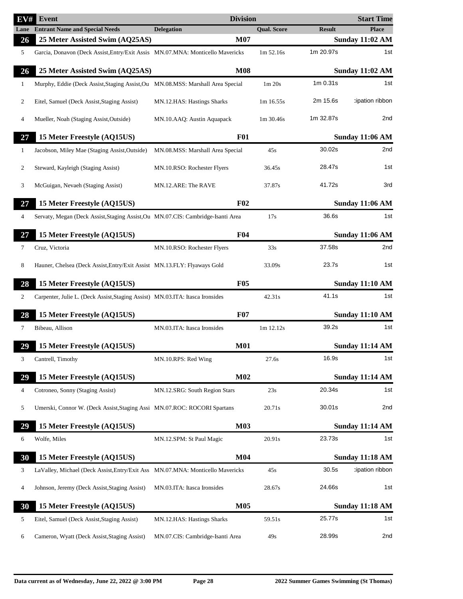| EV#          | Event                                                                            | <b>Division</b>                          |                                |               | <b>Start Time</b>             |
|--------------|----------------------------------------------------------------------------------|------------------------------------------|--------------------------------|---------------|-------------------------------|
| Lane         | <b>Entrant Name and Special Needs</b>                                            | <b>Delegation</b>                        | <b>Qual. Score</b>             | <b>Result</b> | <b>Place</b>                  |
| 26           | 25 Meter Assisted Swim (AQ25AS)                                                  | M07                                      |                                |               | <b>Sunday 11:02 AM</b>        |
| 5            | Garcia, Donavon (Deck Assist, Entry/Exit Assis MN.07.MNA: Monticello Mavericks   |                                          | 1m 52.16s                      | 1m 20.97s     | 1st                           |
| 26           | 25 Meter Assisted Swim (AQ25AS)                                                  | <b>M08</b>                               |                                |               | <b>Sunday 11:02 AM</b>        |
| $\mathbf{1}$ | Murphy, Eddie (Deck Assist, Staging Assist, Ou MN.08.MSS: Marshall Area Special  |                                          | 1 <sub>m</sub> 20 <sub>s</sub> | 1m 0.31s      | 1st                           |
| 2            | Eitel, Samuel (Deck Assist, Staging Assist)                                      | MN.12.HAS: Hastings Sharks               | 1m 16.55s                      | 2m 15.6s      | :ipation ribbon               |
| 4            | Mueller, Noah (Staging Assist, Outside)                                          | MN.10.AAQ: Austin Aquapack               | 1m 30.46s                      | 1m 32.87s     | 2nd                           |
| 27           | 15 Meter Freestyle (AQ15US)                                                      | <b>F01</b>                               |                                |               | <b>Sunday 11:06 AM</b>        |
| $\mathbf{1}$ | Jacobson, Miley Mae (Staging Assist, Outside)                                    | MN.08.MSS: Marshall Area Special         | 45s                            | 30.02s        | 2nd                           |
| 2            | Steward, Kayleigh (Staging Assist)                                               | MN.10.RSO: Rochester Flyers              | 36.45s                         | 28.47s        | 1st                           |
| 3            | McGuigan, Nevaeh (Staging Assist)                                                | MN.12.ARE: The RAVE                      | 37.87s                         | 41.72s        | 3rd                           |
| 27           | 15 Meter Freestyle (AQ15US)                                                      | F <sub>02</sub>                          |                                |               | <b>Sunday 11:06 AM</b>        |
| 4            | Servaty, Megan (Deck Assist, Staging Assist, Ou MN.07.CIS: Cambridge-Isanti Area |                                          | 17s                            | 36.6s         | 1st                           |
| 27           | 15 Meter Freestyle (AQ15US)                                                      | F <sub>04</sub>                          |                                |               | <b>Sunday 11:06 AM</b>        |
| 7            | Cruz, Victoria                                                                   | MN.10.RSO: Rochester Flyers              | 33s                            | 37.58s        | 2nd                           |
|              |                                                                                  |                                          |                                |               |                               |
| 8            | Hauner, Chelsea (Deck Assist, Entry/Exit Assist MN.13.FLY: Flyaways Gold         |                                          | 33.09s                         | 23.7s         | 1st                           |
| 28           | 15 Meter Freestyle (AQ15US)                                                      | <b>F05</b>                               |                                |               | <b>Sunday 11:10 AM</b>        |
| 2            | Carpenter, Julie L. (Deck Assist, Staging Assist) MN.03.ITA: Itasca Ironsides    |                                          | 42.31s                         | 41.1s         | 1st                           |
| 28           | 15 Meter Freestyle (AQ15US)                                                      | <b>F07</b>                               |                                |               | <b>Sunday 11:10 AM</b>        |
| 7            | Bibeau, Allison                                                                  | MN.03.ITA: Itasca Ironsides              | 1m 12.12s                      | 39.2s         | 1st                           |
| 29           | 15 Meter Freestyle (AQ15US)                                                      | <b>M01</b>                               |                                |               | <b>Sunday 11:14 AM</b>        |
| 3            | Cantrell, Timothy                                                                | MN.10.RPS: Red Wing                      | 27.6s                          | 16.9s         | 1st                           |
| 29           | 15 Meter Freestyle (AQ15US)                                                      | M <sub>02</sub>                          |                                |               | <b>Sunday 11:14 AM</b>        |
| 4            | Cotroneo, Sonny (Staging Assist)                                                 | MN.12.SRG: South Region Stars            | 23s                            | 20.34s        | 1st                           |
| 5            | Umerski, Connor W. (Deck Assist, Staging Assi MN.07.ROC: ROCORI Spartans         |                                          | 20.71s                         | 30.01s        | 2nd                           |
| 29           | 15 Meter Freestyle (AQ15US)                                                      | <b>M03</b>                               |                                |               | <b>Sunday 11:14 AM</b>        |
| 6            | Wolfe, Miles                                                                     | MN.12.SPM: St Paul Magic                 | 20.91s                         | 23.73s        | 1st                           |
| 30           | 15 Meter Freestyle (AQ15US)                                                      | M <sub>04</sub>                          |                                |               | <b>Sunday 11:18 AM</b>        |
| 3            | LaValley, Michael (Deck Assist, Entry/Exit Ass MN.07.MNA: Monticello Mavericks   |                                          | 45s                            | 30.5s         | cipation ribbon               |
| 4            | Johnson, Jeremy (Deck Assist, Staging Assist)                                    | MN.03.ITA: Itasca Ironsides              | 28.67s                         | 24.66s        | 1st                           |
|              |                                                                                  |                                          |                                |               |                               |
| 30<br>5      | 15 Meter Freestyle (AQ15US)<br>Eitel, Samuel (Deck Assist, Staging Assist)       | <b>M05</b><br>MN.12.HAS: Hastings Sharks | 59.51s                         | 25.77s        | <b>Sunday 11:18 AM</b><br>1st |
|              |                                                                                  |                                          |                                |               |                               |
| 6            | Cameron, Wyatt (Deck Assist, Staging Assist)                                     | MN.07.CIS: Cambridge-Isanti Area         | 49s                            | 28.99s        | 2nd                           |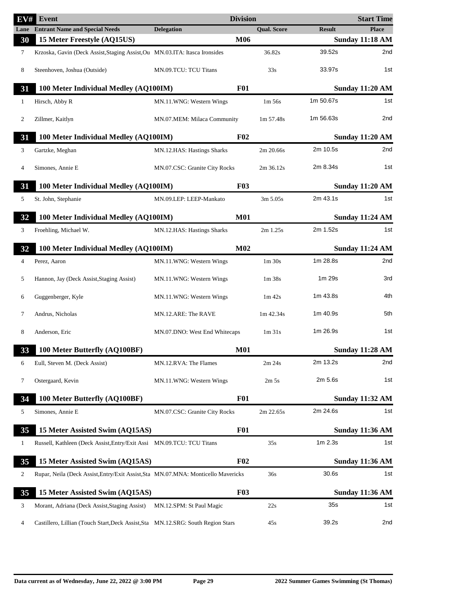| EV#            | <b>Event</b>                                                                      |                               | <b>Division</b> |                                |               | <b>Start Time</b>      |
|----------------|-----------------------------------------------------------------------------------|-------------------------------|-----------------|--------------------------------|---------------|------------------------|
|                | <b>Lane</b> Entrant Name and Special Needs                                        | <b>Delegation</b>             |                 | <b>Qual. Score</b>             | <b>Result</b> | <b>Place</b>           |
| 30             | 15 Meter Freestyle (AQ15US)                                                       |                               | M06             |                                |               | <b>Sunday 11:18 AM</b> |
| 7              | Krzoska, Gavin (Deck Assist, Staging Assist, Ou MN.03.ITA: Itasca Ironsides       |                               |                 | 36.82s                         | 39.52s        | 2 <sub>nd</sub>        |
| 8              | Steenhoven, Joshua (Outside)                                                      | MN.09.TCU: TCU Titans         |                 | 33s                            | 33.97s        | 1st                    |
| 31             | 100 Meter Individual Medley (AQ100IM)                                             |                               | <b>F01</b>      |                                |               | <b>Sunday 11:20 AM</b> |
| 1              | Hirsch, Abby R                                                                    | MN.11.WNG: Western Wings      |                 | $1m\,56s$                      | 1m 50.67s     | 1st                    |
| $\overline{c}$ | Zillmer, Kaitlyn                                                                  | MN.07.MEM: Milaca Community   |                 | 1m 57.48s                      | 1m 56.63s     | 2nd                    |
| 31             | 100 Meter Individual Medley (AQ100IM)                                             |                               | F <sub>02</sub> |                                |               | <b>Sunday 11:20 AM</b> |
| 3              | Gartzke, Meghan                                                                   | MN.12.HAS: Hastings Sharks    |                 | 2m 20.66s                      | 2m 10.5s      | 2nd                    |
| 4              | Simones, Annie E                                                                  | MN.07.CSC: Granite City Rocks |                 | 2m 36.12s                      | 2m 8.34s      | 1st                    |
| 31             | 100 Meter Individual Medley (AQ100IM)                                             |                               | <b>F03</b>      |                                |               | <b>Sunday 11:20 AM</b> |
| 5              | St. John, Stephanie                                                               | MN.09.LEP: LEEP-Mankato       |                 | 3m 5.05s                       | 2m 43.1s      | 1st                    |
| 32             | 100 Meter Individual Medley (AQ100IM)                                             |                               | <b>M01</b>      |                                |               | <b>Sunday 11:24 AM</b> |
| 3              | Froehling, Michael W.                                                             | MN.12.HAS: Hastings Sharks    |                 | $2m$ 1.25s                     | 2m 1.52s      | 1st                    |
| 32             | 100 Meter Individual Medley (AQ100IM)                                             |                               | M <sub>02</sub> |                                |               | <b>Sunday 11:24 AM</b> |
| 4              | Perez, Aaron                                                                      | MN.11.WNG: Western Wings      |                 | $1m$ 30s                       | 1m 28.8s      | 2nd                    |
| 5              | Hannon, Jay (Deck Assist, Staging Assist)                                         | MN.11.WNG: Western Wings      |                 | 1 <sub>m</sub> 38 <sub>s</sub> | 1m 29s        | 3rd                    |
| 6              | Guggenberger, Kyle                                                                | MN.11.WNG: Western Wings      |                 | $1m$ 42s                       | 1m 43.8s      | 4th                    |
| 7              | Andrus, Nicholas                                                                  | MN.12.ARE: The RAVE           |                 | 1m 42.34s                      | 1m 40.9s      | 5th                    |
| 8              | Anderson, Eric                                                                    | MN.07.DNO: West End Whitecaps |                 | 1m31s                          | 1m 26.9s      | 1st                    |
| 33             | 100 Meter Butterfly (AQ100BF)                                                     |                               | <b>M01</b>      |                                |               | Sunday 11:28 AM        |
| 6              | Eull, Steven M. (Deck Assist)                                                     | MN.12.RVA: The Flames         |                 | 2m 24s                         | 2m 13.2s      | 2nd                    |
| 7              | Ostergaard, Kevin                                                                 | MN.11.WNG: Western Wings      |                 | 2m <sub>5s</sub>               | 2m 5.6s       | 1st                    |
| 34             | 100 Meter Butterfly (AQ100BF)                                                     |                               | <b>F01</b>      |                                |               | <b>Sunday 11:32 AM</b> |
| 5              | Simones, Annie E                                                                  | MN.07.CSC: Granite City Rocks |                 | 2m 22.65s                      | 2m 24.6s      | 1st                    |
| 35             | 15 Meter Assisted Swim (AQ15AS)                                                   |                               | <b>F01</b>      |                                |               | <b>Sunday 11:36 AM</b> |
| 1              | Russell, Kathleen (Deck Assist, Entry/Exit Assi MN.09.TCU: TCU Titans             |                               |                 | 35s                            | $1m$ 2.3s     | 1st                    |
| 35             | 15 Meter Assisted Swim (AQ15AS)                                                   |                               | F <sub>02</sub> |                                |               | <b>Sunday 11:36 AM</b> |
| 2              | Rupar, Neila (Deck Assist, Entry/Exit Assist, Sta MN.07.MNA: Monticello Mavericks |                               |                 | 36s                            | 30.6s         | 1st                    |
| 35             | 15 Meter Assisted Swim (AQ15AS)                                                   |                               | <b>F03</b>      |                                |               | Sunday 11:36 AM        |
| 3              | Morant, Adriana (Deck Assist, Staging Assist)                                     | MN.12.SPM: St Paul Magic      |                 | 22s                            | 35s           | 1st                    |
| 4              | Castillero, Lillian (Touch Start, Deck Assist, Sta MN.12.SRG: South Region Stars  |                               |                 | 45s                            | 39.2s         | 2nd                    |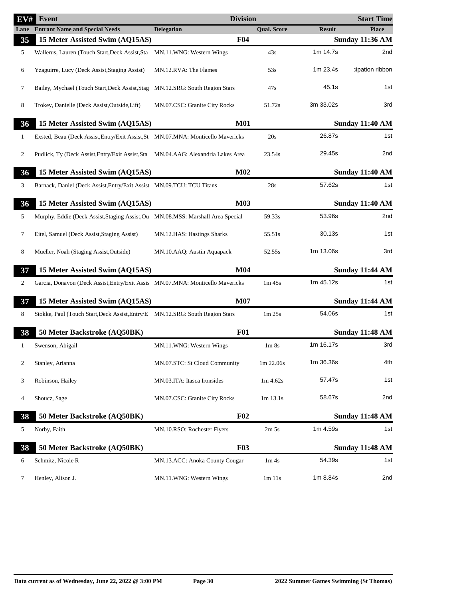| EV# | Event                                                                             | <b>Division</b>                |                               |               | <b>Start Time</b>      |
|-----|-----------------------------------------------------------------------------------|--------------------------------|-------------------------------|---------------|------------------------|
|     | <b>Lane</b> Entrant Name and Special Needs                                        | <b>Delegation</b>              | <b>Qual. Score</b>            | <b>Result</b> | <b>Place</b>           |
| 35  | 15 Meter Assisted Swim (AQ15AS)                                                   | <b>F04</b>                     |                               |               | <b>Sunday 11:36 AM</b> |
| 5   | Wallerus, Lauren (Touch Start, Deck Assist, Sta                                   | MN.11.WNG: Western Wings       | 43s                           | 1m 14.7s      | 2nd                    |
| 6   | Yzaguirre, Lucy (Deck Assist, Staging Assist)                                     | MN.12.RVA: The Flames          | 53s                           | 1m 23.4s      | cipation ribbon        |
| 7   | Bailey, Mychael (Touch Start, Deck Assist, Stag                                   | MN.12.SRG: South Region Stars  | 47s                           | 45.1s         | 1st                    |
| 8   | Trokey, Danielle (Deck Assist, Outside, Lift)                                     | MN.07.CSC: Granite City Rocks  | 51.72s                        | 3m 33.02s     | 3rd                    |
| 36  | 15 Meter Assisted Swim (AQ15AS)                                                   | <b>M01</b>                     |                               |               | <b>Sunday 11:40 AM</b> |
| 1   | Exsted, Beau (Deck Assist, Entry/Exit Assist, St MN.07.MNA: Monticello Mavericks  |                                | 20s                           | 26.87s        | 1st                    |
| 2   | Pudlick, Ty (Deck Assist, Entry/Exit Assist, Sta MN.04.AAG: Alexandria Lakes Area |                                | 23.54s                        | 29.45s        | 2nd                    |
| 36  | 15 Meter Assisted Swim (AQ15AS)                                                   | M <sub>02</sub>                |                               |               | <b>Sunday 11:40 AM</b> |
| 3   | Barnack, Daniel (Deck Assist, Entry/Exit Assist MN.09.TCU: TCU Titans             |                                | 28s                           | 57.62s        | 1st                    |
| 36  | 15 Meter Assisted Swim (AQ15AS)                                                   | <b>M03</b>                     |                               |               | <b>Sunday 11:40 AM</b> |
| 5   | Murphy, Eddie (Deck Assist, Staging Assist, Ou MN.08.MSS: Marshall Area Special   |                                | 59.33s                        | 53.96s        | 2nd                    |
| 7   | Eitel, Samuel (Deck Assist, Staging Assist)                                       | MN.12.HAS: Hastings Sharks     | 55.51s                        | 30.13s        | 1st                    |
| 8   | Mueller, Noah (Staging Assist, Outside)                                           | MN.10.AAQ: Austin Aquapack     | 52.55s                        | 1m 13.06s     | 3rd                    |
| 37  | 15 Meter Assisted Swim (AQ15AS)                                                   | M <sub>04</sub>                |                               |               | <b>Sunday 11:44 AM</b> |
| 2   | Garcia, Donavon (Deck Assist, Entry/Exit Assis MN.07.MNA: Monticello Mavericks    |                                | $1m$ 45s                      | 1m 45.12s     | 1st                    |
| 37  | 15 Meter Assisted Swim (AQ15AS)                                                   | <b>M07</b>                     |                               |               | <b>Sunday 11:44 AM</b> |
| 8   | Stokke, Paul (Touch Start, Deck Assist, Entry/E MN.12.SRG: South Region Stars     |                                | 1m 25s                        | 54.06s        | 1st                    |
| 38  | 50 Meter Backstroke (AQ50BK)                                                      | <b>F01</b>                     |                               |               | <b>Sunday 11:48 AM</b> |
| 1   | Swenson, Abigail                                                                  | MN.11.WNG: Western Wings       | 1 <sub>m</sub> 8 <sub>s</sub> | 1m 16.17s     | 3rd                    |
| 2   | Stanley, Arianna                                                                  | MN.07.STC: St Cloud Community  | 1m 22.06s                     | 1m 36.36s     | 4th                    |
| 3   | Robinson, Hailey                                                                  | MN.03.ITA: Itasca Ironsides    | $1m\,4.62s$                   | 57.47s        | 1st                    |
| 4   | Shoucz, Sage                                                                      | MN.07.CSC: Granite City Rocks  | $1m$ 13.1s                    | 58.67s        | 2nd                    |
| 38  | 50 Meter Backstroke (AQ50BK)                                                      | F02                            |                               |               | <b>Sunday 11:48 AM</b> |
| 5   | Norby, Faith                                                                      | MN.10.RSO: Rochester Flyers    | 2m <sub>5s</sub>              | 1m 4.59s      | 1st                    |
| 38  | 50 Meter Backstroke (AQ50BK)                                                      | <b>F03</b>                     |                               |               | <b>Sunday 11:48 AM</b> |
| 6   | Schmitz, Nicole R                                                                 | MN.13.ACC: Anoka County Cougar | 1m <sub>4s</sub>              | 54.39s        | 1st                    |
| 7   | Henley, Alison J.                                                                 | MN.11.WNG: Western Wings       | 1m 11s                        | 1m 8.84s      | 2nd                    |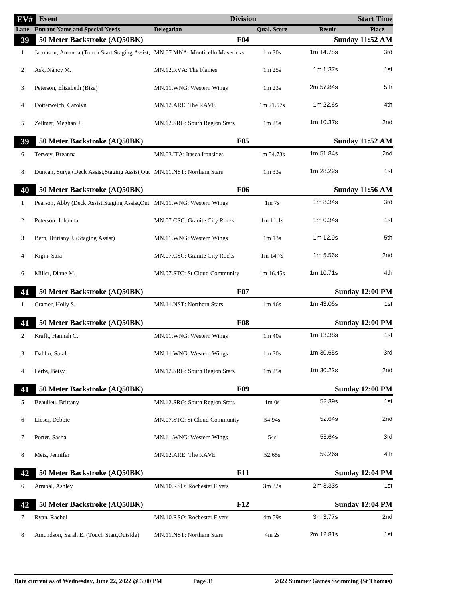| EV# | <b>Event</b>                                                                   | <b>Division</b>               |                                |               | <b>Start Time</b>      |
|-----|--------------------------------------------------------------------------------|-------------------------------|--------------------------------|---------------|------------------------|
|     | <b>Lane</b> Entrant Name and Special Needs                                     | <b>Delegation</b>             | <b>Qual. Score</b>             | <b>Result</b> | <b>Place</b>           |
| 39  | 50 Meter Backstroke (AQ50BK)                                                   | <b>F04</b>                    |                                |               | <b>Sunday 11:52 AM</b> |
| 1   | Jacobson, Amanda (Touch Start, Staging Assist, MN.07.MNA: Monticello Mavericks |                               | $1m$ 30s                       | 1m 14.78s     | 3rd                    |
| 2   | Ask, Nancy M.                                                                  | MN.12.RVA: The Flames         | 1 <sub>m</sub> 25 <sub>s</sub> | 1m 1.37s      | 1st                    |
| 3   | Peterson, Elizabeth (Biza)                                                     | MN.11.WNG: Western Wings      | 1m23s                          | 2m 57.84s     | 5th                    |
| 4   | Dotterweich, Carolyn                                                           | MN.12.ARE: The RAVE           | 1m 21.57s                      | 1m 22.6s      | 4th                    |
| 5   | Zellmer, Meghan J.                                                             | MN.12.SRG: South Region Stars | 1 <sub>m</sub> 25 <sub>s</sub> | 1m 10.37s     | 2nd                    |
| 39  | 50 Meter Backstroke (AQ50BK)                                                   | F05                           |                                |               | <b>Sunday 11:52 AM</b> |
| 6   | Terwey, Breanna                                                                | MN.03.ITA: Itasca Ironsides   | 1m 54.73s                      | 1m 51.84s     | 2nd                    |
| 8   | Duncan, Surya (Deck Assist, Staging Assist, Out MN.11.NST: Northern Stars      |                               | $1m$ 33s                       | 1m 28.22s     | 1st                    |
| 40  | 50 Meter Backstroke (AQ50BK)                                                   | <b>F06</b>                    |                                |               | <b>Sunday 11:56 AM</b> |
| 1   | Pearson, Abby (Deck Assist, Staging Assist, Out MN.11. WNG: Western Wings      |                               | 1 <sub>m</sub> 7 <sub>s</sub>  | 1m 8.34s      | 3rd                    |
| 2   | Peterson, Johanna                                                              | MN.07.CSC: Granite City Rocks | $1m$ 11.1s                     | 1m 0.34s      | 1st                    |
| 3   | Bern, Brittany J. (Staging Assist)                                             | MN.11.WNG: Western Wings      | $1m$ 13s                       | 1m 12.9s      | 5th                    |
| 4   | Kigin, Sara                                                                    | MN.07.CSC: Granite City Rocks | $1m$ 14.7s                     | 1m 5.56s      | 2nd                    |
| 6   | Miller, Diane M.                                                               | MN.07.STC: St Cloud Community | 1m 16.45s                      | 1m 10.71s     | 4th                    |
| 41  | 50 Meter Backstroke (AQ50BK)                                                   | <b>F07</b>                    |                                |               | <b>Sunday 12:00 PM</b> |
| 1   | Cramer, Holly S.                                                               | MN.11.NST: Northern Stars     | 1m 46s                         | 1m 43.06s     | 1st                    |
| 41  | 50 Meter Backstroke (AQ50BK)                                                   | <b>F08</b>                    |                                |               | <b>Sunday 12:00 PM</b> |
| 2   | Krafft, Hannah C.                                                              | MN.11.WNG: Western Wings      | 1m 40s                         | 1m 13.38s     | 1st                    |
|     | Dahlin, Sarah                                                                  | MN.11.WNG: Western Wings      | $1\mathrm{m}$ 30s              | 1m 30.65s     | 3rd                    |
| 4   | Lerbs, Betsy                                                                   | MN.12.SRG: South Region Stars | 1 <sub>m</sub> 25 <sub>s</sub> | 1m 30.22s     | 2nd                    |
| 41  | 50 Meter Backstroke (AQ50BK)                                                   | <b>F09</b>                    |                                |               | <b>Sunday 12:00 PM</b> |
| 5   | Beaulieu, Brittany                                                             | MN.12.SRG: South Region Stars | $1m$ 0s                        | 52.39s        | 1st                    |
| 6   | Lieser, Debbie                                                                 | MN.07.STC: St Cloud Community | 54.94s                         | 52.64s        | 2nd                    |
| 7   | Porter, Sasha                                                                  | MN.11.WNG: Western Wings      | 54s                            | 53.64s        | 3rd                    |
| 8   | Metz, Jennifer                                                                 | MN.12.ARE: The RAVE           | 52.65s                         | 59.26s        | 4th                    |
| 42  | 50 Meter Backstroke (AQ50BK)                                                   | <b>F11</b>                    |                                |               | <b>Sunday 12:04 PM</b> |
| 6   | Arrabal, Ashley                                                                | MN.10.RSO: Rochester Flyers   | 3m 32s                         | 2m 3.33s      | 1st                    |
| 42  | 50 Meter Backstroke (AQ50BK)                                                   | F12                           |                                |               | <b>Sunday 12:04 PM</b> |
| 7   | Ryan, Rachel                                                                   | MN.10.RSO: Rochester Flyers   | 4m 59s                         | 3m 3.77s      | 2nd                    |
| 8   | Amundson, Sarah E. (Touch Start, Outside)                                      | MN.11.NST: Northern Stars     | 4m 2s                          | 2m 12.81s     | 1st                    |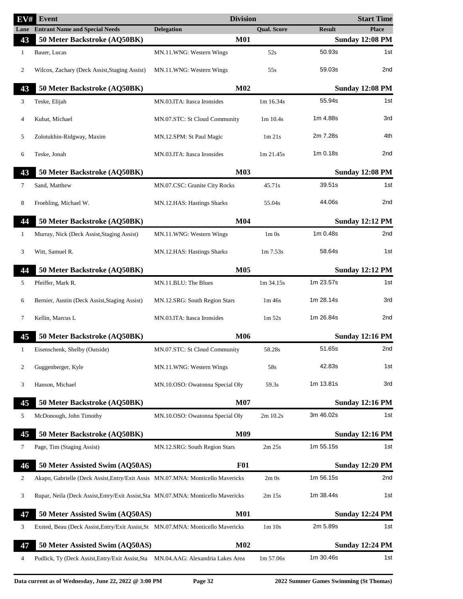| EV#          | Event                                                                             | <b>Division</b>                 |                    |               | <b>Start Time</b>      |
|--------------|-----------------------------------------------------------------------------------|---------------------------------|--------------------|---------------|------------------------|
| Lane         | <b>Entrant Name and Special Needs</b>                                             | <b>Delegation</b>               | <b>Qual. Score</b> | <b>Result</b> | <b>Place</b>           |
| 43           | 50 Meter Backstroke (AQ50BK)                                                      | <b>M01</b>                      |                    |               | <b>Sunday 12:08 PM</b> |
| $\mathbf{1}$ | Bauer, Lucas                                                                      | MN.11.WNG: Western Wings        | 52s                | 50.93s        | 1st                    |
| 2            | Wilcox, Zachary (Deck Assist, Staging Assist)                                     | MN.11.WNG: Western Wings        | 55s                | 59.03s        | 2nd                    |
| 43           | 50 Meter Backstroke (AQ50BK)                                                      | M <sub>02</sub>                 |                    |               | <b>Sunday 12:08 PM</b> |
| 3            | Teske, Elijah                                                                     | MN.03.ITA: Itasca Ironsides     | 1m 16.34s          | 55.94s        | 1st                    |
| 4            | Kubat, Michael                                                                    | MN.07.STC: St Cloud Community   | 1m 10.4s           | 1m 4.88s      | 3rd                    |
| 5            | Zolotukhin-Ridgway, Maxim                                                         | MN.12.SPM: St Paul Magic        | $1m$ 21s           | 2m 7.28s      | 4th                    |
| 6            | Teske, Jonah                                                                      | MN.03.ITA: Itasca Ironsides     | 1m 21.45s          | 1m 0.18s      | 2nd                    |
| 43           | 50 Meter Backstroke (AQ50BK)                                                      | <b>M03</b>                      |                    |               | <b>Sunday 12:08 PM</b> |
| 7            | Sand, Matthew                                                                     | MN.07.CSC: Granite City Rocks   | 45.71s             | 39.51s        | 1st                    |
| 8            | Froehling, Michael W.                                                             | MN.12.HAS: Hastings Sharks      | 55.04s             | 44.06s        | 2 <sub>nd</sub>        |
| 44           | 50 Meter Backstroke (AQ50BK)                                                      | M <sub>04</sub>                 |                    |               | <b>Sunday 12:12 PM</b> |
| $\mathbf{1}$ | Murray, Nick (Deck Assist, Staging Assist)                                        | MN.11.WNG: Western Wings        | $1m$ 0s            | 1m 0.48s      | 2nd                    |
| 3            | Witt, Samuel R.                                                                   | MN.12.HAS: Hastings Sharks      | $1m\,7.53s$        | 58.64s        | 1st                    |
| 44           | 50 Meter Backstroke (AQ50BK)                                                      | <b>M05</b>                      |                    |               | <b>Sunday 12:12 PM</b> |
| 5            | Pfeiffer, Mark R.                                                                 | MN.11.BLU: The Blues            | 1m 34.15s          | 1m 23.57s     | 1st                    |
| 6            | Bernier, Austin (Deck Assist, Staging Assist)                                     | MN.12.SRG: South Region Stars   | 1m 46s             | 1m 28.14s     | 3rd                    |
| 7            | Kellin, Marcus L                                                                  | MN.03.ITA: Itasca Ironsides     | $1m\,52s$          | 1m 26.84s     | 2nd                    |
| 45           | 50 Meter Backstroke (AQ50BK)                                                      | <b>M06</b>                      |                    |               | <b>Sunday 12:16 PM</b> |
| 1            | Eisenschenk, Shelby (Outside)                                                     | MN.07.STC: St Cloud Community   | 58.28s             | 51.65s        | 2nd                    |
| 2            | Guggenberger, Kyle                                                                | MN.11.WNG: Western Wings        | 58s                | 42.83s        | 1st                    |
| 3            | Hanson, Michael                                                                   | MN.10.OSO: Owatonna Special Oly | 59.3s              | 1m 13.81s     | 3rd                    |
| 45           | 50 Meter Backstroke (AQ50BK)                                                      | <b>M07</b>                      |                    |               | <b>Sunday 12:16 PM</b> |
| 5            | McDonough, John Timothy                                                           | MN.10.OSO: Owatonna Special Oly | 2m 10.2s           | 3m 46.02s     | 1st                    |
| 45           | 50 Meter Backstroke (AQ50BK)                                                      | <b>M09</b>                      |                    |               | <b>Sunday 12:16 PM</b> |
| 7            | Page, Tim (Staging Assist)                                                        | MN.12.SRG: South Region Stars   | 2m 25s             | 1m 55.15s     | 1st                    |
| 46           | 50 Meter Assisted Swim (AQ50AS)                                                   | <b>F01</b>                      |                    |               | <b>Sunday 12:20 PM</b> |
| 2            | Akapo, Gabrielle (Deck Assist, Entry/Exit Assis MN.07.MNA: Monticello Mavericks   |                                 | $2m$ Os            | 1m 56.15s     | 2nd                    |
| 3            | Rupar, Neila (Deck Assist, Entry/Exit Assist, Sta MN.07.MNA: Monticello Mavericks |                                 | $2m$ 15s           | 1m 38.44s     | 1st                    |
| 47           | 50 Meter Assisted Swim (AQ50AS)                                                   | <b>M01</b>                      |                    |               | <b>Sunday 12:24 PM</b> |
| 3            | Exsted, Beau (Deck Assist, Entry/Exit Assist, St MN.07.MNA: Monticello Mavericks  |                                 | 1m 10s             | 2m 5.89s      | 1st                    |
| 47           | 50 Meter Assisted Swim (AQ50AS)                                                   | M <sub>02</sub>                 |                    |               | <b>Sunday 12:24 PM</b> |
| 4            | Pudlick, Ty (Deck Assist, Entry/Exit Assist, Sta MN.04.AAG: Alexandria Lakes Area |                                 | 1m 57.06s          | 1m 30.46s     | 1st                    |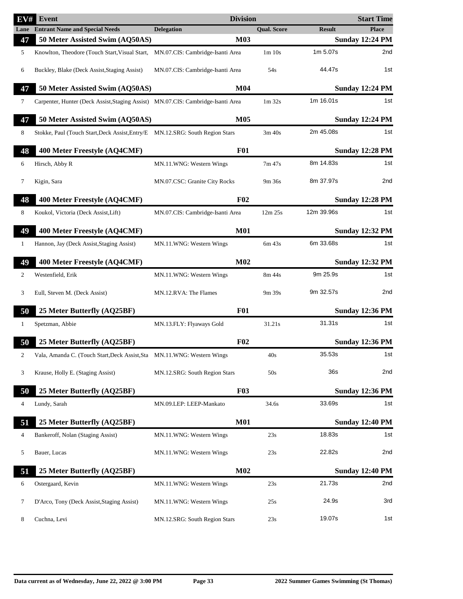| EV#            | <b>Event</b>                                                                     | <b>Division</b>                  |                    |               | <b>Start Time</b>      |
|----------------|----------------------------------------------------------------------------------|----------------------------------|--------------------|---------------|------------------------|
| Lane           | <b>Entrant Name and Special Needs</b>                                            | <b>Delegation</b>                | <b>Qual. Score</b> | <b>Result</b> | <b>Place</b>           |
| 47             | 50 Meter Assisted Swim (AQ50AS)                                                  | M03                              |                    |               | <b>Sunday 12:24 PM</b> |
| 5              | Knowlton, Theodore (Touch Start, Visual Start,                                   | MN.07.CIS: Cambridge-Isanti Area | 1m 10s             | 1m 5.07s      | 2nd                    |
| 6              | Buckley, Blake (Deck Assist, Staging Assist)                                     | MN.07.CIS: Cambridge-Isanti Area | 54s                | 44.47s        | 1st                    |
| 47             | 50 Meter Assisted Swim (AQ50AS)                                                  | M <sub>04</sub>                  |                    |               | <b>Sunday 12:24 PM</b> |
| 7              | Carpenter, Hunter (Deck Assist, Staging Assist) MN.07.CIS: Cambridge-Isanti Area |                                  | $1m$ 32s           | 1m 16.01s     | 1st                    |
| 47             | 50 Meter Assisted Swim (AQ50AS)                                                  | <b>M05</b>                       |                    |               | <b>Sunday 12:24 PM</b> |
| 8              | Stokke, Paul (Touch Start, Deck Assist, Entry/E MN.12.SRG: South Region Stars    |                                  | 3m 40s             | 2m 45.08s     | 1st                    |
| 48             | 400 Meter Freestyle (AQ4CMF)                                                     | <b>F01</b>                       |                    |               | <b>Sunday 12:28 PM</b> |
| 6              | Hirsch, Abby R                                                                   | MN.11.WNG: Western Wings         | 7m 47s             | 8m 14.83s     | 1st                    |
| 7              | Kigin, Sara                                                                      | MN.07.CSC: Granite City Rocks    | 9m 36s             | 8m 37.97s     | 2nd                    |
| 48             | 400 Meter Freestyle (AQ4CMF)                                                     | F <sub>02</sub>                  |                    |               | <b>Sunday 12:28 PM</b> |
| 8              | Koukol, Victoria (Deck Assist, Lift)                                             | MN.07.CIS: Cambridge-Isanti Area | 12m 25s            | 12m 39.96s    | 1st                    |
| 49             | 400 Meter Freestyle (AQ4CMF)                                                     | <b>M01</b>                       |                    |               | <b>Sunday 12:32 PM</b> |
| 1              | Hannon, Jay (Deck Assist, Staging Assist)                                        | MN.11.WNG: Western Wings         | 6m 43s             | 6m 33.68s     | 1st                    |
| 49             | 400 Meter Freestyle (AQ4CMF)                                                     | M02                              |                    |               | <b>Sunday 12:32 PM</b> |
| 2              | Westenfield, Erik                                                                | MN.11.WNG: Western Wings         | 8m 44s             | 9m 25.9s      | 1st                    |
| 3              | Eull, Steven M. (Deck Assist)                                                    | MN.12.RVA: The Flames            | 9m 39s             | 9m 32.57s     | 2nd                    |
| 50             | 25 Meter Butterfly (AQ25BF)                                                      | <b>F01</b>                       |                    |               | <b>Sunday 12:36 PM</b> |
| 1              | Spetzman, Abbie                                                                  | MN.13.FLY: Flyaways Gold         | 31.21s             | 31.31s        | 1st                    |
| 50             | 25 Meter Butterfly (AQ25BF)                                                      | F02                              |                    |               | <b>Sunday 12:36 PM</b> |
| $\overline{c}$ | Vala, Amanda C. (Touch Start, Deck Assist, Sta MN.11. WNG: Western Wings         |                                  | 40s                | 35.53s        | 1st                    |
| 3              | Krause, Holly E. (Staging Assist)                                                | MN.12.SRG: South Region Stars    | 50s                | 36s           | 2nd                    |
| 50             | 25 Meter Butterfly (AQ25BF)                                                      | <b>F03</b>                       |                    |               | <b>Sunday 12:36 PM</b> |
| 4              | Lundy, Sarah                                                                     | MN.09.LEP: LEEP-Mankato          | 34.6s              | 33.69s        | 1st                    |
| 51             | 25 Meter Butterfly (AQ25BF)                                                      | <b>M01</b>                       |                    |               | <b>Sunday 12:40 PM</b> |
| 4              | Bankeroff, Nolan (Staging Assist)                                                | MN.11.WNG: Western Wings         | 23s                | 18.83s        | 1st                    |
| 5              | Bauer, Lucas                                                                     | MN.11.WNG: Western Wings         | 23s                | 22.82s        | 2nd                    |
| 51             | 25 Meter Butterfly (AQ25BF)                                                      | M <sub>02</sub>                  |                    |               | <b>Sunday 12:40 PM</b> |
| 6              | Ostergaard, Kevin                                                                | MN.11.WNG: Western Wings         | 23s                | 21.73s        | 2nd                    |
| 7              | D'Arco, Tony (Deck Assist, Staging Assist)                                       | MN.11.WNG: Western Wings         | 25s                | 24.9s         | 3rd                    |
| 8              | Cuchna, Levi                                                                     | MN.12.SRG: South Region Stars    | 23s                | 19.07s        | 1st                    |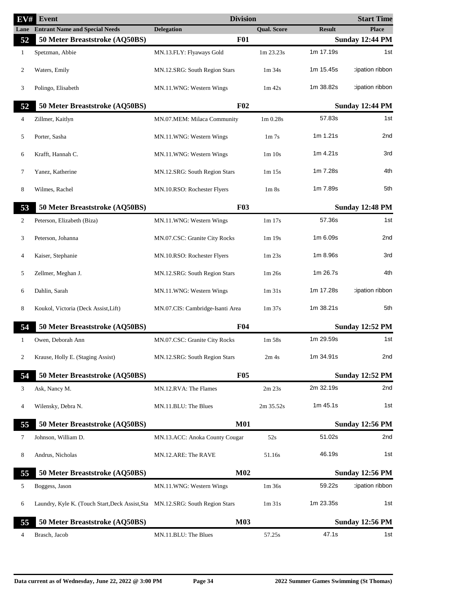| EV#          | Event                                                                         | <b>Division</b>                  |                                  |                        | <b>Start Time</b>      |
|--------------|-------------------------------------------------------------------------------|----------------------------------|----------------------------------|------------------------|------------------------|
|              | <b>Lane</b> Entrant Name and Special Needs                                    | <b>Delegation</b>                | <b>Qual. Score</b>               | <b>Result</b>          | <b>Place</b>           |
| 52           | 50 Meter Breaststroke (AQ50BS)                                                | <b>F01</b>                       |                                  | <b>Sunday 12:44 PM</b> |                        |
| $\mathbf{1}$ | Spetzman, Abbie                                                               | MN.13.FLY: Flyaways Gold         | 1m 23.23s                        | 1m 17.19s              | 1st                    |
| 2            | Waters, Emily                                                                 | MN.12.SRG: South Region Stars    | $1m$ 34s                         | 1m 15.45s              | cipation ribbon        |
| 3            | Polingo, Elisabeth                                                            | MN.11.WNG: Western Wings         | $1m$ 42s                         | 1m 38.82s              | cipation ribbon        |
| 52           | 50 Meter Breaststroke (AQ50BS)                                                | F <sub>02</sub>                  |                                  |                        | <b>Sunday 12:44 PM</b> |
| 4            | Zillmer, Kaitlyn                                                              | MN.07.MEM: Milaca Community      | 1 <sub>m</sub> 0.28 <sub>s</sub> | 57.83s                 | 1st                    |
| 5            | Porter, Sasha                                                                 | MN.11.WNG: Western Wings         | 1 <sub>m</sub> 7 <sub>s</sub>    | 1m 1.21s               | 2nd                    |
| 6            | Krafft, Hannah C.                                                             | MN.11.WNG: Western Wings         | 1m 10s                           | 1m 4.21s               | 3rd                    |
| 7            | Yanez, Katherine                                                              | MN.12.SRG: South Region Stars    | $1m$ 15s                         | 1m 7.28s               | 4th                    |
| 8            | Wilmes, Rachel                                                                | MN.10.RSO: Rochester Flyers      | 1 <sub>m</sub> 8 <sub>s</sub>    | 1m 7.89s               | 5th                    |
| 53           | 50 Meter Breaststroke (AQ50BS)                                                | <b>F03</b>                       |                                  |                        | <b>Sunday 12:48 PM</b> |
| 2            | Peterson, Elizabeth (Biza)                                                    | MN.11.WNG: Western Wings         | 1m 17s                           | 57.36s                 | 1st                    |
| 3            | Peterson, Johanna                                                             | MN.07.CSC: Granite City Rocks    | 1m 19s                           | 1m 6.09s               | 2nd                    |
| 4            | Kaiser, Stephanie                                                             | MN.10.RSO: Rochester Flyers      | 1m23s                            | 1m 8.96s               | 3rd                    |
| 5            | Zellmer, Meghan J.                                                            | MN.12.SRG: South Region Stars    | 1m 26s                           | 1m 26.7s               | 4th                    |
| 6            | Dahlin, Sarah                                                                 | MN.11.WNG: Western Wings         | $1m$ 31s                         | 1m 17.28s              | tipation ribbon:       |
| 8            | Koukol, Victoria (Deck Assist, Lift)                                          | MN.07.CIS: Cambridge-Isanti Area | 1 <sub>m</sub> 37 <sub>s</sub>   | 1m 38.21s              | 5th                    |
| 54           | 50 Meter Breaststroke (AQ50BS)                                                | F <sub>04</sub>                  |                                  |                        | <b>Sunday 12:52 PM</b> |
| 1            | Owen, Deborah Ann                                                             | MN.07.CSC: Granite City Rocks    | 1m 58s                           | 1m 29.59s              | 1st                    |
| 2            | Krause, Holly E. (Staging Assist)                                             | MN.12.SRG: South Region Stars    | 2m 4s                            | 1m 34.91s              | 2nd                    |
| 54           | 50 Meter Breaststroke (AQ50BS)                                                | <b>F05</b>                       |                                  |                        | <b>Sunday 12:52 PM</b> |
| 3            | Ask, Nancy M.                                                                 | MN.12.RVA: The Flames            | 2m 23s                           | 2m 32.19s              | 2nd                    |
| 4            | Wilensky, Debra N.                                                            | MN.11.BLU: The Blues             | 2m 35.52s                        | 1m 45.1s               | 1st                    |
| 55           | 50 Meter Breaststroke (AQ50BS)                                                | <b>M01</b>                       |                                  |                        | <b>Sunday 12:56 PM</b> |
| 7            | Johnson, William D.                                                           | MN.13.ACC: Anoka County Cougar   | 52s                              | 51.02s                 | 2nd                    |
| 8            | Andrus, Nicholas                                                              | MN.12.ARE: The RAVE              | 51.16s                           | 46.19s                 | 1st                    |
| 55           | 50 Meter Breaststroke (AQ50BS)                                                | M <sub>02</sub>                  |                                  |                        | <b>Sunday 12:56 PM</b> |
| 5            | Boggess, Jason                                                                | MN.11.WNG: Western Wings         | 1m 36s                           | 59.22s                 | :ipation ribbon        |
| 6            | Laundry, Kyle K. (Touch Start, Deck Assist, Sta MN.12.SRG: South Region Stars |                                  | $1m$ 31s                         | 1m 23.35s              | 1st                    |
| 55           | 50 Meter Breaststroke (AQ50BS)                                                | <b>M03</b>                       |                                  |                        | <b>Sunday 12:56 PM</b> |
| 4            | Brasch, Jacob                                                                 | MN.11.BLU: The Blues             | 57.25s                           | 47.1s                  | 1st                    |
|              |                                                                               |                                  |                                  |                        |                        |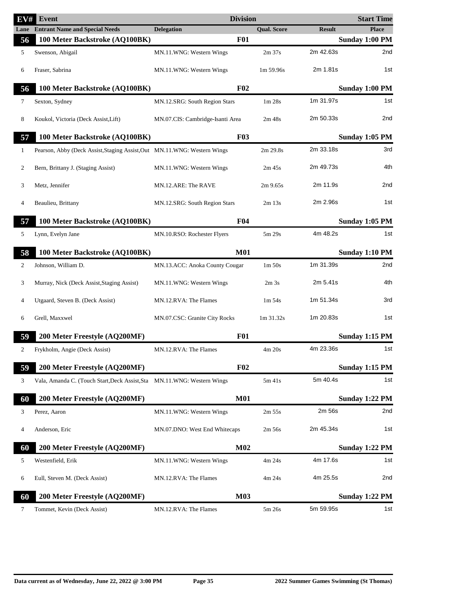| $\overline{\textbf{EV}}\textit{H}$ | <b>Event</b>                                                              | <b>Division</b>                  |                                |                | <b>Start Time</b> |
|------------------------------------|---------------------------------------------------------------------------|----------------------------------|--------------------------------|----------------|-------------------|
|                                    | <b>Lane</b> Entrant Name and Special Needs                                | <b>Delegation</b>                | <b>Qual. Score</b>             | <b>Result</b>  | <b>Place</b>      |
| 56                                 | 100 Meter Backstroke (AQ100BK)                                            | <b>F01</b>                       |                                |                | Sunday 1:00 PM    |
| 5                                  | Swenson, Abigail                                                          | MN.11.WNG: Western Wings         | $2m$ 37s                       | 2m 42.63s      | 2nd               |
| 6                                  | Fraser, Sabrina                                                           | MN.11.WNG: Western Wings         | 1m 59.96s                      | 2m 1.81s       | 1st               |
| 56                                 | 100 Meter Backstroke (AQ100BK)                                            | F <sub>02</sub>                  |                                |                | Sunday 1:00 PM    |
| 7                                  | Sexton, Sydney                                                            | MN.12.SRG: South Region Stars    | 1 <sub>m</sub> 28 <sub>s</sub> | 1m 31.97s      | 1st               |
| 8                                  | Koukol, Victoria (Deck Assist, Lift)                                      | MN.07.CIS: Cambridge-Isanti Area | 2m 48s                         | 2m 50.33s      | 2nd               |
| 57                                 | 100 Meter Backstroke (AQ100BK)                                            | F03                              |                                |                | Sunday 1:05 PM    |
| $\mathbf{1}$                       | Pearson, Abby (Deck Assist, Staging Assist, Out MN.11. WNG: Western Wings |                                  | 2m 29.8s                       | 2m 33.18s      | 3rd               |
| 2                                  | Bern, Brittany J. (Staging Assist)                                        | MN.11.WNG: Western Wings         | 2m/45s                         | 2m 49.73s      | 4th               |
| 3                                  | Metz, Jennifer                                                            | MN.12.ARE: The RAVE              | $2m$ 9.65s                     | 2m 11.9s       | 2nd               |
| 4                                  | Beaulieu, Brittany                                                        | MN.12.SRG: South Region Stars    | $2m$ 13s                       | 2m 2.96s       | 1st               |
| 57                                 | 100 Meter Backstroke (AQ100BK)                                            | F04                              |                                | Sunday 1:05 PM |                   |
| 5                                  | Lynn, Evelyn Jane                                                         | MN.10.RSO: Rochester Flyers      | 5m 29s                         | 4m 48.2s       | 1st               |
| 58                                 | 100 Meter Backstroke (AQ100BK)                                            | <b>M01</b>                       |                                |                | Sunday 1:10 PM    |
| 2                                  | Johnson, William D.                                                       | MN.13.ACC: Anoka County Cougar   | 1 <sub>m</sub> 50 <sub>s</sub> | 1m 31.39s      | 2nd               |
| 3                                  | Murray, Nick (Deck Assist, Staging Assist)                                | MN.11.WNG: Western Wings         | 2m <sub>3s</sub>               | 2m 5.41s       | 4th               |
| $\overline{4}$                     | Utgaard, Steven B. (Deck Assist)                                          | MN.12.RVA: The Flames            | $1m\,54s$                      | 1m 51.34s      | 3rd               |
| 6                                  | Grell, Maxxwel                                                            | MN.07.CSC: Granite City Rocks    | 1m 31.32s                      | 1m 20.83s      | 1st               |
| 59                                 | 200 Meter Freestyle (AQ200MF)                                             | <b>F01</b>                       |                                |                | Sunday 1:15 PM    |
| 2                                  | Frykholm, Angie (Deck Assist)                                             | MN.12.RVA: The Flames            | 4m 20s                         | 4m 23.36s      | 1st               |
| 59                                 | 200 Meter Freestyle (AQ200MF)                                             | F02                              |                                |                | Sunday 1:15 PM    |
| 3                                  | Vala, Amanda C. (Touch Start, Deck Assist, Sta MN.11.WNG: Western Wings   |                                  | $5m$ 41s                       | 5m 40.4s       | 1st               |
| 60                                 | 200 Meter Freestyle (AQ200MF)                                             | <b>M01</b>                       |                                |                | Sunday 1:22 PM    |
| 3                                  | Perez, Aaron                                                              | MN.11.WNG: Western Wings         | 2m 55s                         | 2m 56s         | 2nd               |
| 4                                  | Anderson, Eric                                                            | MN.07.DNO: West End Whitecaps    | 2m 56s                         | 2m 45.34s      | 1st               |
| 60                                 | 200 Meter Freestyle (AQ200MF)                                             | M <sub>02</sub>                  |                                |                | Sunday 1:22 PM    |
| 5                                  | Westenfield, Erik                                                         | MN.11.WNG: Western Wings         | 4m 24s                         | 4m 17.6s       | 1st               |
| 6                                  | Eull, Steven M. (Deck Assist)                                             | MN.12.RVA: The Flames            | 4m 24s                         | 4m 25.5s       | 2nd               |
| 60                                 | 200 Meter Freestyle (AQ200MF)                                             | <b>M03</b>                       |                                |                | Sunday 1:22 PM    |
| 7                                  | Tommet, Kevin (Deck Assist)                                               | MN.12.RVA: The Flames            | 5m 26s                         | 5m 59.95s      | 1st               |